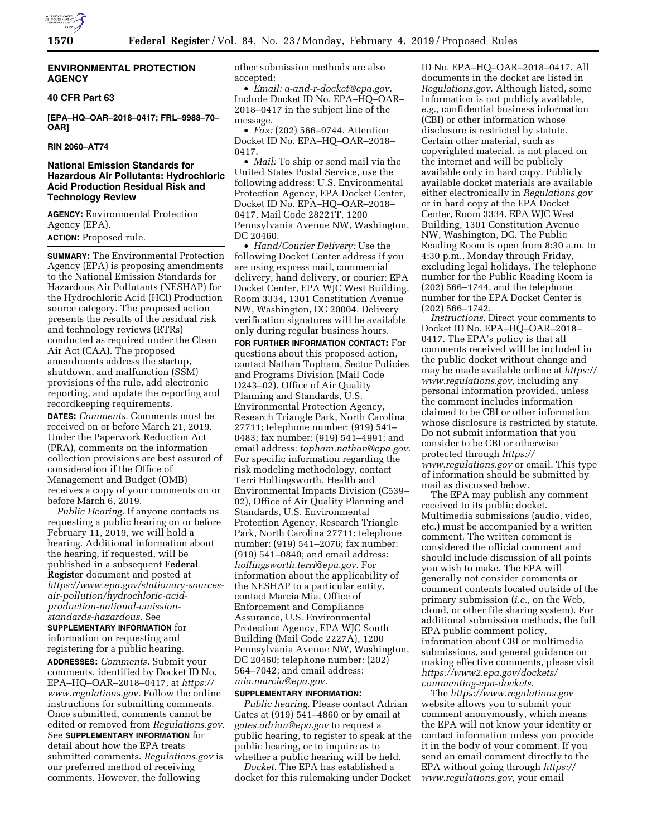

### **ENVIRONMENTAL PROTECTION AGENCY**

# **40 CFR Part 63**

**[EPA–HQ–OAR–2018–0417; FRL–9988–70– OAR]** 

# **RIN 2060–AT74**

### **National Emission Standards for Hazardous Air Pollutants: Hydrochloric Acid Production Residual Risk and Technology Review**

**AGENCY:** Environmental Protection Agency (EPA).

**ACTION:** Proposed rule.

**SUMMARY:** The Environmental Protection Agency (EPA) is proposing amendments to the National Emission Standards for Hazardous Air Pollutants (NESHAP) for the Hydrochloric Acid (HCl) Production source category. The proposed action presents the results of the residual risk and technology reviews (RTRs) conducted as required under the Clean Air Act (CAA). The proposed amendments address the startup, shutdown, and malfunction (SSM) provisions of the rule, add electronic reporting, and update the reporting and recordkeeping requirements.

**DATES:** *Comments.* Comments must be received on or before March 21, 2019. Under the Paperwork Reduction Act (PRA), comments on the information collection provisions are best assured of consideration if the Office of Management and Budget (OMB) receives a copy of your comments on or before March 6, 2019.

*Public Hearing.* If anyone contacts us requesting a public hearing on or before February 11, 2019, we will hold a hearing. Additional information about the hearing, if requested, will be published in a subsequent **Federal Register** document and posted at *[https://www.epa.gov/stationary-sources](https://www.epa.gov/stationary-sources-air-pollution/hydrochloric-acid-production-national-emission-standards-hazardous)[air-pollution/hydrochloric-acid](https://www.epa.gov/stationary-sources-air-pollution/hydrochloric-acid-production-national-emission-standards-hazardous)[production-national-emission](https://www.epa.gov/stationary-sources-air-pollution/hydrochloric-acid-production-national-emission-standards-hazardous)[standards-hazardous.](https://www.epa.gov/stationary-sources-air-pollution/hydrochloric-acid-production-national-emission-standards-hazardous)* See **SUPPLEMENTARY INFORMATION** for information on requesting and registering for a public hearing.

**ADDRESSES:** *Comments.* Submit your comments, identified by Docket ID No. EPA–HQ–OAR–2018–0417, at *[https://](https://www.regulations.gov) [www.regulations.gov.](https://www.regulations.gov)* Follow the online instructions for submitting comments. Once submitted, comments cannot be edited or removed from *Regulations.gov*. See **SUPPLEMENTARY INFORMATION** for detail about how the EPA treats submitted comments. *Regulations.gov* is our preferred method of receiving comments. However, the following

other submission methods are also accepted:

• *Email: [a-and-r-docket@epa.gov.](mailto:a-and-r-docket@epa.gov)*  Include Docket ID No. EPA–HQ–OAR– 2018–0417 in the subject line of the message.

• *Fax:* (202) 566–9744. Attention Docket ID No. EPA–HQ–OAR–2018– 0417.

• *Mail:* To ship or send mail via the United States Postal Service, use the following address: U.S. Environmental Protection Agency, EPA Docket Center, Docket ID No. EPA–HQ–OAR–2018– 0417, Mail Code 28221T, 1200 Pennsylvania Avenue NW, Washington, DC 20460.

• *Hand/Courier Delivery:* Use the following Docket Center address if you are using express mail, commercial delivery, hand delivery, or courier: EPA Docket Center, EPA WJC West Building, Room 3334, 1301 Constitution Avenue NW, Washington, DC 20004. Delivery verification signatures will be available only during regular business hours.

**FOR FURTHER INFORMATION CONTACT:** For questions about this proposed action, contact Nathan Topham, Sector Policies and Programs Division (Mail Code D243–02), Office of Air Quality Planning and Standards, U.S. Environmental Protection Agency, Research Triangle Park, North Carolina 27711; telephone number: (919) 541– 0483; fax number: (919) 541–4991; and email address: *[topham.nathan@epa.gov.](mailto:topham.nathan@epa.gov)*  For specific information regarding the risk modeling methodology, contact Terri Hollingsworth, Health and Environmental Impacts Division (C539– 02), Office of Air Quality Planning and Standards, U.S. Environmental Protection Agency, Research Triangle Park, North Carolina 27711; telephone number: (919) 541–2076; fax number: (919) 541–0840; and email address: *[hollingsworth.terri@epa.gov.](mailto:hollingsworth.terri@epa.gov)* For information about the applicability of the NESHAP to a particular entity, contact Marcia Mia, Office of Enforcement and Compliance Assurance, U.S. Environmental Protection Agency, EPA WJC South Building (Mail Code 2227A), 1200 Pennsylvania Avenue NW, Washington, DC 20460; telephone number: (202) 564–7042; and email address: *[mia.marcia@epa.gov.](mailto:mia.marcia@epa.gov)* 

#### **SUPPLEMENTARY INFORMATION:**

*Public hearing.* Please contact Adrian Gates at (919)  $5\overline{4}1-4860$  or by email at *[gates.adrian@epa.gov](mailto:gates.adrian@epa.gov)* to request a public hearing, to register to speak at the public hearing, or to inquire as to whether a public hearing will be held.

*Docket.* The EPA has established a docket for this rulemaking under Docket

ID No. EPA–HQ–OAR–2018–0417. All documents in the docket are listed in *Regulations.gov*. Although listed, some information is not publicly available, *e.g.,* confidential business information (CBI) or other information whose disclosure is restricted by statute. Certain other material, such as copyrighted material, is not placed on the internet and will be publicly available only in hard copy. Publicly available docket materials are available either electronically in *Regulations.gov*  or in hard copy at the EPA Docket Center, Room 3334, EPA WJC West Building, 1301 Constitution Avenue NW, Washington, DC. The Public Reading Room is open from 8:30 a.m. to 4:30 p.m., Monday through Friday, excluding legal holidays. The telephone number for the Public Reading Room is (202) 566–1744, and the telephone number for the EPA Docket Center is (202) 566–1742.

*Instructions.* Direct your comments to Docket ID No. EPA–HQ–OAR–2018– 0417. The EPA's policy is that all comments received will be included in the public docket without change and may be made available online at *[https://](https://www.regulations.gov)  [www.regulations.gov,](https://www.regulations.gov)* including any personal information provided, unless the comment includes information claimed to be CBI or other information whose disclosure is restricted by statute. Do not submit information that you consider to be CBI or otherwise protected through *[https://](https://www.regulations.gov) [www.regulations.gov](https://www.regulations.gov)* or email. This type of information should be submitted by mail as discussed below.

The EPA may publish any comment received to its public docket. Multimedia submissions (audio, video, etc.) must be accompanied by a written comment. The written comment is considered the official comment and should include discussion of all points you wish to make. The EPA will generally not consider comments or comment contents located outside of the primary submission (*i.e.,* on the Web, cloud, or other file sharing system). For additional submission methods, the full EPA public comment policy, information about CBI or multimedia submissions, and general guidance on making effective comments, please visit *[https://www2.epa.gov/dockets/](https://www2.epa.gov/dockets/commenting-epa-dockets)  [commenting-epa-dockets.](https://www2.epa.gov/dockets/commenting-epa-dockets)* 

The *<https://www.regulations.gov>* website allows you to submit your comment anonymously, which means the EPA will not know your identity or contact information unless you provide it in the body of your comment. If you send an email comment directly to the EPA without going through *[https://](https://www.regulations.gov) [www.regulations.gov,](https://www.regulations.gov)* your email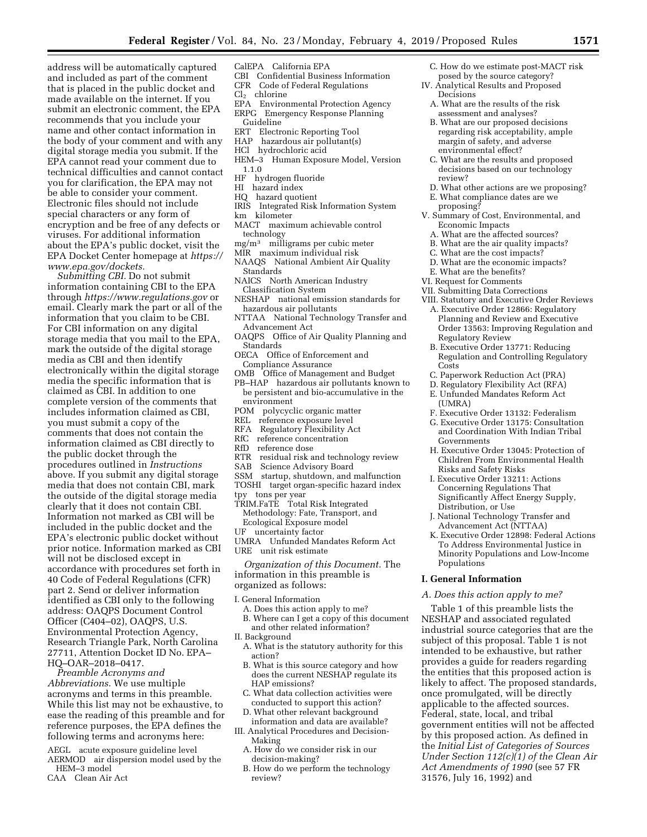address will be automatically captured and included as part of the comment that is placed in the public docket and made available on the internet. If you submit an electronic comment, the EPA recommends that you include your name and other contact information in the body of your comment and with any digital storage media you submit. If the EPA cannot read your comment due to technical difficulties and cannot contact you for clarification, the EPA may not be able to consider your comment. Electronic files should not include special characters or any form of encryption and be free of any defects or viruses. For additional information about the EPA's public docket, visit the EPA Docket Center homepage at *[https://](https://www.epa.gov/dockets)  [www.epa.gov/dockets.](https://www.epa.gov/dockets)* 

*Submitting CBI.* Do not submit information containing CBI to the EPA through *<https://www.regulations.gov>* or email. Clearly mark the part or all of the information that you claim to be CBI. For CBI information on any digital storage media that you mail to the EPA, mark the outside of the digital storage media as CBI and then identify electronically within the digital storage media the specific information that is claimed as CBI. In addition to one complete version of the comments that includes information claimed as CBI, you must submit a copy of the comments that does not contain the information claimed as CBI directly to the public docket through the procedures outlined in *Instructions*  above. If you submit any digital storage media that does not contain CBI, mark the outside of the digital storage media clearly that it does not contain CBI. Information not marked as CBI will be included in the public docket and the EPA's electronic public docket without prior notice. Information marked as CBI will not be disclosed except in accordance with procedures set forth in 40 Code of Federal Regulations (CFR) part 2. Send or deliver information identified as CBI only to the following address: OAQPS Document Control Officer (C404–02), OAQPS, U.S. Environmental Protection Agency, Research Triangle Park, North Carolina 27711, Attention Docket ID No. EPA– HQ–OAR–2018–0417.

*Preamble Acronyms and Abbreviations.* We use multiple acronyms and terms in this preamble. While this list may not be exhaustive, to ease the reading of this preamble and for reference purposes, the EPA defines the following terms and acronyms here:

AEGL acute exposure guideline level AERMOD air dispersion model used by the HEM–3 model

CAA Clean Air Act

- CalEPA California EPA
- CBI Confidential Business Information CFR Code of Federal Regulations
- $Cl<sub>2</sub>$  chlorine
- 
- EPA Environmental Protection Agency ERPG Emergency Response Planning Guideline
- ERT Electronic Reporting Tool
- HAP hazardous air pollutant(s)
- HCl hydrochloric acid
- HEM–3 Human Exposure Model, Version
- $\frac{1.1.0}{HF}$  hy hydrogen fluoride
- HI hazard index
- HQ hazard quotient
- IRIS Integrated Risk Information System
- km kilometer
- MACT maximum achievable control technology
- mg/m3 milligrams per cubic meter
- MIR maximum individual risk
- NAAQS National Ambient Air Quality Standards
- NAICS North American Industry
- Classification System
- NESHAP national emission standards for hazardous air pollutants
- NTTAA National Technology Transfer and Advancement Act
- OAQPS Office of Air Quality Planning and Standards
- OECA Office of Enforcement and Compliance Assurance
- OMB Office of Management and Budget
- PB–HAP hazardous air pollutants known to be persistent and bio-accumulative in the environment
- POM polycyclic organic matter
- 
- REL reference exposure level<br>RFA Regulatory Flexibility A Regulatory Flexibility Act
- RfC reference concentration<br>RfD reference dose
- 
- RfD reference dose<br>RTR residual risk a residual risk and technology review
- SAB Science Advisory Board
- SSM startup, shutdown, and malfunction
- 
- TOSHI target organ-specific hazard index
- tpy tons per year
- TRIM.FaTE Total Risk Integrated Methodology: Fate, Transport, and Ecological Exposure model
- UF uncertainty factor
- UMRA Unfunded Mandates Reform Act URE unit risk estimate

*Organization of this Document.* The information in this preamble is organized as follows:

I. General Information

- A. Does this action apply to me?
- B. Where can I get a copy of this document and other related information?
- II. Background
	- A. What is the statutory authority for this action?
	- B. What is this source category and how does the current NESHAP regulate its HAP emissions?
	- C. What data collection activities were conducted to support this action?
- D. What other relevant background information and data are available?
- III. Analytical Procedures and Decision-Making
	- A. How do we consider risk in our decision-making?
	- B. How do we perform the technology review?
- C. How do we estimate post-MACT risk
- posed by the source category? IV. Analytical Results and Proposed Decisions
	- A. What are the results of the risk assessment and analyses?
	- B. What are our proposed decisions regarding risk acceptability, ample margin of safety, and adverse environmental effect?
	- C. What are the results and proposed decisions based on our technology review?
	- D. What other actions are we proposing?
	- E. What compliance dates are we proposing?
- V. Summary of Cost, Environmental, and Economic Impacts
- A. What are the affected sources?
- B. What are the air quality impacts?
- C. What are the cost impacts?
- D. What are the economic impacts?
- E. What are the benefits?
- VI. Request for Comments
- VII. Submitting Data Corrections
- VIII. Statutory and Executive Order Reviews
- A. Executive Order 12866: Regulatory Planning and Review and Executive Order 13563: Improving Regulation and Regulatory Review
- B. Executive Order 13771: Reducing Regulation and Controlling Regulatory **Costs**
- C. Paperwork Reduction Act (PRA)
- D. Regulatory Flexibility Act (RFA)
- E. Unfunded Mandates Reform Act (UMRA)
- F. Executive Order 13132: Federalism
- G. Executive Order 13175: Consultation and Coordination With Indian Tribal Governments
- H. Executive Order 13045: Protection of Children From Environmental Health Risks and Safety Risks
- I. Executive Order 13211: Actions Concerning Regulations That Significantly Affect Energy Supply, Distribution, or Use
- J. National Technology Transfer and Advancement Act (NTTAA)
- K. Executive Order 12898: Federal Actions To Address Environmental Justice in Minority Populations and Low-Income Populations

### **I. General Information**

# *A. Does this action apply to me?*

Table 1 of this preamble lists the NESHAP and associated regulated industrial source categories that are the subject of this proposal. Table 1 is not intended to be exhaustive, but rather provides a guide for readers regarding the entities that this proposed action is likely to affect. The proposed standards, once promulgated, will be directly applicable to the affected sources. Federal, state, local, and tribal government entities will not be affected by this proposed action. As defined in the *Initial List of Categories of Sources Under Section 112(c)(1) of the Clean Air Act Amendments of 1990* (see 57 FR 31576, July 16, 1992) and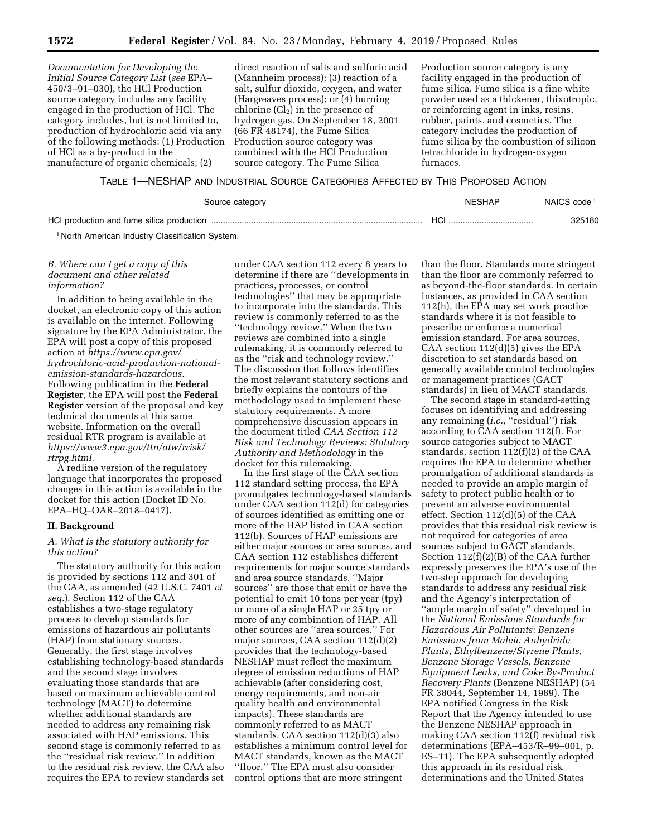*Documentation for Developing the Initial Source Category List* (*see* EPA– 450/3–91–030), the HCl Production source category includes any facility engaged in the production of HCl. The category includes, but is not limited to, production of hydrochloric acid via any of the following methods: (1) Production of HCl as a by-product in the manufacture of organic chemicals; (2)

direct reaction of salts and sulfuric acid (Mannheim process); (3) reaction of a salt, sulfur dioxide, oxygen, and water (Hargreaves process); or (4) burning chlorine  $(Cl<sub>2</sub>)$  in the presence of hydrogen gas. On September 18, 2001 (66 FR 48174), the Fume Silica Production source category was combined with the HCl Production source category. The Fume Silica

Production source category is any facility engaged in the production of fume silica. Fume silica is a fine white powder used as a thickener, thixotropic, or reinforcing agent in inks, resins, rubber, paints, and cosmetics. The category includes the production of fume silica by the combustion of silicon tetrachloride in hydrogen-oxygen furnaces.

### TABLE 1—NESHAP AND INDUSTRIAL SOURCE CATEGORIES AFFECTED BY THIS PROPOSED ACTION

| Source category | <b>NESHAP</b>   | NAICS code |
|-----------------|-----------------|------------|
|                 | HC <sub>1</sub> | 325180     |

1 North American Industry Classification System.

# *B. Where can I get a copy of this document and other related information?*

In addition to being available in the docket, an electronic copy of this action is available on the internet. Following signature by the EPA Administrator, the EPA will post a copy of this proposed action at *[https://www.epa.gov/](https://www.epa.gov/hydrochloric-acid-production-national-emission-standards-hazardous)  [hydrochloric-acid-production-national](https://www.epa.gov/hydrochloric-acid-production-national-emission-standards-hazardous)[emission-standards-hazardous.](https://www.epa.gov/hydrochloric-acid-production-national-emission-standards-hazardous)*  Following publication in the **Federal Register**, the EPA will post the **Federal Register** version of the proposal and key technical documents at this same website. Information on the overall residual RTR program is available at *[https://www3.epa.gov/ttn/atw/rrisk/](https://www3.epa.gov/ttn/atw/rrisk/rtrpg.html) [rtrpg.html.](https://www3.epa.gov/ttn/atw/rrisk/rtrpg.html)* 

A redline version of the regulatory language that incorporates the proposed changes in this action is available in the docket for this action (Docket ID No. EPA–HQ–OAR–2018–0417).

### **II. Background**

### *A. What is the statutory authority for this action?*

The statutory authority for this action is provided by sections 112 and 301 of the CAA, as amended (42 U.S.C. 7401 *et seq.*). Section 112 of the CAA establishes a two-stage regulatory process to develop standards for emissions of hazardous air pollutants (HAP) from stationary sources. Generally, the first stage involves establishing technology-based standards and the second stage involves evaluating those standards that are based on maximum achievable control technology (MACT) to determine whether additional standards are needed to address any remaining risk associated with HAP emissions. This second stage is commonly referred to as the ''residual risk review.'' In addition to the residual risk review, the CAA also requires the EPA to review standards set

under CAA section 112 every 8 years to determine if there are ''developments in practices, processes, or control technologies'' that may be appropriate to incorporate into the standards. This review is commonly referred to as the ''technology review.'' When the two reviews are combined into a single rulemaking, it is commonly referred to as the ''risk and technology review.'' The discussion that follows identifies the most relevant statutory sections and briefly explains the contours of the methodology used to implement these statutory requirements. A more comprehensive discussion appears in the document titled *CAA Section 112 Risk and Technology Reviews: Statutory Authority and Methodology* in the docket for this rulemaking.

In the first stage of the CAA section 112 standard setting process, the EPA promulgates technology-based standards under CAA section 112(d) for categories of sources identified as emitting one or more of the HAP listed in CAA section 112(b). Sources of HAP emissions are either major sources or area sources, and CAA section 112 establishes different requirements for major source standards and area source standards. ''Major sources'' are those that emit or have the potential to emit 10 tons per year (tpy) or more of a single HAP or 25 tpy or more of any combination of HAP. All other sources are ''area sources.'' For major sources, CAA section 112(d)(2) provides that the technology-based NESHAP must reflect the maximum degree of emission reductions of HAP achievable (after considering cost, energy requirements, and non-air quality health and environmental impacts). These standards are commonly referred to as MACT standards. CAA section 112(d)(3) also establishes a minimum control level for MACT standards, known as the MACT ''floor.'' The EPA must also consider control options that are more stringent

than the floor. Standards more stringent than the floor are commonly referred to as beyond-the-floor standards. In certain instances, as provided in CAA section 112(h), the EPA may set work practice standards where it is not feasible to prescribe or enforce a numerical emission standard. For area sources, CAA section 112(d)(5) gives the EPA discretion to set standards based on generally available control technologies or management practices (GACT standards) in lieu of MACT standards.

The second stage in standard-setting focuses on identifying and addressing any remaining (*i.e.*, "residual") risk according to CAA section 112(f). For source categories subject to MACT standards, section 112(f)(2) of the CAA requires the EPA to determine whether promulgation of additional standards is needed to provide an ample margin of safety to protect public health or to prevent an adverse environmental effect. Section 112(d)(5) of the CAA provides that this residual risk review is not required for categories of area sources subject to GACT standards. Section 112(f)(2)(B) of the CAA further expressly preserves the EPA's use of the two-step approach for developing standards to address any residual risk and the Agency's interpretation of ''ample margin of safety'' developed in the *National Emissions Standards for Hazardous Air Pollutants: Benzene Emissions from Maleic Anhydride Plants, Ethylbenzene/Styrene Plants, Benzene Storage Vessels, Benzene Equipment Leaks, and Coke By-Product Recovery Plants* (Benzene NESHAP) (54 FR 38044, September 14, 1989). The EPA notified Congress in the Risk Report that the Agency intended to use the Benzene NESHAP approach in making CAA section 112(f) residual risk determinations (EPA–453/R–99–001, p. ES–11). The EPA subsequently adopted this approach in its residual risk determinations and the United States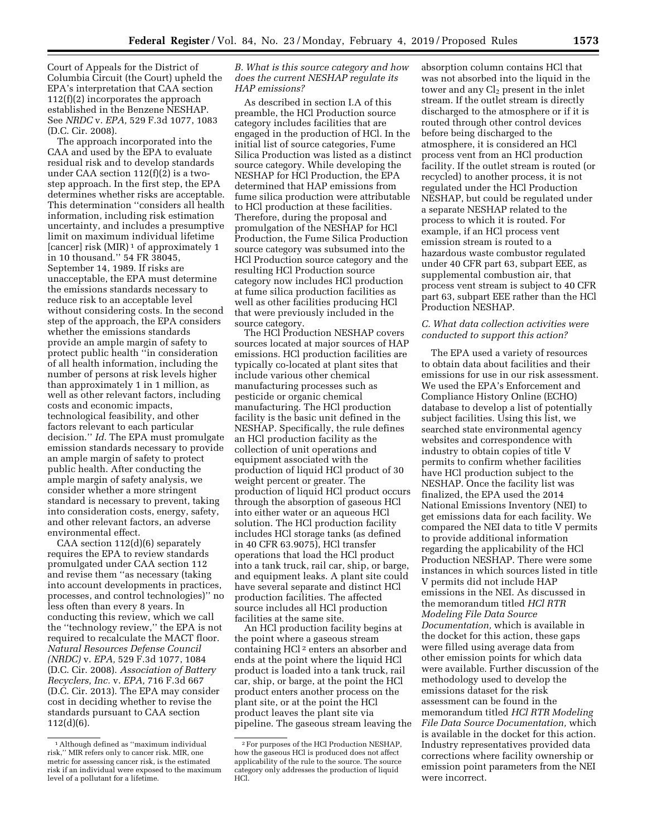Court of Appeals for the District of Columbia Circuit (the Court) upheld the EPA's interpretation that CAA section 112(f)(2) incorporates the approach established in the Benzene NESHAP. See *NRDC* v. *EPA,* 529 F.3d 1077, 1083 (D.C. Cir. 2008).

The approach incorporated into the CAA and used by the EPA to evaluate residual risk and to develop standards under CAA section  $112(f)(2)$  is a twostep approach. In the first step, the EPA determines whether risks are acceptable. This determination ''considers all health information, including risk estimation uncertainty, and includes a presumptive limit on maximum individual lifetime [cancer] risk (MIR)<sup>1</sup> of approximately 1 in 10 thousand.'' 54 FR 38045, September 14, 1989. If risks are unacceptable, the EPA must determine the emissions standards necessary to reduce risk to an acceptable level without considering costs. In the second step of the approach, the EPA considers whether the emissions standards provide an ample margin of safety to protect public health ''in consideration of all health information, including the number of persons at risk levels higher than approximately 1 in 1 million, as well as other relevant factors, including costs and economic impacts, technological feasibility, and other factors relevant to each particular decision.'' *Id.* The EPA must promulgate emission standards necessary to provide an ample margin of safety to protect public health. After conducting the ample margin of safety analysis, we consider whether a more stringent standard is necessary to prevent, taking into consideration costs, energy, safety, and other relevant factors, an adverse environmental effect.

CAA section 112(d)(6) separately requires the EPA to review standards promulgated under CAA section 112 and revise them ''as necessary (taking into account developments in practices, processes, and control technologies)'' no less often than every 8 years. In conducting this review, which we call the ''technology review,'' the EPA is not required to recalculate the MACT floor. *Natural Resources Defense Council (NRDC)* v. *EPA,* 529 F.3d 1077, 1084 (D.C. Cir. 2008). *Association of Battery Recyclers, Inc.* v. *EPA,* 716 F.3d 667 (D.C. Cir. 2013). The EPA may consider cost in deciding whether to revise the standards pursuant to CAA section 112(d)(6).

# *B. What is this source category and how does the current NESHAP regulate its HAP emissions?*

As described in section I.A of this preamble, the HCl Production source category includes facilities that are engaged in the production of HCl. In the initial list of source categories, Fume Silica Production was listed as a distinct source category. While developing the NESHAP for HCl Production, the EPA determined that HAP emissions from fume silica production were attributable to HCl production at these facilities. Therefore, during the proposal and promulgation of the NESHAP for HCl Production, the Fume Silica Production source category was subsumed into the HCl Production source category and the resulting HCl Production source category now includes HCl production at fume silica production facilities as well as other facilities producing HCl that were previously included in the source category.

The HCl Production NESHAP covers sources located at major sources of HAP emissions. HCl production facilities are typically co-located at plant sites that include various other chemical manufacturing processes such as pesticide or organic chemical manufacturing. The HCl production facility is the basic unit defined in the NESHAP. Specifically, the rule defines an HCl production facility as the collection of unit operations and equipment associated with the production of liquid HCl product of 30 weight percent or greater. The production of liquid HCl product occurs through the absorption of gaseous HCl into either water or an aqueous HCl solution. The HCl production facility includes HCl storage tanks (as defined in 40 CFR 63.9075), HCl transfer operations that load the HCl product into a tank truck, rail car, ship, or barge, and equipment leaks. A plant site could have several separate and distinct HCl production facilities. The affected source includes all HCl production facilities at the same site.

An HCl production facility begins at the point where a gaseous stream containing HCl 2 enters an absorber and ends at the point where the liquid HCl product is loaded into a tank truck, rail car, ship, or barge, at the point the HCl product enters another process on the plant site, or at the point the HCl product leaves the plant site via pipeline. The gaseous stream leaving the

absorption column contains HCl that was not absorbed into the liquid in the tower and any  $Cl<sub>2</sub>$  present in the inlet stream. If the outlet stream is directly discharged to the atmosphere or if it is routed through other control devices before being discharged to the atmosphere, it is considered an HCl process vent from an HCl production facility. If the outlet stream is routed (or recycled) to another process, it is not regulated under the HCl Production NESHAP, but could be regulated under a separate NESHAP related to the process to which it is routed. For example, if an HCl process vent emission stream is routed to a hazardous waste combustor regulated under 40 CFR part 63, subpart EEE, as supplemental combustion air, that process vent stream is subject to 40 CFR part 63, subpart EEE rather than the HCl Production NESHAP.

# *C. What data collection activities were conducted to support this action?*

The EPA used a variety of resources to obtain data about facilities and their emissions for use in our risk assessment. We used the EPA's Enforcement and Compliance History Online (ECHO) database to develop a list of potentially subject facilities. Using this list, we searched state environmental agency websites and correspondence with industry to obtain copies of title V permits to confirm whether facilities have HCl production subject to the NESHAP. Once the facility list was finalized, the EPA used the 2014 National Emissions Inventory (NEI) to get emissions data for each facility. We compared the NEI data to title V permits to provide additional information regarding the applicability of the HCl Production NESHAP. There were some instances in which sources listed in title V permits did not include HAP emissions in the NEI. As discussed in the memorandum titled *HCl RTR Modeling File Data Source Documentation,* which is available in the docket for this action, these gaps were filled using average data from other emission points for which data were available. Further discussion of the methodology used to develop the emissions dataset for the risk assessment can be found in the memorandum titled *HCl RTR Modeling File Data Source Documentation,* which is available in the docket for this action. Industry representatives provided data corrections where facility ownership or emission point parameters from the NEI were incorrect.

<sup>1</sup>Although defined as ''maximum individual risk,'' MIR refers only to cancer risk. MIR, one metric for assessing cancer risk, is the estimated risk if an individual were exposed to the maximum level of a pollutant for a lifetime.

<sup>2</sup>For purposes of the HCl Production NESHAP, how the gaseous HCl is produced does not affect applicability of the rule to the source. The source category only addresses the production of liquid HCl.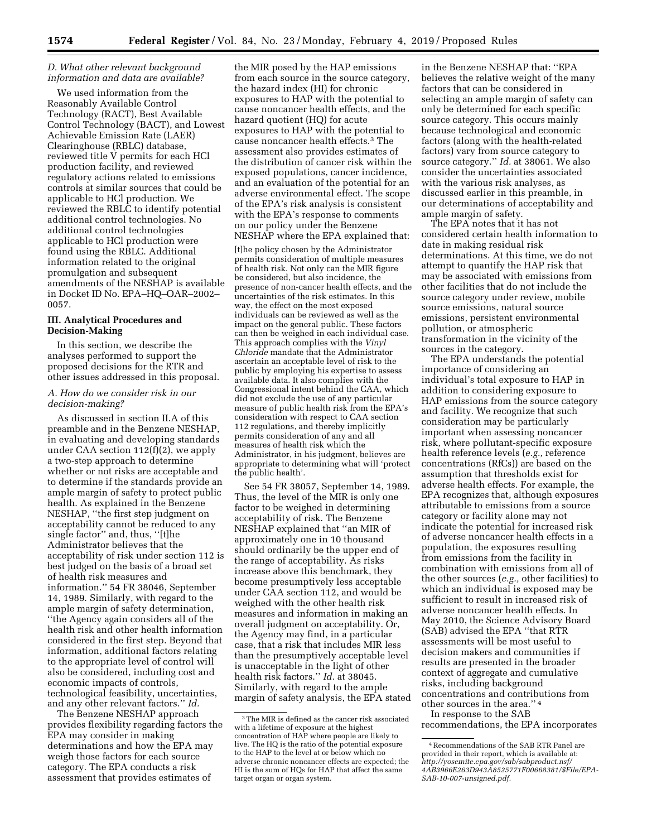### *D. What other relevant background information and data are available?*

We used information from the Reasonably Available Control Technology (RACT), Best Available Control Technology (BACT), and Lowest Achievable Emission Rate (LAER) Clearinghouse (RBLC) database, reviewed title V permits for each HCl production facility, and reviewed regulatory actions related to emissions controls at similar sources that could be applicable to HCl production. We reviewed the RBLC to identify potential additional control technologies. No additional control technologies applicable to HCl production were found using the RBLC. Additional information related to the original promulgation and subsequent amendments of the NESHAP is available in Docket ID No. EPA–HQ–OAR–2002– 0057.

### **III. Analytical Procedures and Decision-Making**

In this section, we describe the analyses performed to support the proposed decisions for the RTR and other issues addressed in this proposal.

### *A. How do we consider risk in our decision-making?*

As discussed in section II.A of this preamble and in the Benzene NESHAP, in evaluating and developing standards under CAA section 112(f)(2), we apply a two-step approach to determine whether or not risks are acceptable and to determine if the standards provide an ample margin of safety to protect public health. As explained in the Benzene NESHAP, ''the first step judgment on acceptability cannot be reduced to any single factor'' and, thus, ''[t]he Administrator believes that the acceptability of risk under section 112 is best judged on the basis of a broad set of health risk measures and information.'' 54 FR 38046, September 14, 1989. Similarly, with regard to the ample margin of safety determination, ''the Agency again considers all of the health risk and other health information considered in the first step. Beyond that information, additional factors relating to the appropriate level of control will also be considered, including cost and economic impacts of controls, technological feasibility, uncertainties, and any other relevant factors.'' *Id.* 

The Benzene NESHAP approach provides flexibility regarding factors the EPA may consider in making determinations and how the EPA may weigh those factors for each source category. The EPA conducts a risk assessment that provides estimates of

the MIR posed by the HAP emissions from each source in the source category, the hazard index (HI) for chronic exposures to HAP with the potential to cause noncancer health effects, and the hazard quotient (HQ) for acute exposures to HAP with the potential to cause noncancer health effects.3 The assessment also provides estimates of the distribution of cancer risk within the exposed populations, cancer incidence, and an evaluation of the potential for an adverse environmental effect. The scope of the EPA's risk analysis is consistent with the EPA's response to comments on our policy under the Benzene NESHAP where the EPA explained that:

[t]he policy chosen by the Administrator permits consideration of multiple measures of health risk. Not only can the MIR figure be considered, but also incidence, the presence of non-cancer health effects, and the uncertainties of the risk estimates. In this way, the effect on the most exposed individuals can be reviewed as well as the impact on the general public. These factors can then be weighed in each individual case. This approach complies with the *Vinyl Chloride* mandate that the Administrator ascertain an acceptable level of risk to the public by employing his expertise to assess available data. It also complies with the Congressional intent behind the CAA, which did not exclude the use of any particular measure of public health risk from the EPA's consideration with respect to CAA section 112 regulations, and thereby implicitly permits consideration of any and all measures of health risk which the Administrator, in his judgment, believes are appropriate to determining what will 'protect the public health'.

See 54 FR 38057, September 14, 1989. Thus, the level of the MIR is only one factor to be weighed in determining acceptability of risk. The Benzene NESHAP explained that ''an MIR of approximately one in 10 thousand should ordinarily be the upper end of the range of acceptability. As risks increase above this benchmark, they become presumptively less acceptable under CAA section 112, and would be weighed with the other health risk measures and information in making an overall judgment on acceptability. Or, the Agency may find, in a particular case, that a risk that includes MIR less than the presumptively acceptable level is unacceptable in the light of other health risk factors.'' *Id.* at 38045. Similarly, with regard to the ample margin of safety analysis, the EPA stated

in the Benzene NESHAP that: ''EPA believes the relative weight of the many factors that can be considered in selecting an ample margin of safety can only be determined for each specific source category. This occurs mainly because technological and economic factors (along with the health-related factors) vary from source category to source category.'' *Id.* at 38061. We also consider the uncertainties associated with the various risk analyses, as discussed earlier in this preamble, in our determinations of acceptability and ample margin of safety.

The EPA notes that it has not considered certain health information to date in making residual risk determinations. At this time, we do not attempt to quantify the HAP risk that may be associated with emissions from other facilities that do not include the source category under review, mobile source emissions, natural source emissions, persistent environmental pollution, or atmospheric transformation in the vicinity of the sources in the category.

The EPA understands the potential importance of considering an individual's total exposure to HAP in addition to considering exposure to HAP emissions from the source category and facility. We recognize that such consideration may be particularly important when assessing noncancer risk, where pollutant-specific exposure health reference levels (*e.g.,* reference concentrations (RfCs)) are based on the assumption that thresholds exist for adverse health effects. For example, the EPA recognizes that, although exposures attributable to emissions from a source category or facility alone may not indicate the potential for increased risk of adverse noncancer health effects in a population, the exposures resulting from emissions from the facility in combination with emissions from all of the other sources (*e.g.,* other facilities) to which an individual is exposed may be sufficient to result in increased risk of adverse noncancer health effects. In May 2010, the Science Advisory Board (SAB) advised the EPA ''that RTR assessments will be most useful to decision makers and communities if results are presented in the broader context of aggregate and cumulative risks, including background concentrations and contributions from other sources in the area.'' 4 In response to the SAB

recommendations, the EPA incorporates

<sup>3</sup>The MIR is defined as the cancer risk associated with a lifetime of exposure at the highest concentration of HAP where people are likely to live. The HQ is the ratio of the potential exposure to the HAP to the level at or below which no adverse chronic noncancer effects are expected; the HI is the sum of HQs for HAP that affect the same target organ or organ system.

<sup>4</sup>Recommendations of the SAB RTR Panel are provided in their report, which is available at: *[http://yosemite.epa.gov/sab/sabproduct.nsf/](http://yosemite.epa.gov/sab/sabproduct.nsf/4AB3966E263D943A8525771F00668381/$File/EPA-SAB-10-007-unsigned.pdf)  [4AB3966E263D943A8525771F00668381/\\$File/EPA-](http://yosemite.epa.gov/sab/sabproduct.nsf/4AB3966E263D943A8525771F00668381/$File/EPA-SAB-10-007-unsigned.pdf)[SAB-10-007-unsigned.pdf.](http://yosemite.epa.gov/sab/sabproduct.nsf/4AB3966E263D943A8525771F00668381/$File/EPA-SAB-10-007-unsigned.pdf)*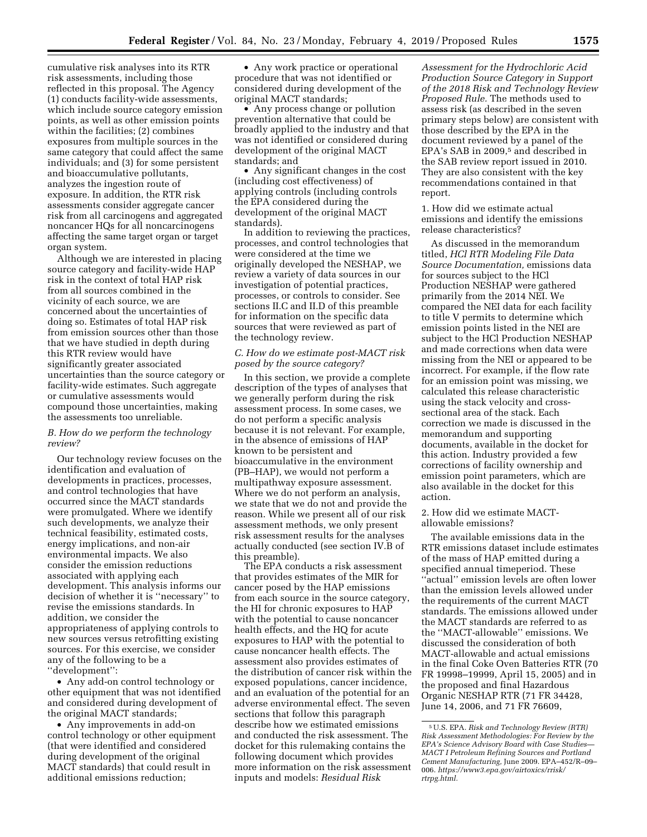cumulative risk analyses into its RTR risk assessments, including those reflected in this proposal. The Agency (1) conducts facility-wide assessments, which include source category emission points, as well as other emission points within the facilities; (2) combines exposures from multiple sources in the same category that could affect the same individuals; and (3) for some persistent and bioaccumulative pollutants, analyzes the ingestion route of exposure. In addition, the RTR risk assessments consider aggregate cancer risk from all carcinogens and aggregated noncancer HQs for all noncarcinogens affecting the same target organ or target organ system.

Although we are interested in placing source category and facility-wide HAP risk in the context of total HAP risk from all sources combined in the vicinity of each source, we are concerned about the uncertainties of doing so. Estimates of total HAP risk from emission sources other than those that we have studied in depth during this RTR review would have significantly greater associated uncertainties than the source category or facility-wide estimates. Such aggregate or cumulative assessments would compound those uncertainties, making the assessments too unreliable.

#### *B. How do we perform the technology review?*

Our technology review focuses on the identification and evaluation of developments in practices, processes, and control technologies that have occurred since the MACT standards were promulgated. Where we identify such developments, we analyze their technical feasibility, estimated costs, energy implications, and non-air environmental impacts. We also consider the emission reductions associated with applying each development. This analysis informs our decision of whether it is ''necessary'' to revise the emissions standards. In addition, we consider the appropriateness of applying controls to new sources versus retrofitting existing sources. For this exercise, we consider any of the following to be a ''development'':

• Any add-on control technology or other equipment that was not identified and considered during development of the original MACT standards;

• Any improvements in add-on control technology or other equipment (that were identified and considered during development of the original MACT standards) that could result in additional emissions reduction;

• Any work practice or operational procedure that was not identified or considered during development of the original MACT standards;

• Any process change or pollution prevention alternative that could be broadly applied to the industry and that was not identified or considered during development of the original MACT standards; and

• Any significant changes in the cost (including cost effectiveness) of applying controls (including controls the EPA considered during the development of the original MACT standards).

In addition to reviewing the practices, processes, and control technologies that were considered at the time we originally developed the NESHAP, we review a variety of data sources in our investigation of potential practices, processes, or controls to consider. See sections II.C and II.D of this preamble for information on the specific data sources that were reviewed as part of the technology review.

# *C. How do we estimate post-MACT risk posed by the source category?*

In this section, we provide a complete description of the types of analyses that we generally perform during the risk assessment process. In some cases, we do not perform a specific analysis because it is not relevant. For example, in the absence of emissions of HAP known to be persistent and bioaccumulative in the environment (PB–HAP), we would not perform a multipathway exposure assessment. Where we do not perform an analysis, we state that we do not and provide the reason. While we present all of our risk assessment methods, we only present risk assessment results for the analyses actually conducted (see section IV.B of this preamble).

The EPA conducts a risk assessment that provides estimates of the MIR for cancer posed by the HAP emissions from each source in the source category, the HI for chronic exposures to HAP with the potential to cause noncancer health effects, and the HQ for acute exposures to HAP with the potential to cause noncancer health effects. The assessment also provides estimates of the distribution of cancer risk within the exposed populations, cancer incidence, and an evaluation of the potential for an adverse environmental effect. The seven sections that follow this paragraph describe how we estimated emissions and conducted the risk assessment. The docket for this rulemaking contains the following document which provides more information on the risk assessment inputs and models: *Residual Risk* 

*Assessment for the Hydrochloric Acid Production Source Category in Support of the 2018 Risk and Technology Review Proposed Rule.* The methods used to assess risk (as described in the seven primary steps below) are consistent with those described by the EPA in the document reviewed by a panel of the EPA's SAB in 2009,5 and described in the SAB review report issued in 2010. They are also consistent with the key recommendations contained in that report.

1. How did we estimate actual emissions and identify the emissions release characteristics?

As discussed in the memorandum titled, *HCl RTR Modeling File Data Source Documentation,* emissions data for sources subject to the HCl Production NESHAP were gathered primarily from the 2014 NEI. We compared the NEI data for each facility to title V permits to determine which emission points listed in the NEI are subject to the HCl Production NESHAP and made corrections when data were missing from the NEI or appeared to be incorrect. For example, if the flow rate for an emission point was missing, we calculated this release characteristic using the stack velocity and crosssectional area of the stack. Each correction we made is discussed in the memorandum and supporting documents, available in the docket for this action. Industry provided a few corrections of facility ownership and emission point parameters, which are also available in the docket for this action.

2. How did we estimate MACTallowable emissions?

The available emissions data in the RTR emissions dataset include estimates of the mass of HAP emitted during a specified annual timeperiod. These ''actual'' emission levels are often lower than the emission levels allowed under the requirements of the current MACT standards. The emissions allowed under the MACT standards are referred to as the ''MACT-allowable'' emissions. We discussed the consideration of both MACT-allowable and actual emissions in the final Coke Oven Batteries RTR (70 FR 19998–19999, April 15, 2005) and in the proposed and final Hazardous Organic NESHAP RTR (71 FR 34428, June 14, 2006, and 71 FR 76609,

<sup>5</sup>U.S. EPA. *Risk and Technology Review (RTR) Risk Assessment Methodologies: For Review by the EPA's Science Advisory Board with Case Studies— MACT I Petroleum Refining Sources and Portland Cement Manufacturing,* June 2009. EPA–452/R–09– 006. *[https://www3.epa.gov/airtoxics/rrisk/](https://www3.epa.gov/airtoxics/rrisk/rtrpg.html) [rtrpg.html.](https://www3.epa.gov/airtoxics/rrisk/rtrpg.html)*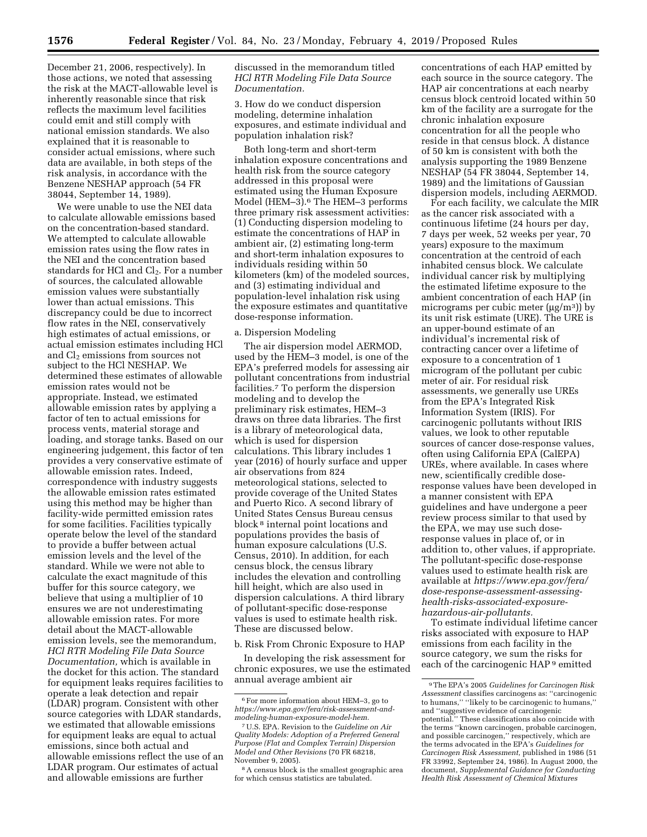December 21, 2006, respectively). In those actions, we noted that assessing the risk at the MACT-allowable level is inherently reasonable since that risk reflects the maximum level facilities could emit and still comply with national emission standards. We also explained that it is reasonable to consider actual emissions, where such data are available, in both steps of the risk analysis, in accordance with the Benzene NESHAP approach (54 FR 38044, September 14, 1989).

We were unable to use the NEI data to calculate allowable emissions based on the concentration-based standard. We attempted to calculate allowable emission rates using the flow rates in the NEI and the concentration based standards for HCl and Cl<sub>2</sub>. For a number of sources, the calculated allowable emission values were substantially lower than actual emissions. This discrepancy could be due to incorrect flow rates in the NEI, conservatively high estimates of actual emissions, or actual emission estimates including HCl and Cl<sub>2</sub> emissions from sources not subject to the HCl NESHAP. We determined these estimates of allowable emission rates would not be appropriate. Instead, we estimated allowable emission rates by applying a factor of ten to actual emissions for process vents, material storage and loading, and storage tanks. Based on our engineering judgement, this factor of ten provides a very conservative estimate of allowable emission rates. Indeed, correspondence with industry suggests the allowable emission rates estimated using this method may be higher than facility-wide permitted emission rates for some facilities. Facilities typically operate below the level of the standard to provide a buffer between actual emission levels and the level of the standard. While we were not able to calculate the exact magnitude of this buffer for this source category, we believe that using a multiplier of 10 ensures we are not underestimating allowable emission rates. For more detail about the MACT-allowable emission levels, see the memorandum, *HCl RTR Modeling File Data Source Documentation,* which is available in the docket for this action. The standard for equipment leaks requires facilities to operate a leak detection and repair (LDAR) program. Consistent with other source categories with LDAR standards, we estimated that allowable emissions for equipment leaks are equal to actual emissions, since both actual and allowable emissions reflect the use of an LDAR program. Our estimates of actual and allowable emissions are further

### discussed in the memorandum titled *HCl RTR Modeling File Data Source Documentation.*

3. How do we conduct dispersion modeling, determine inhalation exposures, and estimate individual and population inhalation risk?

Both long-term and short-term inhalation exposure concentrations and health risk from the source category addressed in this proposal were estimated using the Human Exposure Model (HEM–3).6 The HEM–3 performs three primary risk assessment activities: (1) Conducting dispersion modeling to estimate the concentrations of HAP in ambient air, (2) estimating long-term and short-term inhalation exposures to individuals residing within 50 kilometers (km) of the modeled sources, and (3) estimating individual and population-level inhalation risk using the exposure estimates and quantitative dose-response information.

#### a. Dispersion Modeling

The air dispersion model AERMOD, used by the HEM–3 model, is one of the EPA's preferred models for assessing air pollutant concentrations from industrial facilities.7 To perform the dispersion modeling and to develop the preliminary risk estimates, HEM–3 draws on three data libraries. The first is a library of meteorological data, which is used for dispersion calculations. This library includes 1 year (2016) of hourly surface and upper air observations from 824 meteorological stations, selected to provide coverage of the United States and Puerto Rico. A second library of United States Census Bureau census block 8 internal point locations and populations provides the basis of human exposure calculations (U.S. Census, 2010). In addition, for each census block, the census library includes the elevation and controlling hill height, which are also used in dispersion calculations. A third library of pollutant-specific dose-response values is used to estimate health risk. These are discussed below.

# b. Risk From Chronic Exposure to HAP

In developing the risk assessment for chronic exposures, we use the estimated annual average ambient air

concentrations of each HAP emitted by each source in the source category. The HAP air concentrations at each nearby census block centroid located within 50 km of the facility are a surrogate for the chronic inhalation exposure concentration for all the people who reside in that census block. A distance of 50 km is consistent with both the analysis supporting the 1989 Benzene NESHAP (54 FR 38044, September 14, 1989) and the limitations of Gaussian dispersion models, including AERMOD.

For each facility, we calculate the MIR as the cancer risk associated with a continuous lifetime (24 hours per day, 7 days per week, 52 weeks per year, 70 years) exposure to the maximum concentration at the centroid of each inhabited census block. We calculate individual cancer risk by multiplying the estimated lifetime exposure to the ambient concentration of each HAP (in micrograms per cubic meter  $(\mu g/m^3)$  by its unit risk estimate (URE). The URE is an upper-bound estimate of an individual's incremental risk of contracting cancer over a lifetime of exposure to a concentration of 1 microgram of the pollutant per cubic meter of air. For residual risk assessments, we generally use UREs from the EPA's Integrated Risk Information System (IRIS). For carcinogenic pollutants without IRIS values, we look to other reputable sources of cancer dose-response values, often using California EPA (CalEPA) UREs, where available. In cases where new, scientifically credible doseresponse values have been developed in a manner consistent with EPA guidelines and have undergone a peer review process similar to that used by the EPA, we may use such doseresponse values in place of, or in addition to, other values, if appropriate. The pollutant-specific dose-response values used to estimate health risk are available at *[https://www.epa.gov/fera/](https://www.epa.gov/fera/dose-response-assessment-assessing-health-risks-associated-exposure-hazardous-air-pollutants)  [dose-response-assessment-assessing](https://www.epa.gov/fera/dose-response-assessment-assessing-health-risks-associated-exposure-hazardous-air-pollutants)[health-risks-associated-exposure](https://www.epa.gov/fera/dose-response-assessment-assessing-health-risks-associated-exposure-hazardous-air-pollutants)[hazardous-air-pollutants.](https://www.epa.gov/fera/dose-response-assessment-assessing-health-risks-associated-exposure-hazardous-air-pollutants)* 

To estimate individual lifetime cancer risks associated with exposure to HAP emissions from each facility in the source category, we sum the risks for each of the carcinogenic HAP 9 emitted

<sup>6</sup>For more information about HEM–3, go to *[https://www.epa.gov/fera/risk-assessment-and](https://www.epa.gov/fera/risk-assessment-and-modeling-human-exposure-model-hem)[modeling-human-exposure-model-hem.](https://www.epa.gov/fera/risk-assessment-and-modeling-human-exposure-model-hem)* 

<sup>7</sup>U.S. EPA. Revision to the *Guideline on Air Quality Models: Adoption of a Preferred General Purpose (Flat and Complex Terrain) Dispersion Model and Other Revisions* (70 FR 68218, November 9, 2005).

<sup>8</sup>A census block is the smallest geographic area for which census statistics are tabulated.

<sup>9</sup>The EPA's 2005 *Guidelines for Carcinogen Risk Assessment* classifies carcinogens as: ''carcinogenic to humans,'' ''likely to be carcinogenic to humans,'' and ''suggestive evidence of carcinogenic potential.'' These classifications also coincide with the terms ''known carcinogen, probable carcinogen, and possible carcinogen,'' respectively, which are the terms advocated in the EPA's *Guidelines for Carcinogen Risk Assessment,* published in 1986 (51 FR 33992, September 24, 1986). In August 2000, the document, *Supplemental Guidance for Conducting Health Risk Assessment of Chemical Mixtures*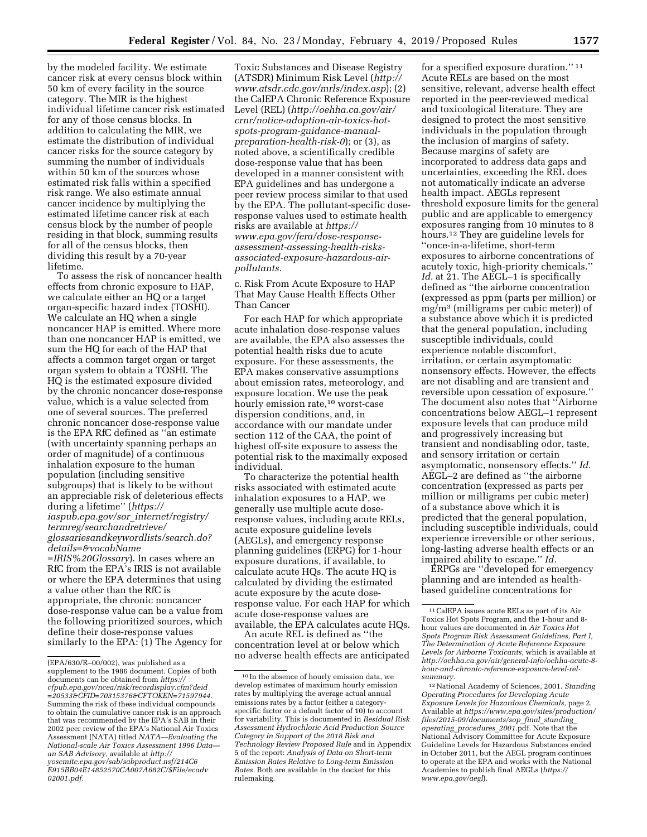by the modeled facility. We estimate cancer risk at every census block within 50 km of every facility in the source category. The MIR is the highest individual lifetime cancer risk estimated for any of those census blocks. In addition to calculating the MIR, we estimate the distribution of individual cancer risks for the source category by summing the number of individuals within 50 km of the sources whose estimated risk falls within a specified risk range. We also estimate annual cancer incidence by multiplying the estimated lifetime cancer risk at each census block by the number of people residing in that block, summing results for all of the census blocks, then dividing this result by a 70-year lifetime.

To assess the risk of noncancer health effects from chronic exposure to HAP, we calculate either an HQ or a target organ-specific hazard index (TOSHI). We calculate an HQ when a single noncancer HAP is emitted. Where more than one noncancer HAP is emitted, we sum the HQ for each of the HAP that affects a common target organ or target organ system to obtain a TOSHI. The HQ is the estimated exposure divided by the chronic noncancer dose-response value, which is a value selected from one of several sources. The preferred chronic noncancer dose-response value is the EPA RfC defined as ''an estimate (with uncertainty spanning perhaps an order of magnitude) of a continuous inhalation exposure to the human population (including sensitive subgroups) that is likely to be without an appreciable risk of deleterious effects during a lifetime'' (*[https://](https://iaspub.epa.gov/sor_internet/registry/termreg/searchandretrieve/glossariesandkeywordlists/search.do?details=&vocabName=IRIS%20Glossary) [iaspub.epa.gov/sor](https://iaspub.epa.gov/sor_internet/registry/termreg/searchandretrieve/glossariesandkeywordlists/search.do?details=&vocabName=IRIS%20Glossary)*\_*internet/registry/ [termreg/searchandretrieve/](https://iaspub.epa.gov/sor_internet/registry/termreg/searchandretrieve/glossariesandkeywordlists/search.do?details=&vocabName=IRIS%20Glossary)  [glossariesandkeywordlists/search.do?](https://iaspub.epa.gov/sor_internet/registry/termreg/searchandretrieve/glossariesandkeywordlists/search.do?details=&vocabName=IRIS%20Glossary) [details=&vocabName](https://iaspub.epa.gov/sor_internet/registry/termreg/searchandretrieve/glossariesandkeywordlists/search.do?details=&vocabName=IRIS%20Glossary)*

*[=IRIS%20Glossary](https://iaspub.epa.gov/sor_internet/registry/termreg/searchandretrieve/glossariesandkeywordlists/search.do?details=&vocabName=IRIS%20Glossary)*). In cases where an RfC from the EPA's IRIS is not available or where the EPA determines that using a value other than the RfC is appropriate, the chronic noncancer dose-response value can be a value from the following prioritized sources, which define their dose-response values similarly to the EPA: (1) The Agency for

Toxic Substances and Disease Registry (ATSDR) Minimum Risk Level (*[http://](http://www.atsdr.cdc.gov/mrls/index.asp) [www.atsdr.cdc.gov/mrls/index.asp](http://www.atsdr.cdc.gov/mrls/index.asp)*); (2) the CalEPA Chronic Reference Exposure Level (REL) (*[http://oehha.ca.gov/air/](http://oehha.ca.gov/air/crnr/notice-adoption-air-toxics-hot-spots-program-guidance-manual-preparation-health-risk-0)  [crnr/notice-adoption-air-toxics-hot](http://oehha.ca.gov/air/crnr/notice-adoption-air-toxics-hot-spots-program-guidance-manual-preparation-health-risk-0)[spots-program-guidance-manual](http://oehha.ca.gov/air/crnr/notice-adoption-air-toxics-hot-spots-program-guidance-manual-preparation-health-risk-0)[preparation-health-risk-0](http://oehha.ca.gov/air/crnr/notice-adoption-air-toxics-hot-spots-program-guidance-manual-preparation-health-risk-0)*); or (3), as noted above, a scientifically credible dose-response value that has been developed in a manner consistent with EPA guidelines and has undergone a peer review process similar to that used by the EPA. The pollutant-specific doseresponse values used to estimate health risks are available at *[https://](https://www.epa.gov/fera/dose-response-assessment-assessing-health-risks-associated-exposure-hazardous-air-pollutants) [www.epa.gov/fera/dose-response](https://www.epa.gov/fera/dose-response-assessment-assessing-health-risks-associated-exposure-hazardous-air-pollutants)[assessment-assessing-health-risks](https://www.epa.gov/fera/dose-response-assessment-assessing-health-risks-associated-exposure-hazardous-air-pollutants)[associated-exposure-hazardous-air](https://www.epa.gov/fera/dose-response-assessment-assessing-health-risks-associated-exposure-hazardous-air-pollutants)[pollutants.](https://www.epa.gov/fera/dose-response-assessment-assessing-health-risks-associated-exposure-hazardous-air-pollutants)* 

c. Risk From Acute Exposure to HAP That May Cause Health Effects Other Than Cancer

For each HAP for which appropriate acute inhalation dose-response values are available, the EPA also assesses the potential health risks due to acute exposure. For these assessments, the EPA makes conservative assumptions about emission rates, meteorology, and exposure location. We use the peak hourly emission rate,<sup>10</sup> worst-case dispersion conditions, and, in accordance with our mandate under section 112 of the CAA, the point of highest off-site exposure to assess the potential risk to the maximally exposed individual.

To characterize the potential health risks associated with estimated acute inhalation exposures to a HAP, we generally use multiple acute doseresponse values, including acute RELs, acute exposure guideline levels (AEGLs), and emergency response planning guidelines (ERPG) for 1-hour exposure durations, if available, to calculate acute HQs. The acute HQ is calculated by dividing the estimated acute exposure by the acute doseresponse value. For each HAP for which acute dose-response values are available, the EPA calculates acute HQs.

An acute REL is defined as ''the concentration level at or below which no adverse health effects are anticipated

for a specified exposure duration.'' 11 Acute RELs are based on the most sensitive, relevant, adverse health effect reported in the peer-reviewed medical and toxicological literature. They are designed to protect the most sensitive individuals in the population through the inclusion of margins of safety. Because margins of safety are incorporated to address data gaps and uncertainties, exceeding the REL does not automatically indicate an adverse health impact. AEGLs represent threshold exposure limits for the general public and are applicable to emergency exposures ranging from 10 minutes to 8 hours.12 They are guideline levels for ''once-in-a-lifetime, short-term exposures to airborne concentrations of acutely toxic, high-priority chemicals.'' *Id.* at 21. The AEGL–1 is specifically defined as ''the airborne concentration (expressed as ppm (parts per million) or mg/m3 (milligrams per cubic meter)) of a substance above which it is predicted that the general population, including susceptible individuals, could experience notable discomfort, irritation, or certain asymptomatic nonsensory effects. However, the effects are not disabling and are transient and reversible upon cessation of exposure.'' The document also notes that ''Airborne concentrations below AEGL–1 represent exposure levels that can produce mild and progressively increasing but transient and nondisabling odor, taste, and sensory irritation or certain asymptomatic, nonsensory effects.'' *Id.*  AEGL–2 are defined as ''the airborne concentration (expressed as parts per million or milligrams per cubic meter) of a substance above which it is predicted that the general population, including susceptible individuals, could experience irreversible or other serious, long-lasting adverse health effects or an impaired ability to escape.'' *Id.* 

ERPGs are ''developed for emergency planning and are intended as healthbased guideline concentrations for

<sup>(</sup>EPA/630/R–00/002), was published as a supplement to the 1986 document. Copies of both documents can be obtained from *[https://](https://cfpub.epa.gov/ncea/risk/recordisplay.cfm?deid=20533&CFID=70315376&CFTOKEN=71597944) [cfpub.epa.gov/ncea/risk/recordisplay.cfm?deid](https://cfpub.epa.gov/ncea/risk/recordisplay.cfm?deid=20533&CFID=70315376&CFTOKEN=71597944) [=20533&CFID=70315376&CFTOKEN=71597944.](https://cfpub.epa.gov/ncea/risk/recordisplay.cfm?deid=20533&CFID=70315376&CFTOKEN=71597944)*  Summing the risk of these individual compounds to obtain the cumulative cancer risk is an approach that was recommended by the EPA's SAB in their 2002 peer review of the EPA's National Air Toxics Assessment (NATA) titled *NATA—Evaluating the National-scale Air Toxics Assessment 1996 Data an SAB Advisory,* available at *[http://](http://yosemite.epa.gov/sab/sabproduct.nsf/214C6E915BB04E14852570CA007A682C/$File/ecadv02001.pdf) [yosemite.epa.gov/sab/sabproduct.nsf/214C6](http://yosemite.epa.gov/sab/sabproduct.nsf/214C6E915BB04E14852570CA007A682C/$File/ecadv02001.pdf) [E915BB04E14852570CA007A682C/\\$File/ecadv](http://yosemite.epa.gov/sab/sabproduct.nsf/214C6E915BB04E14852570CA007A682C/$File/ecadv02001.pdf) [02001.pdf.](http://yosemite.epa.gov/sab/sabproduct.nsf/214C6E915BB04E14852570CA007A682C/$File/ecadv02001.pdf)* 

<sup>10</sup> In the absence of hourly emission data, we develop estimates of maximum hourly emission rates by multiplying the average actual annual emissions rates by a factor (either a categoryspecific factor or a default factor of 10) to account for variability. This is documented in *Residual Risk Assessment Hydrochloric Acid Production Source Category in Support of the 2018 Risk and Technology Review Proposed Rule* and in Appendix 5 of the report: *Analysis of Data on Short-term Emission Rates Relative to Long-term Emission Rates.* Both are available in the docket for this rulemaking.

<sup>11</sup>CalEPA issues acute RELs as part of its Air Toxics Hot Spots Program, and the 1-hour and 8 hour values are documented in *Air Toxics Hot Spots Program Risk Assessment Guidelines, Part I, The Determination of Acute Reference Exposure Levels for Airborne Toxicants,* which is available at *[http://oehha.ca.gov/air/general-info/oehha-acute-8](http://oehha.ca.gov/air/general-info/oehha-acute-8-hour-and-chronic-reference-exposure-level-rel-summary)  [hour-and-chronic-reference-exposure-level-rel](http://oehha.ca.gov/air/general-info/oehha-acute-8-hour-and-chronic-reference-exposure-level-rel-summary)[summary.](http://oehha.ca.gov/air/general-info/oehha-acute-8-hour-and-chronic-reference-exposure-level-rel-summary)* 

<sup>12</sup>National Academy of Sciences, 2001. *Standing Operating Procedures for Developing Acute Exposure Levels for Hazardous Chemicals,* page 2. Available at *[https://www.epa.gov/sites/production/](https://www.epa.gov/sites/production/files/2015-09/documents/sop_final_standing_operating_procedures_2001)  [files/2015-09/documents/sop](https://www.epa.gov/sites/production/files/2015-09/documents/sop_final_standing_operating_procedures_2001)*\_*final*\_*standing*\_ *operating*\_*[procedures](https://www.epa.gov/sites/production/files/2015-09/documents/sop_final_standing_operating_procedures_2001)*\_*2001.*pdf. Note that the National Advisory Committee for Acute Exposure Guideline Levels for Hazardous Substances ended in October 2011, but the AEGL program continues to operate at the EPA and works with the National Academies to publish final AEGLs (*[https://](https://www.epa.gov/aegl) [www.epa.gov/aegl](https://www.epa.gov/aegl)*).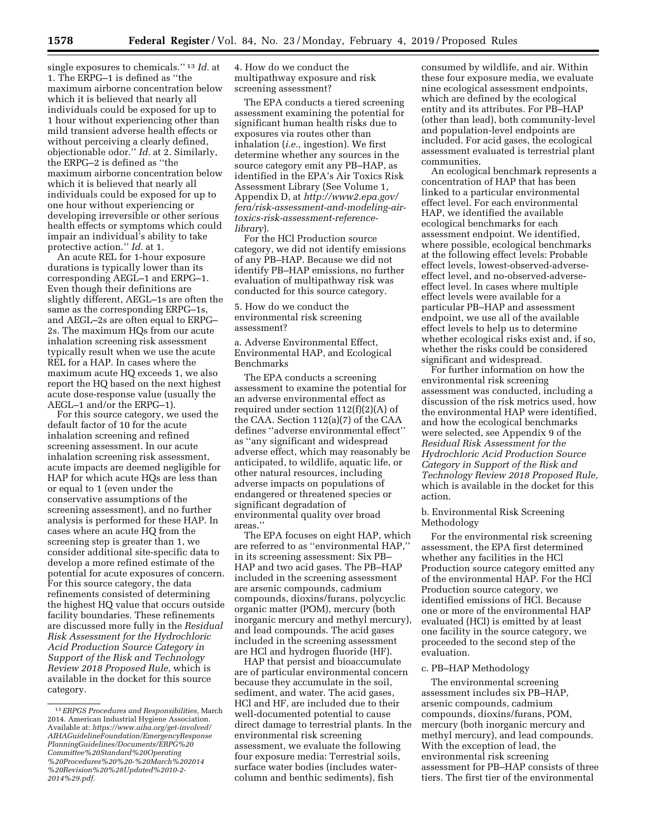single exposures to chemicals.'' 13 *Id.* at 1. The ERPG–1 is defined as ''the maximum airborne concentration below which it is believed that nearly all individuals could be exposed for up to 1 hour without experiencing other than mild transient adverse health effects or without perceiving a clearly defined, objectionable odor.'' *Id.* at 2. Similarly, the ERPG–2 is defined as ''the maximum airborne concentration below which it is believed that nearly all individuals could be exposed for up to one hour without experiencing or developing irreversible or other serious health effects or symptoms which could impair an individual's ability to take protective action.'' *Id.* at 1.

An acute REL for 1-hour exposure durations is typically lower than its corresponding AEGL–1 and ERPG–1. Even though their definitions are slightly different, AEGL–1s are often the same as the corresponding ERPG–1s, and AEGL–2s are often equal to ERPG– 2s. The maximum HQs from our acute inhalation screening risk assessment typically result when we use the acute REL for a HAP. In cases where the maximum acute HQ exceeds 1, we also report the HQ based on the next highest acute dose-response value (usually the AEGL–1 and/or the ERPG–1).

For this source category, we used the default factor of 10 for the acute inhalation screening and refined screening assessment. In our acute inhalation screening risk assessment, acute impacts are deemed negligible for HAP for which acute HQs are less than or equal to 1 (even under the conservative assumptions of the screening assessment), and no further analysis is performed for these HAP. In cases where an acute HQ from the screening step is greater than 1, we consider additional site-specific data to develop a more refined estimate of the potential for acute exposures of concern. For this source category, the data refinements consisted of determining the highest HQ value that occurs outside facility boundaries. These refinements are discussed more fully in the *Residual Risk Assessment for the Hydrochloric Acid Production Source Category in Support of the Risk and Technology Review 2018 Proposed Rule,* which is available in the docket for this source category.

4. How do we conduct the multipathway exposure and risk screening assessment?

The EPA conducts a tiered screening assessment examining the potential for significant human health risks due to exposures via routes other than inhalation (*i.e.,* ingestion). We first determine whether any sources in the source category emit any PB–HAP, as identified in the EPA's Air Toxics Risk Assessment Library (See Volume 1, Appendix D, at *[http://www2.epa.gov/](http://www2.epa.gov/fera/risk-assessment-and-modeling-air-toxics-risk-assessment-reference-library) [fera/risk-assessment-and-modeling-air](http://www2.epa.gov/fera/risk-assessment-and-modeling-air-toxics-risk-assessment-reference-library)[toxics-risk-assessment-reference](http://www2.epa.gov/fera/risk-assessment-and-modeling-air-toxics-risk-assessment-reference-library)[library](http://www2.epa.gov/fera/risk-assessment-and-modeling-air-toxics-risk-assessment-reference-library)*).

For the HCl Production source category, we did not identify emissions of any PB–HAP. Because we did not identify PB–HAP emissions, no further evaluation of multipathway risk was conducted for this source category.

### 5. How do we conduct the environmental risk screening assessment?

a. Adverse Environmental Effect, Environmental HAP, and Ecological Benchmarks

The EPA conducts a screening assessment to examine the potential for an adverse environmental effect as required under section 112(f)(2)(A) of the CAA. Section 112(a)(7) of the CAA defines ''adverse environmental effect'' as ''any significant and widespread adverse effect, which may reasonably be anticipated, to wildlife, aquatic life, or other natural resources, including adverse impacts on populations of endangered or threatened species or significant degradation of environmental quality over broad areas.''

The EPA focuses on eight HAP, which are referred to as ''environmental HAP,'' in its screening assessment: Six PB– HAP and two acid gases. The PB–HAP included in the screening assessment are arsenic compounds, cadmium compounds, dioxins/furans, polycyclic organic matter (POM), mercury (both inorganic mercury and methyl mercury), and lead compounds. The acid gases included in the screening assessment are HCl and hydrogen fluoride (HF).

HAP that persist and bioaccumulate are of particular environmental concern because they accumulate in the soil, sediment, and water. The acid gases, HCl and HF, are included due to their well-documented potential to cause direct damage to terrestrial plants. In the environmental risk screening assessment, we evaluate the following four exposure media: Terrestrial soils, surface water bodies (includes watercolumn and benthic sediments), fish

consumed by wildlife, and air. Within these four exposure media, we evaluate nine ecological assessment endpoints, which are defined by the ecological entity and its attributes. For PB–HAP (other than lead), both community-level and population-level endpoints are included. For acid gases, the ecological assessment evaluated is terrestrial plant communities.

An ecological benchmark represents a concentration of HAP that has been linked to a particular environmental effect level. For each environmental HAP, we identified the available ecological benchmarks for each assessment endpoint. We identified, where possible, ecological benchmarks at the following effect levels: Probable effect levels, lowest-observed-adverseeffect level, and no-observed-adverseeffect level. In cases where multiple effect levels were available for a particular PB–HAP and assessment endpoint, we use all of the available effect levels to help us to determine whether ecological risks exist and, if so, whether the risks could be considered significant and widespread.

For further information on how the environmental risk screening assessment was conducted, including a discussion of the risk metrics used, how the environmental HAP were identified, and how the ecological benchmarks were selected, see Appendix 9 of the *Residual Risk Assessment for the Hydrochloric Acid Production Source Category in Support of the Risk and Technology Review 2018 Proposed Rule,*  which is available in the docket for this action.

### b. Environmental Risk Screening Methodology

For the environmental risk screening assessment, the EPA first determined whether any facilities in the HCl Production source category emitted any of the environmental HAP. For the HCl Production source category, we identified emissions of HCl. Because one or more of the environmental HAP evaluated (HCl) is emitted by at least one facility in the source category, we proceeded to the second step of the evaluation.

#### c. PB–HAP Methodology

The environmental screening assessment includes six PB–HAP, arsenic compounds, cadmium compounds, dioxins/furans, POM, mercury (both inorganic mercury and methyl mercury), and lead compounds. With the exception of lead, the environmental risk screening assessment for PB–HAP consists of three tiers. The first tier of the environmental

<sup>13</sup>*ERPGS Procedures and Responsibilities,* March 2014. American Industrial Hygiene Association. Available at: *[https://www.aiha.org/get-involved/](https://www.aiha.org/get-involved/AIHAGuidelineFoundation/EmergencyResponsePlanningGuidelines/Documents/ERPG%20Committee%20Standard%20Operating%20Procedures%20%20-%20March%202014%20Revision%20%28Updated%2010-2-2014%29.pdf) [AIHAGuidelineFoundation/EmergencyResponse](https://www.aiha.org/get-involved/AIHAGuidelineFoundation/EmergencyResponsePlanningGuidelines/Documents/ERPG%20Committee%20Standard%20Operating%20Procedures%20%20-%20March%202014%20Revision%20%28Updated%2010-2-2014%29.pdf) [PlanningGuidelines/Documents/ERPG%20](https://www.aiha.org/get-involved/AIHAGuidelineFoundation/EmergencyResponsePlanningGuidelines/Documents/ERPG%20Committee%20Standard%20Operating%20Procedures%20%20-%20March%202014%20Revision%20%28Updated%2010-2-2014%29.pdf) [Committee%20Standard%20Operating](https://www.aiha.org/get-involved/AIHAGuidelineFoundation/EmergencyResponsePlanningGuidelines/Documents/ERPG%20Committee%20Standard%20Operating%20Procedures%20%20-%20March%202014%20Revision%20%28Updated%2010-2-2014%29.pdf) [%20Procedures%20%20-%20March%202014](https://www.aiha.org/get-involved/AIHAGuidelineFoundation/EmergencyResponsePlanningGuidelines/Documents/ERPG%20Committee%20Standard%20Operating%20Procedures%20%20-%20March%202014%20Revision%20%28Updated%2010-2-2014%29.pdf) [%20Revision%20%28Updated%2010-2-](https://www.aiha.org/get-involved/AIHAGuidelineFoundation/EmergencyResponsePlanningGuidelines/Documents/ERPG%20Committee%20Standard%20Operating%20Procedures%20%20-%20March%202014%20Revision%20%28Updated%2010-2-2014%29.pdf) [2014%29.pdf.](https://www.aiha.org/get-involved/AIHAGuidelineFoundation/EmergencyResponsePlanningGuidelines/Documents/ERPG%20Committee%20Standard%20Operating%20Procedures%20%20-%20March%202014%20Revision%20%28Updated%2010-2-2014%29.pdf)*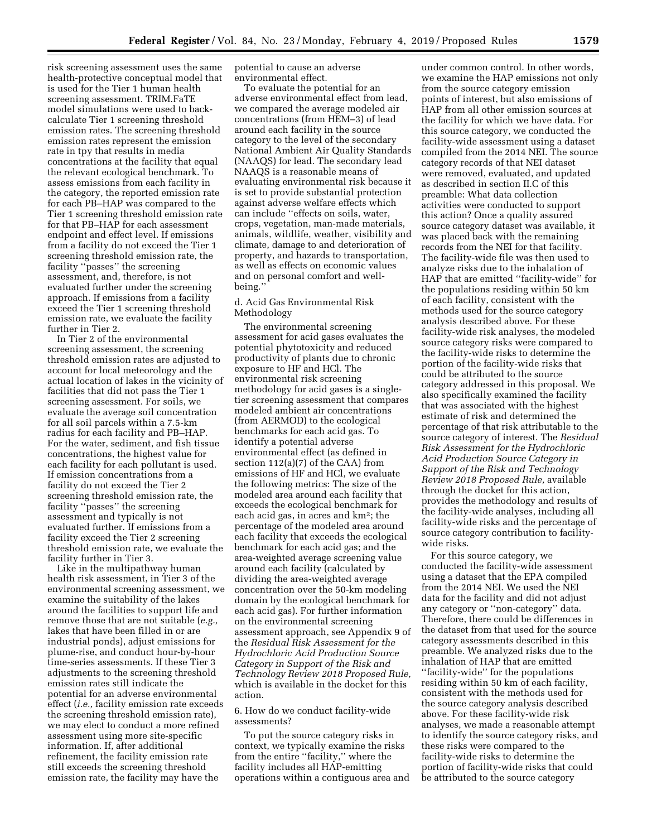risk screening assessment uses the same health-protective conceptual model that is used for the Tier 1 human health screening assessment. TRIM.FaTE model simulations were used to backcalculate Tier 1 screening threshold emission rates. The screening threshold emission rates represent the emission rate in tpy that results in media concentrations at the facility that equal the relevant ecological benchmark. To assess emissions from each facility in the category, the reported emission rate for each PB–HAP was compared to the Tier 1 screening threshold emission rate for that PB–HAP for each assessment endpoint and effect level. If emissions from a facility do not exceed the Tier 1 screening threshold emission rate, the facility ''passes'' the screening assessment, and, therefore, is not evaluated further under the screening approach. If emissions from a facility exceed the Tier 1 screening threshold emission rate, we evaluate the facility further in Tier 2.

In Tier 2 of the environmental screening assessment, the screening threshold emission rates are adjusted to account for local meteorology and the actual location of lakes in the vicinity of facilities that did not pass the Tier 1 screening assessment. For soils, we evaluate the average soil concentration for all soil parcels within a 7.5-km radius for each facility and PB–HAP. For the water, sediment, and fish tissue concentrations, the highest value for each facility for each pollutant is used. If emission concentrations from a facility do not exceed the Tier 2 screening threshold emission rate, the facility ''passes'' the screening assessment and typically is not evaluated further. If emissions from a facility exceed the Tier 2 screening threshold emission rate, we evaluate the facility further in Tier 3.

Like in the multipathway human health risk assessment, in Tier 3 of the environmental screening assessment, we examine the suitability of the lakes around the facilities to support life and remove those that are not suitable (*e.g.,*  lakes that have been filled in or are industrial ponds), adjust emissions for plume-rise, and conduct hour-by-hour time-series assessments. If these Tier 3 adjustments to the screening threshold emission rates still indicate the potential for an adverse environmental effect (*i.e.,* facility emission rate exceeds the screening threshold emission rate), we may elect to conduct a more refined assessment using more site-specific information. If, after additional refinement, the facility emission rate still exceeds the screening threshold emission rate, the facility may have the

potential to cause an adverse environmental effect.

To evaluate the potential for an adverse environmental effect from lead, we compared the average modeled air concentrations (from HEM–3) of lead around each facility in the source category to the level of the secondary National Ambient Air Quality Standards (NAAQS) for lead. The secondary lead NAAQS is a reasonable means of evaluating environmental risk because it is set to provide substantial protection against adverse welfare effects which can include ''effects on soils, water, crops, vegetation, man-made materials, animals, wildlife, weather, visibility and climate, damage to and deterioration of property, and hazards to transportation, as well as effects on economic values and on personal comfort and wellbeing.''

d. Acid Gas Environmental Risk Methodology

The environmental screening assessment for acid gases evaluates the potential phytotoxicity and reduced productivity of plants due to chronic exposure to HF and HCl. The environmental risk screening methodology for acid gases is a singletier screening assessment that compares modeled ambient air concentrations (from AERMOD) to the ecological benchmarks for each acid gas. To identify a potential adverse environmental effect (as defined in section 112(a)(7) of the CAA) from emissions of HF and HCl, we evaluate the following metrics: The size of the modeled area around each facility that exceeds the ecological benchmark for each acid gas, in acres and km2; the percentage of the modeled area around each facility that exceeds the ecological benchmark for each acid gas; and the area-weighted average screening value around each facility (calculated by dividing the area-weighted average concentration over the 50-km modeling domain by the ecological benchmark for each acid gas). For further information on the environmental screening assessment approach, see Appendix 9 of the *Residual Risk Assessment for the Hydrochloric Acid Production Source Category in Support of the Risk and Technology Review 2018 Proposed Rule,*  which is available in the docket for this action.

6. How do we conduct facility-wide assessments?

To put the source category risks in context, we typically examine the risks from the entire ''facility,'' where the facility includes all HAP-emitting operations within a contiguous area and

under common control. In other words, we examine the HAP emissions not only from the source category emission points of interest, but also emissions of HAP from all other emission sources at the facility for which we have data. For this source category, we conducted the facility-wide assessment using a dataset compiled from the 2014 NEI. The source category records of that NEI dataset were removed, evaluated, and updated as described in section II.C of this preamble: What data collection activities were conducted to support this action? Once a quality assured source category dataset was available, it was placed back with the remaining records from the NEI for that facility. The facility-wide file was then used to analyze risks due to the inhalation of HAP that are emitted ''facility-wide'' for the populations residing within 50 km of each facility, consistent with the methods used for the source category analysis described above. For these facility-wide risk analyses, the modeled source category risks were compared to the facility-wide risks to determine the portion of the facility-wide risks that could be attributed to the source category addressed in this proposal. We also specifically examined the facility that was associated with the highest estimate of risk and determined the percentage of that risk attributable to the source category of interest. The *Residual Risk Assessment for the Hydrochloric Acid Production Source Category in Support of the Risk and Technology Review 2018 Proposed Rule,* available through the docket for this action, provides the methodology and results of the facility-wide analyses, including all facility-wide risks and the percentage of source category contribution to facilitywide risks.

For this source category, we conducted the facility-wide assessment using a dataset that the EPA compiled from the 2014 NEI. We used the NEI data for the facility and did not adjust any category or ''non-category'' data. Therefore, there could be differences in the dataset from that used for the source category assessments described in this preamble. We analyzed risks due to the inhalation of HAP that are emitted ''facility-wide'' for the populations residing within 50 km of each facility, consistent with the methods used for the source category analysis described above. For these facility-wide risk analyses, we made a reasonable attempt to identify the source category risks, and these risks were compared to the facility-wide risks to determine the portion of facility-wide risks that could be attributed to the source category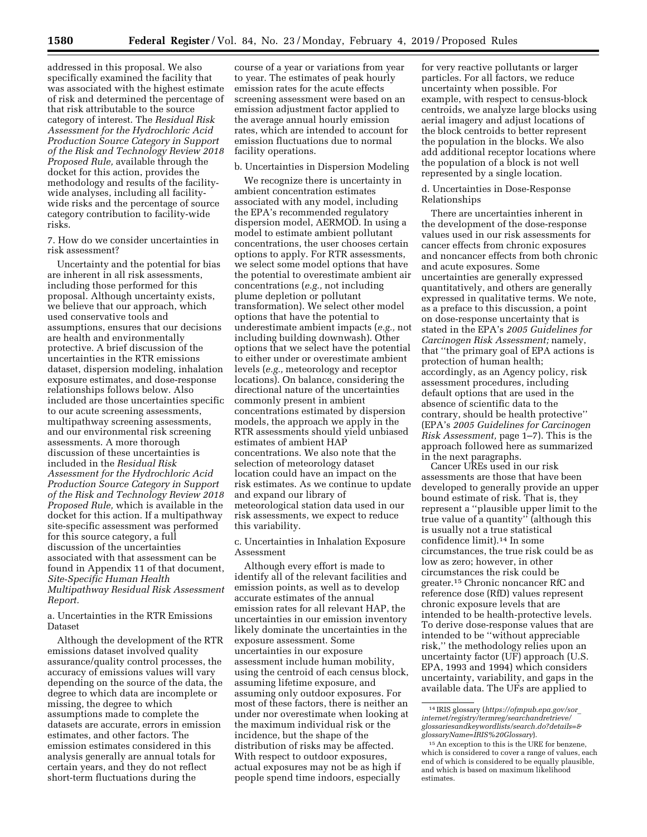addressed in this proposal. We also specifically examined the facility that was associated with the highest estimate of risk and determined the percentage of that risk attributable to the source category of interest. The *Residual Risk Assessment for the Hydrochloric Acid Production Source Category in Support of the Risk and Technology Review 2018 Proposed Rule,* available through the docket for this action, provides the methodology and results of the facilitywide analyses, including all facilitywide risks and the percentage of source category contribution to facility-wide risks.

7. How do we consider uncertainties in risk assessment?

Uncertainty and the potential for bias are inherent in all risk assessments, including those performed for this proposal. Although uncertainty exists, we believe that our approach, which used conservative tools and assumptions, ensures that our decisions are health and environmentally protective. A brief discussion of the uncertainties in the RTR emissions dataset, dispersion modeling, inhalation exposure estimates, and dose-response relationships follows below. Also included are those uncertainties specific to our acute screening assessments, multipathway screening assessments, and our environmental risk screening assessments. A more thorough discussion of these uncertainties is included in the *Residual Risk Assessment for the Hydrochloric Acid Production Source Category in Support of the Risk and Technology Review 2018 Proposed Rule,* which is available in the docket for this action. If a multipathway site-specific assessment was performed for this source category, a full discussion of the uncertainties associated with that assessment can be found in Appendix 11 of that document, *Site-Specific Human Health Multipathway Residual Risk Assessment Report.* 

a. Uncertainties in the RTR Emissions **Dataset** 

Although the development of the RTR emissions dataset involved quality assurance/quality control processes, the accuracy of emissions values will vary depending on the source of the data, the degree to which data are incomplete or missing, the degree to which assumptions made to complete the datasets are accurate, errors in emission estimates, and other factors. The emission estimates considered in this analysis generally are annual totals for certain years, and they do not reflect short-term fluctuations during the

course of a year or variations from year to year. The estimates of peak hourly emission rates for the acute effects screening assessment were based on an emission adjustment factor applied to the average annual hourly emission rates, which are intended to account for emission fluctuations due to normal facility operations.

#### b. Uncertainties in Dispersion Modeling

We recognize there is uncertainty in ambient concentration estimates associated with any model, including the EPA's recommended regulatory dispersion model, AERMOD. In using a model to estimate ambient pollutant concentrations, the user chooses certain options to apply. For RTR assessments, we select some model options that have the potential to overestimate ambient air concentrations (*e.g.,* not including plume depletion or pollutant transformation). We select other model options that have the potential to underestimate ambient impacts (*e.g.,* not including building downwash). Other options that we select have the potential to either under or overestimate ambient levels (*e.g.,* meteorology and receptor locations). On balance, considering the directional nature of the uncertainties commonly present in ambient concentrations estimated by dispersion models, the approach we apply in the RTR assessments should yield unbiased estimates of ambient HAP concentrations. We also note that the selection of meteorology dataset location could have an impact on the risk estimates. As we continue to update and expand our library of meteorological station data used in our risk assessments, we expect to reduce this variability.

c. Uncertainties in Inhalation Exposure Assessment

Although every effort is made to identify all of the relevant facilities and emission points, as well as to develop accurate estimates of the annual emission rates for all relevant HAP, the uncertainties in our emission inventory likely dominate the uncertainties in the exposure assessment. Some uncertainties in our exposure assessment include human mobility, using the centroid of each census block, assuming lifetime exposure, and assuming only outdoor exposures. For most of these factors, there is neither an under nor overestimate when looking at the maximum individual risk or the incidence, but the shape of the distribution of risks may be affected. With respect to outdoor exposures, actual exposures may not be as high if people spend time indoors, especially

for very reactive pollutants or larger particles. For all factors, we reduce uncertainty when possible. For example, with respect to census-block centroids, we analyze large blocks using aerial imagery and adjust locations of the block centroids to better represent the population in the blocks. We also add additional receptor locations where the population of a block is not well represented by a single location.

### d. Uncertainties in Dose-Response Relationships

There are uncertainties inherent in the development of the dose-response values used in our risk assessments for cancer effects from chronic exposures and noncancer effects from both chronic and acute exposures. Some uncertainties are generally expressed quantitatively, and others are generally expressed in qualitative terms. We note, as a preface to this discussion, a point on dose-response uncertainty that is stated in the EPA's *2005 Guidelines for Carcinogen Risk Assessment;* namely, that ''the primary goal of EPA actions is protection of human health; accordingly, as an Agency policy, risk assessment procedures, including default options that are used in the absence of scientific data to the contrary, should be health protective'' (EPA's *2005 Guidelines for Carcinogen Risk Assessment,* page 1–7). This is the approach followed here as summarized in the next paragraphs.

Cancer UREs used in our risk assessments are those that have been developed to generally provide an upper bound estimate of risk. That is, they represent a ''plausible upper limit to the true value of a quantity'' (although this is usually not a true statistical confidence limit).14 In some circumstances, the true risk could be as low as zero; however, in other circumstances the risk could be greater.15 Chronic noncancer RfC and reference dose (RfD) values represent chronic exposure levels that are intended to be health-protective levels. To derive dose-response values that are intended to be ''without appreciable risk,'' the methodology relies upon an uncertainty factor (UF) approach (U.S. EPA, 1993 and 1994) which considers uncertainty, variability, and gaps in the available data. The UFs are applied to

<sup>14</sup> IRIS glossary (*[https://ofmpub.epa.gov/sor](https://ofmpub.epa.gov/sor_internet/registry/termreg/searchandretrieve/glossariesandkeywordlists/search.do?details=&glossaryName=IRIS%20Glossary)*\_ *[internet/registry/termreg/searchandretrieve/](https://ofmpub.epa.gov/sor_internet/registry/termreg/searchandretrieve/glossariesandkeywordlists/search.do?details=&glossaryName=IRIS%20Glossary)  [glossariesandkeywordlists/search.do?details=&](https://ofmpub.epa.gov/sor_internet/registry/termreg/searchandretrieve/glossariesandkeywordlists/search.do?details=&glossaryName=IRIS%20Glossary) [glossaryName=IRIS%20Glossary](https://ofmpub.epa.gov/sor_internet/registry/termreg/searchandretrieve/glossariesandkeywordlists/search.do?details=&glossaryName=IRIS%20Glossary)*).

<sup>15</sup>An exception to this is the URE for benzene, which is considered to cover a range of values, each end of which is considered to be equally plausible, and which is based on maximum likelihood estimates.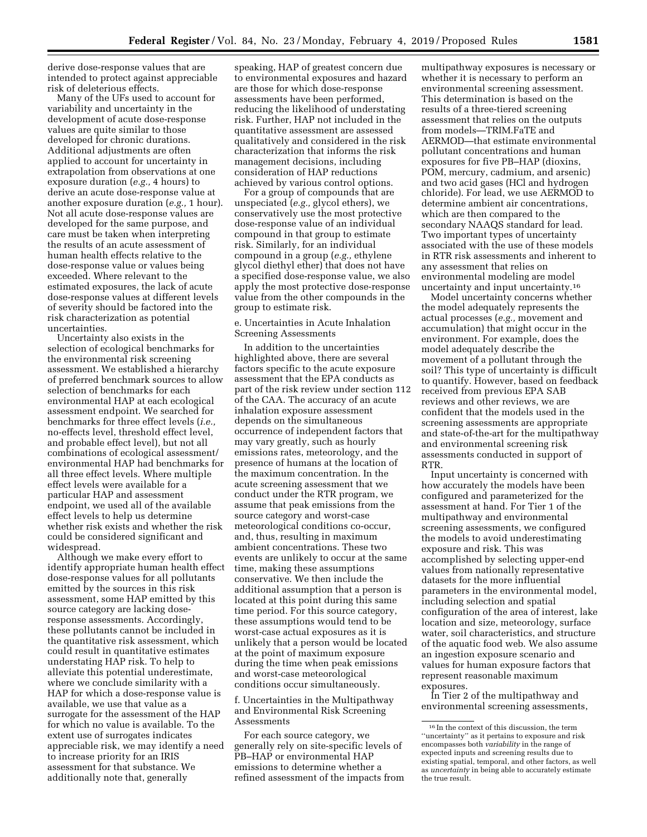derive dose-response values that are intended to protect against appreciable risk of deleterious effects.

Many of the UFs used to account for variability and uncertainty in the development of acute dose-response values are quite similar to those developed for chronic durations. Additional adjustments are often applied to account for uncertainty in extrapolation from observations at one exposure duration (*e.g.,* 4 hours) to derive an acute dose-response value at another exposure duration (*e.g.,* 1 hour). Not all acute dose-response values are developed for the same purpose, and care must be taken when interpreting the results of an acute assessment of human health effects relative to the dose-response value or values being exceeded. Where relevant to the estimated exposures, the lack of acute dose-response values at different levels of severity should be factored into the risk characterization as potential uncertainties.

Uncertainty also exists in the selection of ecological benchmarks for the environmental risk screening assessment. We established a hierarchy of preferred benchmark sources to allow selection of benchmarks for each environmental HAP at each ecological assessment endpoint. We searched for benchmarks for three effect levels (*i.e.,*  no-effects level, threshold effect level, and probable effect level), but not all combinations of ecological assessment/ environmental HAP had benchmarks for all three effect levels. Where multiple effect levels were available for a particular HAP and assessment endpoint, we used all of the available effect levels to help us determine whether risk exists and whether the risk could be considered significant and widespread.

Although we make every effort to identify appropriate human health effect dose-response values for all pollutants emitted by the sources in this risk assessment, some HAP emitted by this source category are lacking doseresponse assessments. Accordingly, these pollutants cannot be included in the quantitative risk assessment, which could result in quantitative estimates understating HAP risk. To help to alleviate this potential underestimate, where we conclude similarity with a HAP for which a dose-response value is available, we use that value as a surrogate for the assessment of the HAP for which no value is available. To the extent use of surrogates indicates appreciable risk, we may identify a need to increase priority for an IRIS assessment for that substance. We additionally note that, generally

speaking, HAP of greatest concern due to environmental exposures and hazard are those for which dose-response assessments have been performed, reducing the likelihood of understating risk. Further, HAP not included in the quantitative assessment are assessed qualitatively and considered in the risk characterization that informs the risk management decisions, including consideration of HAP reductions achieved by various control options.

For a group of compounds that are unspeciated (*e.g.,* glycol ethers), we conservatively use the most protective dose-response value of an individual compound in that group to estimate risk. Similarly, for an individual compound in a group (*e.g.,* ethylene glycol diethyl ether) that does not have a specified dose-response value, we also apply the most protective dose-response value from the other compounds in the group to estimate risk.

e. Uncertainties in Acute Inhalation Screening Assessments

In addition to the uncertainties highlighted above, there are several factors specific to the acute exposure assessment that the EPA conducts as part of the risk review under section 112 of the CAA. The accuracy of an acute inhalation exposure assessment depends on the simultaneous occurrence of independent factors that may vary greatly, such as hourly emissions rates, meteorology, and the presence of humans at the location of the maximum concentration. In the acute screening assessment that we conduct under the RTR program, we assume that peak emissions from the source category and worst-case meteorological conditions co-occur, and, thus, resulting in maximum ambient concentrations. These two events are unlikely to occur at the same time, making these assumptions conservative. We then include the additional assumption that a person is located at this point during this same time period. For this source category, these assumptions would tend to be worst-case actual exposures as it is unlikely that a person would be located at the point of maximum exposure during the time when peak emissions and worst-case meteorological conditions occur simultaneously.

f. Uncertainties in the Multipathway and Environmental Risk Screening Assessments

For each source category, we generally rely on site-specific levels of PB–HAP or environmental HAP emissions to determine whether a refined assessment of the impacts from multipathway exposures is necessary or whether it is necessary to perform an environmental screening assessment. This determination is based on the results of a three-tiered screening assessment that relies on the outputs from models—TRIM.FaTE and AERMOD—that estimate environmental pollutant concentrations and human exposures for five PB–HAP (dioxins, POM, mercury, cadmium, and arsenic) and two acid gases (HCl and hydrogen chloride). For lead, we use AERMOD to determine ambient air concentrations, which are then compared to the secondary NAAQS standard for lead. Two important types of uncertainty associated with the use of these models in RTR risk assessments and inherent to any assessment that relies on environmental modeling are model uncertainty and input uncertainty.16

Model uncertainty concerns whether the model adequately represents the actual processes (*e.g.,* movement and accumulation) that might occur in the environment. For example, does the model adequately describe the movement of a pollutant through the soil? This type of uncertainty is difficult to quantify. However, based on feedback received from previous EPA SAB reviews and other reviews, we are confident that the models used in the screening assessments are appropriate and state-of-the-art for the multipathway and environmental screening risk assessments conducted in support of RTR.

Input uncertainty is concerned with how accurately the models have been configured and parameterized for the assessment at hand. For Tier 1 of the multipathway and environmental screening assessments, we configured the models to avoid underestimating exposure and risk. This was accomplished by selecting upper-end values from nationally representative datasets for the more influential parameters in the environmental model, including selection and spatial configuration of the area of interest, lake location and size, meteorology, surface water, soil characteristics, and structure of the aquatic food web. We also assume an ingestion exposure scenario and values for human exposure factors that represent reasonable maximum exposures.

In Tier 2 of the multipathway and environmental screening assessments,

<sup>16</sup> In the context of this discussion, the term ''uncertainty'' as it pertains to exposure and risk encompasses both *variability* in the range of expected inputs and screening results due to existing spatial, temporal, and other factors, as well as *uncertainty* in being able to accurately estimate the true result.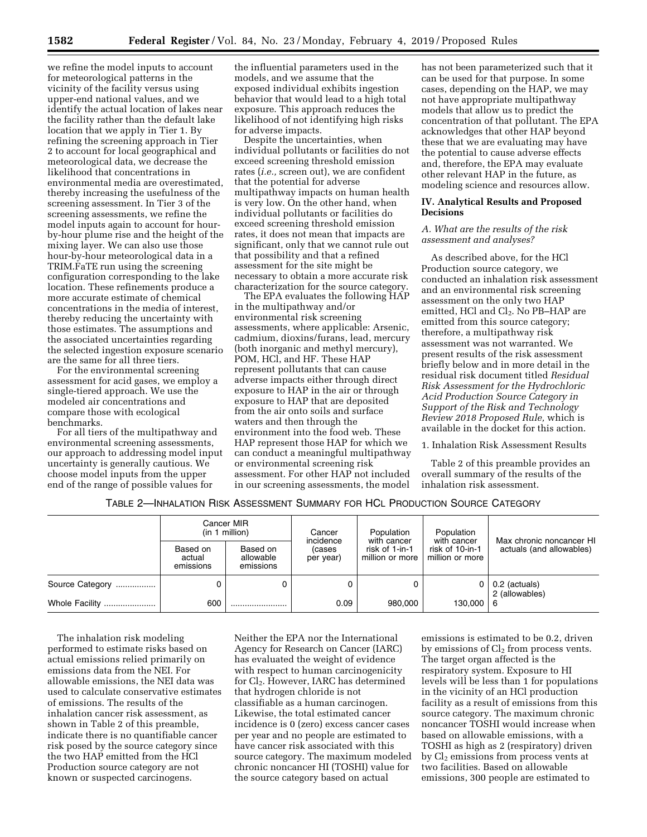we refine the model inputs to account for meteorological patterns in the vicinity of the facility versus using upper-end national values, and we identify the actual location of lakes near the facility rather than the default lake location that we apply in Tier 1. By refining the screening approach in Tier 2 to account for local geographical and meteorological data, we decrease the likelihood that concentrations in environmental media are overestimated, thereby increasing the usefulness of the screening assessment. In Tier 3 of the screening assessments, we refine the model inputs again to account for hourby-hour plume rise and the height of the mixing layer. We can also use those hour-by-hour meteorological data in a TRIM.FaTE run using the screening configuration corresponding to the lake location. These refinements produce a more accurate estimate of chemical concentrations in the media of interest, thereby reducing the uncertainty with those estimates. The assumptions and the associated uncertainties regarding the selected ingestion exposure scenario are the same for all three tiers.

For the environmental screening assessment for acid gases, we employ a single-tiered approach. We use the modeled air concentrations and compare those with ecological benchmarks.

For all tiers of the multipathway and environmental screening assessments, our approach to addressing model input uncertainty is generally cautious. We choose model inputs from the upper end of the range of possible values for

the influential parameters used in the models, and we assume that the exposed individual exhibits ingestion behavior that would lead to a high total exposure. This approach reduces the likelihood of not identifying high risks for adverse impacts.

Despite the uncertainties, when individual pollutants or facilities do not exceed screening threshold emission rates (*i.e.,* screen out), we are confident that the potential for adverse multipathway impacts on human health is very low. On the other hand, when individual pollutants or facilities do exceed screening threshold emission rates, it does not mean that impacts are significant, only that we cannot rule out that possibility and that a refined assessment for the site might be necessary to obtain a more accurate risk characterization for the source category.

The EPA evaluates the following HAP in the multipathway and/or environmental risk screening assessments, where applicable: Arsenic, cadmium, dioxins/furans, lead, mercury (both inorganic and methyl mercury), POM, HCl, and HF. These HAP represent pollutants that can cause adverse impacts either through direct exposure to HAP in the air or through exposure to HAP that are deposited from the air onto soils and surface waters and then through the environment into the food web. These HAP represent those HAP for which we can conduct a meaningful multipathway or environmental screening risk assessment. For other HAP not included in our screening assessments, the model

has not been parameterized such that it can be used for that purpose. In some cases, depending on the HAP, we may not have appropriate multipathway models that allow us to predict the concentration of that pollutant. The EPA acknowledges that other HAP beyond these that we are evaluating may have the potential to cause adverse effects and, therefore, the EPA may evaluate other relevant HAP in the future, as modeling science and resources allow.

# **IV. Analytical Results and Proposed Decisions**

### *A. What are the results of the risk assessment and analyses?*

As described above, for the HCl Production source category, we conducted an inhalation risk assessment and an environmental risk screening assessment on the only two HAP emitted, HCl and Cl<sub>2</sub>. No PB–HAP are emitted from this source category; therefore, a multipathway risk assessment was not warranted. We present results of the risk assessment briefly below and in more detail in the residual risk document titled *Residual Risk Assessment for the Hydrochloric Acid Production Source Category in Support of the Risk and Technology Review 2018 Proposed Rule,* which is available in the docket for this action.

1. Inhalation Risk Assessment Results

Table 2 of this preamble provides an overall summary of the results of the inhalation risk assessment.

#### TABLE 2—INHALATION RISK ASSESSMENT SUMMARY FOR HCL PRODUCTION SOURCE CATEGORY

|                 | Cancer MIR<br>(in 1 million)    |                                    | Cancer                           | Population                                       | Population                                        | Max chronic noncancer HI        |
|-----------------|---------------------------------|------------------------------------|----------------------------------|--------------------------------------------------|---------------------------------------------------|---------------------------------|
|                 | Based on<br>actual<br>emissions | Based on<br>allowable<br>emissions | incidence<br>(cases<br>per year) | with cancer<br>risk of 1-in-1<br>million or more | with cancer<br>risk of 10-in-1<br>million or more | actuals (and allowables)        |
| Source Category |                                 | 0                                  |                                  |                                                  |                                                   | 0.2 (actuals)<br>2 (allowables) |
| Whole Facility  | 600                             |                                    | 0.09                             | 980.000                                          | 130,000   6                                       |                                 |

The inhalation risk modeling performed to estimate risks based on actual emissions relied primarily on emissions data from the NEI. For allowable emissions, the NEI data was used to calculate conservative estimates of emissions. The results of the inhalation cancer risk assessment, as shown in Table 2 of this preamble, indicate there is no quantifiable cancer risk posed by the source category since the two HAP emitted from the HCl Production source category are not known or suspected carcinogens.

Neither the EPA nor the International Agency for Research on Cancer (IARC) has evaluated the weight of evidence with respect to human carcinogenicity for Cl<sub>2</sub>. However, IARC has determined that hydrogen chloride is not classifiable as a human carcinogen. Likewise, the total estimated cancer incidence is 0 (zero) excess cancer cases per year and no people are estimated to have cancer risk associated with this source category. The maximum modeled chronic noncancer HI (TOSHI) value for the source category based on actual

emissions is estimated to be 0.2, driven by emissions of  $Cl<sub>2</sub>$  from process vents. The target organ affected is the respiratory system. Exposure to HI levels will be less than 1 for populations in the vicinity of an HCl production facility as a result of emissions from this source category. The maximum chronic noncancer TOSHI would increase when based on allowable emissions, with a TOSHI as high as 2 (respiratory) driven by  $Cl<sub>2</sub>$  emissions from process vents at two facilities. Based on allowable emissions, 300 people are estimated to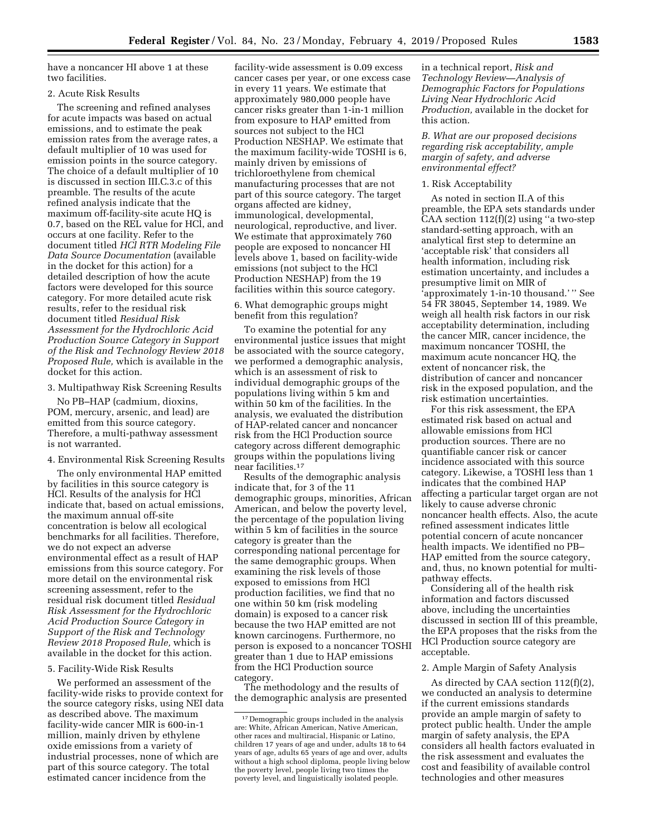have a noncancer HI above 1 at these two facilities.

### 2. Acute Risk Results

The screening and refined analyses for acute impacts was based on actual emissions, and to estimate the peak emission rates from the average rates, a default multiplier of 10 was used for emission points in the source category. The choice of a default multiplier of 10 is discussed in section III.C.3.c of this preamble. The results of the acute refined analysis indicate that the maximum off-facility-site acute HQ is 0.7, based on the REL value for HCl, and occurs at one facility. Refer to the document titled *HCl RTR Modeling File Data Source Documentation* (available in the docket for this action) for a detailed description of how the acute factors were developed for this source category. For more detailed acute risk results, refer to the residual risk document titled *Residual Risk Assessment for the Hydrochloric Acid Production Source Category in Support of the Risk and Technology Review 2018 Proposed Rule,* which is available in the docket for this action.

3. Multipathway Risk Screening Results

No PB–HAP (cadmium, dioxins, POM, mercury, arsenic, and lead) are emitted from this source category. Therefore, a multi-pathway assessment is not warranted.

4. Environmental Risk Screening Results

The only environmental HAP emitted by facilities in this source category is HCl. Results of the analysis for HCl indicate that, based on actual emissions, the maximum annual off-site concentration is below all ecological benchmarks for all facilities. Therefore, we do not expect an adverse environmental effect as a result of HAP emissions from this source category. For more detail on the environmental risk screening assessment, refer to the residual risk document titled *Residual Risk Assessment for the Hydrochloric Acid Production Source Category in Support of the Risk and Technology Review 2018 Proposed Rule,* which is available in the docket for this action.

### 5. Facility-Wide Risk Results

We performed an assessment of the facility-wide risks to provide context for the source category risks, using NEI data as described above. The maximum facility-wide cancer MIR is 600-in-1 million, mainly driven by ethylene oxide emissions from a variety of industrial processes, none of which are part of this source category. The total estimated cancer incidence from the

facility-wide assessment is 0.09 excess cancer cases per year, or one excess case in every 11 years. We estimate that approximately 980,000 people have cancer risks greater than 1-in-1 million from exposure to HAP emitted from sources not subject to the HCl Production NESHAP. We estimate that the maximum facility-wide TOSHI is 6, mainly driven by emissions of trichloroethylene from chemical manufacturing processes that are not part of this source category. The target organs affected are kidney, immunological, developmental, neurological, reproductive, and liver. We estimate that approximately 760 people are exposed to noncancer HI levels above 1, based on facility-wide emissions (not subject to the HCl Production NESHAP) from the 19 facilities within this source category.

6. What demographic groups might benefit from this regulation?

To examine the potential for any environmental justice issues that might be associated with the source category, we performed a demographic analysis, which is an assessment of risk to individual demographic groups of the populations living within 5 km and within 50 km of the facilities. In the analysis, we evaluated the distribution of HAP-related cancer and noncancer risk from the HCl Production source category across different demographic groups within the populations living near facilities.17

Results of the demographic analysis indicate that, for 3 of the 11 demographic groups, minorities, African American, and below the poverty level, the percentage of the population living within 5 km of facilities in the source category is greater than the corresponding national percentage for the same demographic groups. When examining the risk levels of those exposed to emissions from HCl production facilities, we find that no one within 50 km (risk modeling domain) is exposed to a cancer risk because the two HAP emitted are not known carcinogens. Furthermore, no person is exposed to a noncancer TOSHI greater than 1 due to HAP emissions from the HCl Production source category.

The methodology and the results of the demographic analysis are presented

in a technical report, *Risk and Technology Review—Analysis of Demographic Factors for Populations Living Near Hydrochloric Acid Production,* available in the docket for this action.

*B. What are our proposed decisions regarding risk acceptability, ample margin of safety, and adverse environmental effect?* 

### 1. Risk Acceptability

As noted in section II.A of this preamble, the EPA sets standards under CAA section 112(f)(2) using ''a two-step standard-setting approach, with an analytical first step to determine an 'acceptable risk' that considers all health information, including risk estimation uncertainty, and includes a presumptive limit on MIR of 'approximately 1-in-10 thousand.' '' See 54 FR 38045, September 14, 1989. We weigh all health risk factors in our risk acceptability determination, including the cancer MIR, cancer incidence, the maximum noncancer TOSHI, the maximum acute noncancer HQ, the extent of noncancer risk, the distribution of cancer and noncancer risk in the exposed population, and the risk estimation uncertainties.

For this risk assessment, the EPA estimated risk based on actual and allowable emissions from HCl production sources. There are no quantifiable cancer risk or cancer incidence associated with this source category. Likewise, a TOSHI less than 1 indicates that the combined HAP affecting a particular target organ are not likely to cause adverse chronic noncancer health effects. Also, the acute refined assessment indicates little potential concern of acute noncancer health impacts. We identified no PB– HAP emitted from the source category, and, thus, no known potential for multipathway effects.

Considering all of the health risk information and factors discussed above, including the uncertainties discussed in section III of this preamble, the EPA proposes that the risks from the HCl Production source category are acceptable.

### 2. Ample Margin of Safety Analysis

As directed by CAA section 112(f)(2), we conducted an analysis to determine if the current emissions standards provide an ample margin of safety to protect public health. Under the ample margin of safety analysis, the EPA considers all health factors evaluated in the risk assessment and evaluates the cost and feasibility of available control technologies and other measures

<sup>17</sup> Demographic groups included in the analysis are: White, African American, Native American, other races and multiracial, Hispanic or Latino, children 17 years of age and under, adults 18 to 64 years of age, adults 65 years of age and over, adults without a high school diploma, people living below the poverty level, people living two times the poverty level, and linguistically isolated people.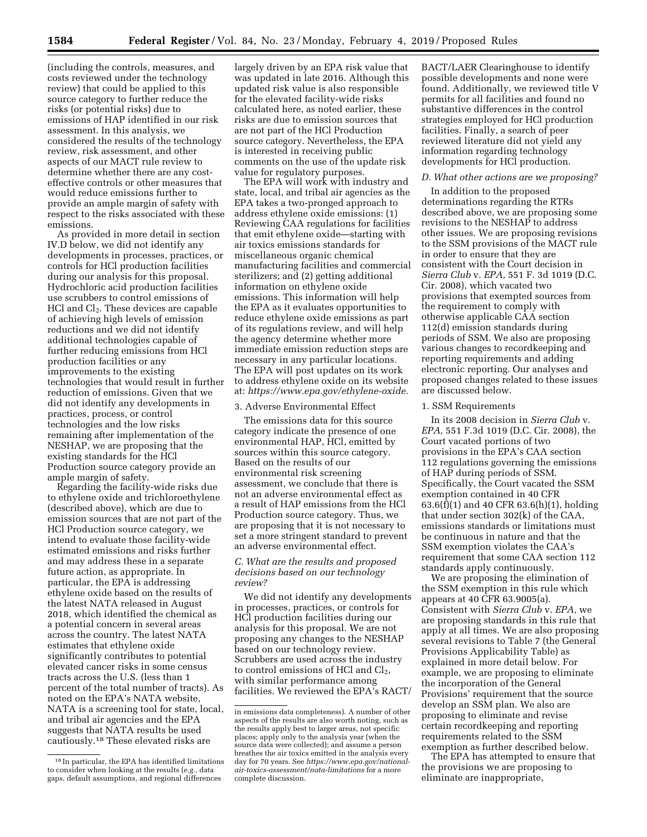(including the controls, measures, and costs reviewed under the technology review) that could be applied to this source category to further reduce the risks (or potential risks) due to emissions of HAP identified in our risk assessment. In this analysis, we considered the results of the technology review, risk assessment, and other aspects of our MACT rule review to determine whether there are any costeffective controls or other measures that would reduce emissions further to provide an ample margin of safety with respect to the risks associated with these emissions.

As provided in more detail in section IV.D below, we did not identify any developments in processes, practices, or controls for HCl production facilities during our analysis for this proposal. Hydrochloric acid production facilities use scrubbers to control emissions of  $HCl$  and  $Cl<sub>2</sub>$ . These devices are capable of achieving high levels of emission reductions and we did not identify additional technologies capable of further reducing emissions from HCl production facilities or any improvements to the existing technologies that would result in further reduction of emissions. Given that we did not identify any developments in practices, process, or control technologies and the low risks remaining after implementation of the NESHAP, we are proposing that the existing standards for the HCl Production source category provide an ample margin of safety.

Regarding the facility-wide risks due to ethylene oxide and trichloroethylene (described above), which are due to emission sources that are not part of the HCl Production source category, we intend to evaluate those facility-wide estimated emissions and risks further and may address these in a separate future action, as appropriate. In particular, the EPA is addressing ethylene oxide based on the results of the latest NATA released in August 2018, which identified the chemical as a potential concern in several areas across the country. The latest NATA estimates that ethylene oxide significantly contributes to potential elevated cancer risks in some census tracts across the U.S. (less than 1 percent of the total number of tracts). As noted on the EPA's NATA website, NATA is a screening tool for state, local, and tribal air agencies and the EPA suggests that NATA results be used cautiously.18 These elevated risks are

largely driven by an EPA risk value that was updated in late 2016. Although this updated risk value is also responsible for the elevated facility-wide risks calculated here, as noted earlier, these risks are due to emission sources that are not part of the HCl Production source category. Nevertheless, the EPA is interested in receiving public comments on the use of the update risk value for regulatory purposes.

The EPA will work with industry and state, local, and tribal air agencies as the EPA takes a two-pronged approach to address ethylene oxide emissions: (1) Reviewing CAA regulations for facilities that emit ethylene oxide—starting with air toxics emissions standards for miscellaneous organic chemical manufacturing facilities and commercial sterilizers; and (2) getting additional information on ethylene oxide emissions. This information will help the EPA as it evaluates opportunities to reduce ethylene oxide emissions as part of its regulations review, and will help the agency determine whether more immediate emission reduction steps are necessary in any particular locations. The EPA will post updates on its work to address ethylene oxide on its website at: *[https://www.epa.gov/ethylene-oxide.](https://www.epa.gov/ethylene-oxide)* 

### 3. Adverse Environmental Effect

The emissions data for this source category indicate the presence of one environmental HAP, HCl, emitted by sources within this source category. Based on the results of our environmental risk screening assessment, we conclude that there is not an adverse environmental effect as a result of HAP emissions from the HCl Production source category. Thus, we are proposing that it is not necessary to set a more stringent standard to prevent an adverse environmental effect.

#### *C. What are the results and proposed decisions based on our technology review?*

We did not identify any developments in processes, practices, or controls for HCl production facilities during our analysis for this proposal. We are not proposing any changes to the NESHAP based on our technology review. Scrubbers are used across the industry to control emissions of HCl and  $Cl<sub>2</sub>$ , with similar performance among facilities. We reviewed the EPA's RACT/

BACT/LAER Clearinghouse to identify possible developments and none were found. Additionally, we reviewed title V permits for all facilities and found no substantive differences in the control strategies employed for HCl production facilities. Finally, a search of peer reviewed literature did not yield any information regarding technology developments for HCl production.

#### *D. What other actions are we proposing?*

In addition to the proposed determinations regarding the RTRs described above, we are proposing some revisions to the NESHAP to address other issues. We are proposing revisions to the SSM provisions of the MACT rule in order to ensure that they are consistent with the Court decision in *Sierra Club* v. *EPA,* 551 F. 3d 1019 (D.C. Cir. 2008), which vacated two provisions that exempted sources from the requirement to comply with otherwise applicable CAA section 112(d) emission standards during periods of SSM. We also are proposing various changes to recordkeeping and reporting requirements and adding electronic reporting. Our analyses and proposed changes related to these issues are discussed below.

#### 1. SSM Requirements

In its 2008 decision in *Sierra Club* v. *EPA,* 551 F.3d 1019 (D.C. Cir. 2008), the Court vacated portions of two provisions in the EPA's CAA section 112 regulations governing the emissions of HAP during periods of SSM. Specifically, the Court vacated the SSM exemption contained in 40 CFR 63.6(f)(1) and 40 CFR 63.6(h)(1), holding that under section 302(k) of the CAA, emissions standards or limitations must be continuous in nature and that the SSM exemption violates the CAA's requirement that some CAA section 112 standards apply continuously.

We are proposing the elimination of the SSM exemption in this rule which appears at 40 CFR 63.9005(a). Consistent with *Sierra Club* v. *EPA,* we are proposing standards in this rule that apply at all times. We are also proposing several revisions to Table 7 (the General Provisions Applicability Table) as explained in more detail below. For example, we are proposing to eliminate the incorporation of the General Provisions' requirement that the source develop an SSM plan. We also are proposing to eliminate and revise certain recordkeeping and reporting requirements related to the SSM exemption as further described below.

The EPA has attempted to ensure that the provisions we are proposing to eliminate are inappropriate,

<sup>18</sup> In particular, the EPA has identified limitations to consider when looking at the results (*e.g.,* data gaps, default assumptions, and regional differences

in emissions data completeness). A number of other aspects of the results are also worth noting, such as the results apply best to larger areas, not specific places; apply only to the analysis year (when the source data were collected); and assume a person breathes the air toxics emitted in the analysis every day for 70 years. See *[https://www.epa.gov/national](https://www.epa.gov/national-air-toxics-assessment/nata-limitations)[air-toxics-assessment/nata-limitations](https://www.epa.gov/national-air-toxics-assessment/nata-limitations)* for a more complete discussion.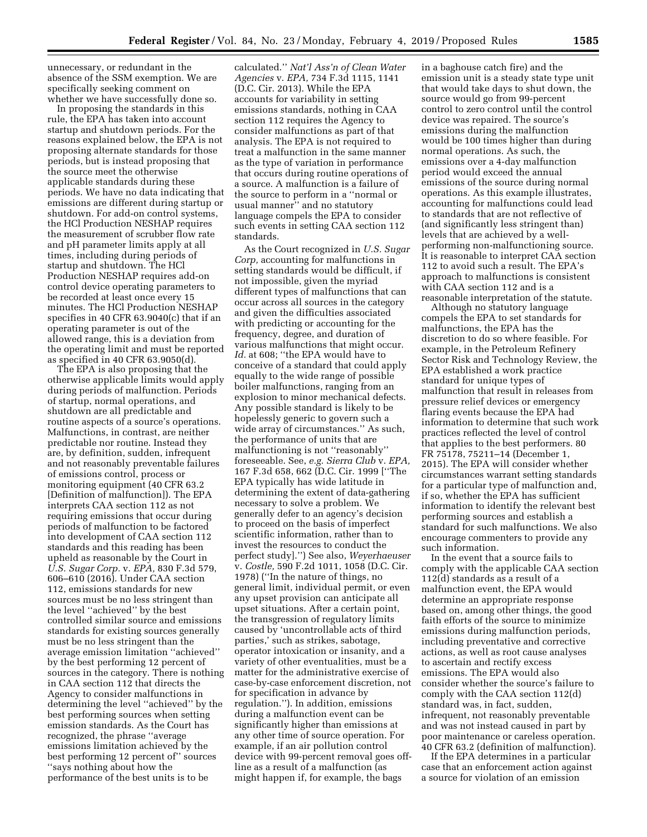unnecessary, or redundant in the absence of the SSM exemption. We are specifically seeking comment on whether we have successfully done so.

In proposing the standards in this rule, the EPA has taken into account startup and shutdown periods. For the reasons explained below, the EPA is not proposing alternate standards for those periods, but is instead proposing that the source meet the otherwise applicable standards during these periods. We have no data indicating that emissions are different during startup or shutdown. For add-on control systems, the HCl Production NESHAP requires the measurement of scrubber flow rate and pH parameter limits apply at all times, including during periods of startup and shutdown. The HCl Production NESHAP requires add-on control device operating parameters to be recorded at least once every 15 minutes. The HCl Production NESHAP specifies in 40 CFR 63.9040(c) that if an operating parameter is out of the allowed range, this is a deviation from the operating limit and must be reported as specified in 40 CFR 63.9050(d).

The EPA is also proposing that the otherwise applicable limits would apply during periods of malfunction. Periods of startup, normal operations, and shutdown are all predictable and routine aspects of a source's operations. Malfunctions, in contrast, are neither predictable nor routine. Instead they are, by definition, sudden, infrequent and not reasonably preventable failures of emissions control, process or monitoring equipment (40 CFR 63.2 [Definition of malfunction]). The EPA interprets CAA section 112 as not requiring emissions that occur during periods of malfunction to be factored into development of CAA section 112 standards and this reading has been upheld as reasonable by the Court in *U.S. Sugar Corp.* v. *EPA,* 830 F.3d 579, 606–610 (2016). Under CAA section 112, emissions standards for new sources must be no less stringent than the level ''achieved'' by the best controlled similar source and emissions standards for existing sources generally must be no less stringent than the average emission limitation ''achieved'' by the best performing 12 percent of sources in the category. There is nothing in CAA section 112 that directs the Agency to consider malfunctions in determining the level ''achieved'' by the best performing sources when setting emission standards. As the Court has recognized, the phrase ''average emissions limitation achieved by the best performing 12 percent of'' sources ''says nothing about how the performance of the best units is to be

calculated.'' *Nat'l Ass'n of Clean Water Agencies* v. *EPA,* 734 F.3d 1115, 1141 (D.C. Cir. 2013). While the EPA accounts for variability in setting emissions standards, nothing in CAA section 112 requires the Agency to consider malfunctions as part of that analysis. The EPA is not required to treat a malfunction in the same manner as the type of variation in performance that occurs during routine operations of a source. A malfunction is a failure of the source to perform in a ''normal or usual manner'' and no statutory language compels the EPA to consider such events in setting CAA section 112 standards.

As the Court recognized in *U.S. Sugar Corp,* accounting for malfunctions in setting standards would be difficult, if not impossible, given the myriad different types of malfunctions that can occur across all sources in the category and given the difficulties associated with predicting or accounting for the frequency, degree, and duration of various malfunctions that might occur. *Id.* at 608; ''the EPA would have to conceive of a standard that could apply equally to the wide range of possible boiler malfunctions, ranging from an explosion to minor mechanical defects. Any possible standard is likely to be hopelessly generic to govern such a wide array of circumstances.'' As such, the performance of units that are malfunctioning is not ''reasonably'' foreseeable. See, *e.g. Sierra Club* v. *EPA,*  167 F.3d 658, 662 (D.C. Cir. 1999 [''The EPA typically has wide latitude in determining the extent of data-gathering necessary to solve a problem. We generally defer to an agency's decision to proceed on the basis of imperfect scientific information, rather than to invest the resources to conduct the perfect study].'') See also, *Weyerhaeuser*  v. *Costle,* 590 F.2d 1011, 1058 (D.C. Cir. 1978) (''In the nature of things, no general limit, individual permit, or even any upset provision can anticipate all upset situations. After a certain point, the transgression of regulatory limits caused by 'uncontrollable acts of third parties,' such as strikes, sabotage, operator intoxication or insanity, and a variety of other eventualities, must be a matter for the administrative exercise of case-by-case enforcement discretion, not for specification in advance by regulation.''). In addition, emissions during a malfunction event can be significantly higher than emissions at any other time of source operation. For example, if an air pollution control device with 99-percent removal goes offline as a result of a malfunction (as might happen if, for example, the bags

in a baghouse catch fire) and the emission unit is a steady state type unit that would take days to shut down, the source would go from 99-percent control to zero control until the control device was repaired. The source's emissions during the malfunction would be 100 times higher than during normal operations. As such, the emissions over a 4-day malfunction period would exceed the annual emissions of the source during normal operations. As this example illustrates, accounting for malfunctions could lead to standards that are not reflective of (and significantly less stringent than) levels that are achieved by a wellperforming non-malfunctioning source. It is reasonable to interpret CAA section 112 to avoid such a result. The EPA's approach to malfunctions is consistent with CAA section 112 and is a reasonable interpretation of the statute.

Although no statutory language compels the EPA to set standards for malfunctions, the EPA has the discretion to do so where feasible. For example, in the Petroleum Refinery Sector Risk and Technology Review, the EPA established a work practice standard for unique types of malfunction that result in releases from pressure relief devices or emergency flaring events because the EPA had information to determine that such work practices reflected the level of control that applies to the best performers. 80 FR 75178, 75211–14 (December 1, 2015). The EPA will consider whether circumstances warrant setting standards for a particular type of malfunction and, if so, whether the EPA has sufficient information to identify the relevant best performing sources and establish a standard for such malfunctions. We also encourage commenters to provide any such information.

In the event that a source fails to comply with the applicable CAA section 112(d) standards as a result of a malfunction event, the EPA would determine an appropriate response based on, among other things, the good faith efforts of the source to minimize emissions during malfunction periods, including preventative and corrective actions, as well as root cause analyses to ascertain and rectify excess emissions. The EPA would also consider whether the source's failure to comply with the CAA section 112(d) standard was, in fact, sudden, infrequent, not reasonably preventable and was not instead caused in part by poor maintenance or careless operation. 40 CFR 63.2 (definition of malfunction).

If the EPA determines in a particular case that an enforcement action against a source for violation of an emission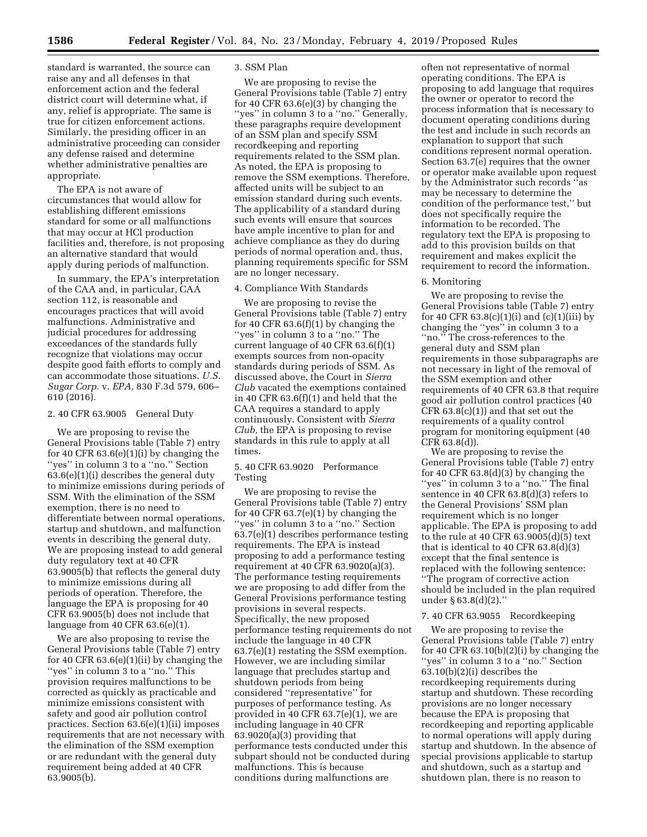standard is warranted, the source can raise any and all defenses in that enforcement action and the federal district court will determine what, if any, relief is appropriate. The same is true for citizen enforcement actions. Similarly, the presiding officer in an administrative proceeding can consider any defense raised and determine whether administrative penalties are appropriate.

The EPA is not aware of circumstances that would allow for establishing different emissions standard for some or all malfunctions that may occur at HCl production facilities and, therefore, is not proposing an alternative standard that would apply during periods of malfunction.

In summary, the EPA's interpretation of the CAA and, in particular, CAA section 112, is reasonable and encourages practices that will avoid malfunctions. Administrative and judicial procedures for addressing exceedances of the standards fully recognize that violations may occur despite good faith efforts to comply and can accommodate those situations. *U.S. Sugar Corp.* v. *EPA,* 830 F.3d 579, 606– 610 (2016).

# 2. 40 CFR 63.9005 General Duty

We are proposing to revise the General Provisions table (Table 7) entry for 40 CFR  $63.6(e)(1)(i)$  by changing the ''yes'' in column 3 to a ''no.'' Section 63.6(e)(1)(i) describes the general duty to minimize emissions during periods of SSM. With the elimination of the SSM exemption, there is no need to differentiate between normal operations, startup and shutdown, and malfunction events in describing the general duty. We are proposing instead to add general duty regulatory text at 40 CFR 63.9005(b) that reflects the general duty to minimize emissions during all periods of operation. Therefore, the language the EPA is proposing for 40 CFR 63.9005(b) does not include that language from 40 CFR 63.6(e)(1).

We are also proposing to revise the General Provisions table (Table 7) entry for 40 CFR  $63.6(e)(1)(ii)$  by changing the ''yes'' in column 3 to a ''no.'' This provision requires malfunctions to be corrected as quickly as practicable and minimize emissions consistent with safety and good air pollution control practices. Section 63.6(e)(1)(ii) imposes requirements that are not necessary with the elimination of the SSM exemption or are redundant with the general duty requirement being added at 40 CFR 63.9005(b).

#### 3. SSM Plan

We are proposing to revise the General Provisions table (Table 7) entry for 40 CFR 63.6(e)(3) by changing the "yes" in column 3 to a "no." Generally, these paragraphs require development of an SSM plan and specify SSM recordkeeping and reporting requirements related to the SSM plan. As noted, the EPA is proposing to remove the SSM exemptions. Therefore, affected units will be subject to an emission standard during such events. The applicability of a standard during such events will ensure that sources have ample incentive to plan for and achieve compliance as they do during periods of normal operation and, thus, planning requirements specific for SSM are no longer necessary.

#### 4. Compliance With Standards

We are proposing to revise the General Provisions table (Table 7) entry for 40 CFR  $63.6(f)(1)$  by changing the ''yes'' in column 3 to a ''no.'' The current language of 40 CFR  $63.6(f)(1)$ exempts sources from non-opacity standards during periods of SSM. As discussed above, the Court in *Sierra Club* vacated the exemptions contained in 40 CFR 63.6(f)(1) and held that the CAA requires a standard to apply continuously. Consistent with *Sierra Club,* the EPA is proposing to revise standards in this rule to apply at all times.

### 5. 40 CFR 63.9020 Performance Testing

We are proposing to revise the General Provisions table (Table 7) entry for 40 CFR 63.7(e)(1) by changing the ''yes'' in column 3 to a ''no.'' Section 63.7(e)(1) describes performance testing requirements. The EPA is instead proposing to add a performance testing requirement at 40 CFR 63.9020(a)(3). The performance testing requirements we are proposing to add differ from the General Provisions performance testing provisions in several respects. Specifically, the new proposed performance testing requirements do not include the language in 40 CFR 63.7(e)(1) restating the SSM exemption. However, we are including similar language that precludes startup and shutdown periods from being considered ''representative'' for purposes of performance testing. As provided in 40 CFR 63.7(e)(1), we are including language in 40 CFR  $63.9020(a)(3)$  providing that performance tests conducted under this subpart should not be conducted during malfunctions. This is because conditions during malfunctions are

often not representative of normal operating conditions. The EPA is proposing to add language that requires the owner or operator to record the process information that is necessary to document operating conditions during the test and include in such records an explanation to support that such conditions represent normal operation. Section 63.7(e) requires that the owner or operator make available upon request by the Administrator such records ''as may be necessary to determine the condition of the performance test,'' but does not specifically require the information to be recorded. The regulatory text the EPA is proposing to add to this provision builds on that requirement and makes explicit the requirement to record the information.

#### 6. Monitoring

We are proposing to revise the General Provisions table (Table 7) entry for 40 CFR 63.8(c)(1)(i) and (c)(1)(iii) by changing the ''yes'' in column 3 to a "no." The cross-references to the general duty and SSM plan requirements in those subparagraphs are not necessary in light of the removal of the SSM exemption and other requirements of 40 CFR 63.8 that require good air pollution control practices (40 CFR  $63.8(c)(1)$  and that set out the requirements of a quality control program for monitoring equipment (40 CFR 63.8(d)).

We are proposing to revise the General Provisions table (Table 7) entry for 40 CFR 63.8(d)(3) by changing the "yes" in column 3 to a "no." The final sentence in 40 CFR 63.8(d)(3) refers to the General Provisions' SSM plan requirement which is no longer applicable. The EPA is proposing to add to the rule at 40 CFR 63.9005(d)(5) text that is identical to 40 CFR  $63.8(d)(3)$ except that the final sentence is replaced with the following sentence: ''The program of corrective action should be included in the plan required under § 63.8(d)(2).''

#### 7. 40 CFR 63.9055 Recordkeeping

We are proposing to revise the General Provisions table (Table 7) entry for 40 CFR  $63.10(b)(2)(i)$  by changing the ''yes'' in column 3 to a ''no.'' Section 63.10(b)(2)(i) describes the recordkeeping requirements during startup and shutdown. These recording provisions are no longer necessary because the EPA is proposing that recordkeeping and reporting applicable to normal operations will apply during startup and shutdown. In the absence of special provisions applicable to startup and shutdown, such as a startup and shutdown plan, there is no reason to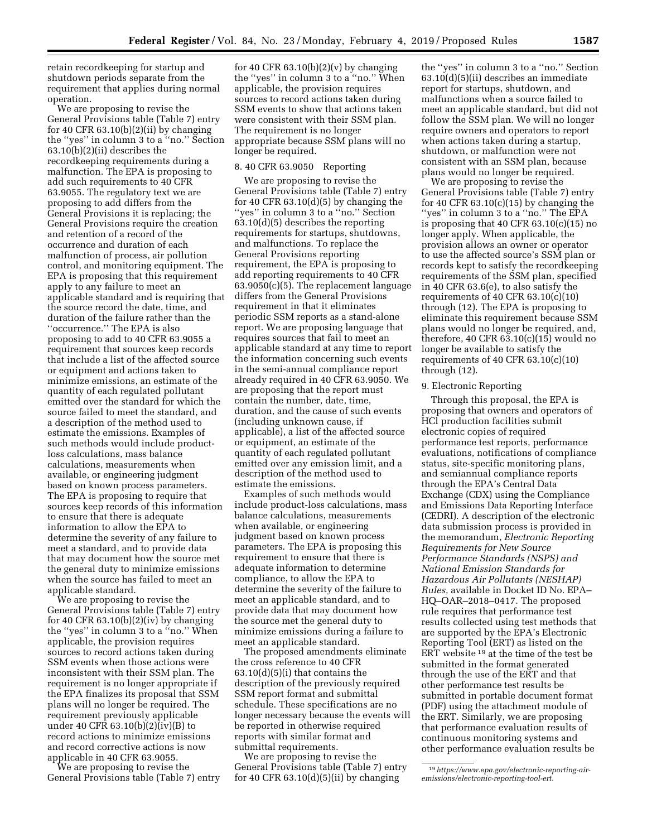retain recordkeeping for startup and shutdown periods separate from the requirement that applies during normal operation.

We are proposing to revise the General Provisions table (Table 7) entry for 40 CFR 63.10(b)(2)(ii) by changing the ''yes'' in column 3 to a ''no.'' Section 63.10(b)(2)(ii) describes the recordkeeping requirements during a malfunction. The EPA is proposing to add such requirements to 40 CFR 63.9055. The regulatory text we are proposing to add differs from the General Provisions it is replacing; the General Provisions require the creation and retention of a record of the occurrence and duration of each malfunction of process, air pollution control, and monitoring equipment. The EPA is proposing that this requirement apply to any failure to meet an applicable standard and is requiring that the source record the date, time, and duration of the failure rather than the ''occurrence.'' The EPA is also proposing to add to 40 CFR 63.9055 a requirement that sources keep records that include a list of the affected source or equipment and actions taken to minimize emissions, an estimate of the quantity of each regulated pollutant emitted over the standard for which the source failed to meet the standard, and a description of the method used to estimate the emissions. Examples of such methods would include productloss calculations, mass balance calculations, measurements when available, or engineering judgment based on known process parameters. The EPA is proposing to require that sources keep records of this information to ensure that there is adequate information to allow the EPA to determine the severity of any failure to meet a standard, and to provide data that may document how the source met the general duty to minimize emissions when the source has failed to meet an applicable standard.

We are proposing to revise the General Provisions table (Table 7) entry for 40 CFR  $63.10(b)(2)(iv)$  by changing the ''yes'' in column 3 to a ''no.'' When applicable, the provision requires sources to record actions taken during SSM events when those actions were inconsistent with their SSM plan. The requirement is no longer appropriate if the EPA finalizes its proposal that SSM plans will no longer be required. The requirement previously applicable under 40 CFR 63.10(b)(2)(iv)(B) to record actions to minimize emissions and record corrective actions is now applicable in 40 CFR 63.9055.

We are proposing to revise the General Provisions table (Table 7) entry

for 40 CFR 63.10(b)(2)(v) by changing the ''yes'' in column 3 to a ''no.'' When applicable, the provision requires sources to record actions taken during SSM events to show that actions taken were consistent with their SSM plan. The requirement is no longer appropriate because SSM plans will no longer be required.

### 8. 40 CFR 63.9050 Reporting

We are proposing to revise the General Provisions table (Table 7) entry for 40 CFR  $63.10(d)(5)$  by changing the ''yes'' in column 3 to a ''no.'' Section 63.10(d)(5) describes the reporting requirements for startups, shutdowns, and malfunctions. To replace the General Provisions reporting requirement, the EPA is proposing to add reporting requirements to 40 CFR 63.9050(c)(5). The replacement language differs from the General Provisions requirement in that it eliminates periodic SSM reports as a stand-alone report. We are proposing language that requires sources that fail to meet an applicable standard at any time to report the information concerning such events in the semi-annual compliance report already required in 40 CFR 63.9050. We are proposing that the report must contain the number, date, time, duration, and the cause of such events (including unknown cause, if applicable), a list of the affected source or equipment, an estimate of the quantity of each regulated pollutant emitted over any emission limit, and a description of the method used to estimate the emissions.

Examples of such methods would include product-loss calculations, mass balance calculations, measurements when available, or engineering judgment based on known process parameters. The EPA is proposing this requirement to ensure that there is adequate information to determine compliance, to allow the EPA to determine the severity of the failure to meet an applicable standard, and to provide data that may document how the source met the general duty to minimize emissions during a failure to meet an applicable standard.

The proposed amendments eliminate the cross reference to 40 CFR  $63.10(d)(5)(i)$  that contains the description of the previously required SSM report format and submittal schedule. These specifications are no longer necessary because the events will be reported in otherwise required reports with similar format and submittal requirements.

We are proposing to revise the General Provisions table (Table 7) entry for 40 CFR  $63.10(d)(5)(ii)$  by changing

the ''yes'' in column 3 to a ''no.'' Section 63.10(d)(5)(ii) describes an immediate report for startups, shutdown, and malfunctions when a source failed to meet an applicable standard, but did not follow the SSM plan. We will no longer require owners and operators to report when actions taken during a startup, shutdown, or malfunction were not consistent with an SSM plan, because plans would no longer be required.

We are proposing to revise the General Provisions table (Table 7) entry for 40 CFR  $63.10(c)(15)$  by changing the ''yes'' in column 3 to a ''no.'' The EPA is proposing that 40 CFR  $63.10(c)(15)$  no longer apply. When applicable, the provision allows an owner or operator to use the affected source's SSM plan or records kept to satisfy the recordkeeping requirements of the SSM plan, specified in 40 CFR 63.6(e), to also satisfy the requirements of 40 CFR 63.10(c)(10) through (12). The EPA is proposing to eliminate this requirement because SSM plans would no longer be required, and, therefore, 40 CFR 63.10(c)(15) would no longer be available to satisfy the requirements of 40 CFR  $63.10(c)(10)$ through (12).

#### 9. Electronic Reporting

Through this proposal, the EPA is proposing that owners and operators of HCl production facilities submit electronic copies of required performance test reports, performance evaluations, notifications of compliance status, site-specific monitoring plans, and semiannual compliance reports through the EPA's Central Data Exchange (CDX) using the Compliance and Emissions Data Reporting Interface (CEDRI). A description of the electronic data submission process is provided in the memorandum, *Electronic Reporting Requirements for New Source Performance Standards (NSPS) and National Emission Standards for Hazardous Air Pollutants (NESHAP) Rules,* available in Docket ID No. EPA– HQ–OAR–2018–0417. The proposed rule requires that performance test results collected using test methods that are supported by the EPA's Electronic Reporting Tool (ERT) as listed on the ERT website 19 at the time of the test be submitted in the format generated through the use of the ERT and that other performance test results be submitted in portable document format (PDF) using the attachment module of the ERT. Similarly, we are proposing that performance evaluation results of continuous monitoring systems and other performance evaluation results be

<sup>19</sup>*[https://www.epa.gov/electronic-reporting-air](https://www.epa.gov/electronic-reporting-air-emissions/electronic-reporting-tool-ert)[emissions/electronic-reporting-tool-ert.](https://www.epa.gov/electronic-reporting-air-emissions/electronic-reporting-tool-ert)*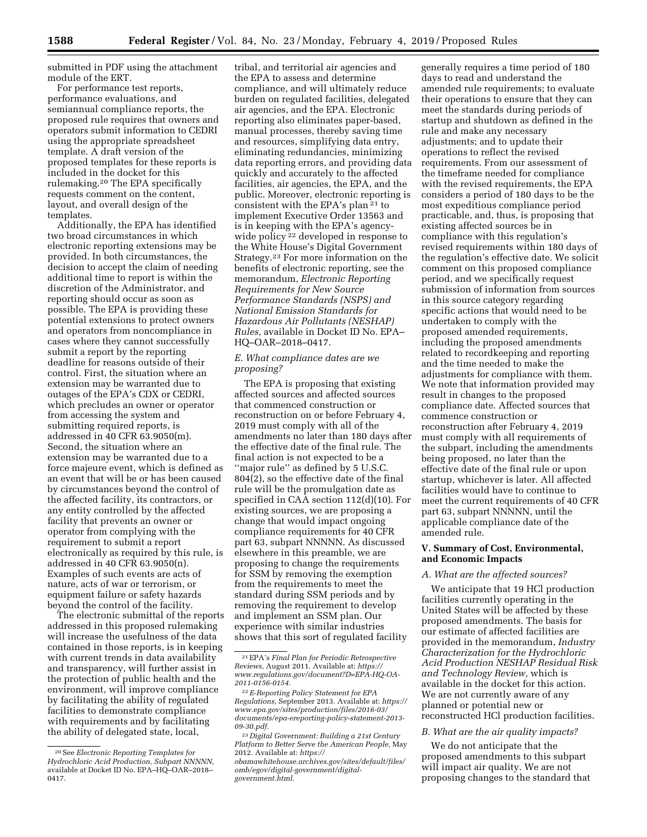submitted in PDF using the attachment module of the ERT.

For performance test reports, performance evaluations, and semiannual compliance reports, the proposed rule requires that owners and operators submit information to CEDRI using the appropriate spreadsheet template. A draft version of the proposed templates for these reports is included in the docket for this rulemaking.20 The EPA specifically requests comment on the content, layout, and overall design of the templates.

Additionally, the EPA has identified two broad circumstances in which electronic reporting extensions may be provided. In both circumstances, the decision to accept the claim of needing additional time to report is within the discretion of the Administrator, and reporting should occur as soon as possible. The EPA is providing these potential extensions to protect owners and operators from noncompliance in cases where they cannot successfully submit a report by the reporting deadline for reasons outside of their control. First, the situation where an extension may be warranted due to outages of the EPA's CDX or CEDRI, which precludes an owner or operator from accessing the system and submitting required reports, is addressed in 40 CFR 63.9050(m). Second, the situation where an extension may be warranted due to a force majeure event, which is defined as an event that will be or has been caused by circumstances beyond the control of the affected facility, its contractors, or any entity controlled by the affected facility that prevents an owner or operator from complying with the requirement to submit a report electronically as required by this rule, is addressed in 40 CFR 63.9050(n). Examples of such events are acts of nature, acts of war or terrorism, or equipment failure or safety hazards beyond the control of the facility.

The electronic submittal of the reports addressed in this proposed rulemaking will increase the usefulness of the data contained in those reports, is in keeping with current trends in data availability and transparency, will further assist in the protection of public health and the environment, will improve compliance by facilitating the ability of regulated facilities to demonstrate compliance with requirements and by facilitating the ability of delegated state, local,

tribal, and territorial air agencies and the EPA to assess and determine compliance, and will ultimately reduce burden on regulated facilities, delegated air agencies, and the EPA. Electronic reporting also eliminates paper-based, manual processes, thereby saving time and resources, simplifying data entry, eliminating redundancies, minimizing data reporting errors, and providing data quickly and accurately to the affected facilities, air agencies, the EPA, and the public. Moreover, electronic reporting is consistent with the EPA's plan 21 to implement Executive Order 13563 and is in keeping with the EPA's agencywide policy<sup>22</sup> developed in response to the White House's Digital Government Strategy.23 For more information on the benefits of electronic reporting, see the memorandum, *Electronic Reporting Requirements for New Source Performance Standards (NSPS) and National Emission Standards for Hazardous Air Pollutants (NESHAP) Rules,* available in Docket ID No. EPA– HQ–OAR–2018–0417.

# *E. What compliance dates are we proposing?*

The EPA is proposing that existing affected sources and affected sources that commenced construction or reconstruction on or before February 4, 2019 must comply with all of the amendments no later than 180 days after the effective date of the final rule. The final action is not expected to be a ''major rule'' as defined by 5 U.S.C. 804(2), so the effective date of the final rule will be the promulgation date as specified in CAA section 112(d)(10). For existing sources, we are proposing a change that would impact ongoing compliance requirements for 40 CFR part 63, subpart NNNNN. As discussed elsewhere in this preamble, we are proposing to change the requirements for SSM by removing the exemption from the requirements to meet the standard during SSM periods and by removing the requirement to develop and implement an SSM plan. Our experience with similar industries shows that this sort of regulated facility

generally requires a time period of 180 days to read and understand the amended rule requirements; to evaluate their operations to ensure that they can meet the standards during periods of startup and shutdown as defined in the rule and make any necessary adjustments; and to update their operations to reflect the revised requirements. From our assessment of the timeframe needed for compliance with the revised requirements, the EPA considers a period of 180 days to be the most expeditious compliance period practicable, and, thus, is proposing that existing affected sources be in compliance with this regulation's revised requirements within 180 days of the regulation's effective date. We solicit comment on this proposed compliance period, and we specifically request submission of information from sources in this source category regarding specific actions that would need to be undertaken to comply with the proposed amended requirements, including the proposed amendments related to recordkeeping and reporting and the time needed to make the adjustments for compliance with them. We note that information provided may result in changes to the proposed compliance date. Affected sources that commence construction or reconstruction after February 4, 2019 must comply with all requirements of the subpart, including the amendments being proposed, no later than the effective date of the final rule or upon startup, whichever is later. All affected facilities would have to continue to meet the current requirements of 40 CFR part 63, subpart NNNNN, until the applicable compliance date of the amended rule.

#### **V. Summary of Cost, Environmental, and Economic Impacts**

#### *A. What are the affected sources?*

We anticipate that 19 HCl production facilities currently operating in the United States will be affected by these proposed amendments. The basis for our estimate of affected facilities are provided in the memorandum, *Industry Characterization for the Hydrochloric Acid Production NESHAP Residual Risk and Technology Review,* which is available in the docket for this action. We are not currently aware of any planned or potential new or reconstructed HCl production facilities.

# *B. What are the air quality impacts?*

We do not anticipate that the proposed amendments to this subpart will impact air quality. We are not proposing changes to the standard that

<sup>20</sup>See *Electronic Reporting Templates for Hydrochloric Acid Production, Subpart NNNNN,*  available at Docket ID No. EPA–HQ–OAR–2018– 0417.

<sup>21</sup>EPA's *Final Plan for Periodic Retrospective Reviews,* August 2011. Available at: *[https://](https://www.regulations.gov/document?D=EPA-HQ-OA-2011-0156-0154) [www.regulations.gov/document?D=EPA-HQ-OA-](https://www.regulations.gov/document?D=EPA-HQ-OA-2011-0156-0154)[2011-0156-0154.](https://www.regulations.gov/document?D=EPA-HQ-OA-2011-0156-0154)* 

<sup>22</sup>*E-Reporting Policy Statement for EPA Regulations,* September 2013. Available at: *[https://](https://www.epa.gov/sites/production/files/2016-03/documents/epa-ereporting-policy-statement-2013-09-30.pdf) [www.epa.gov/sites/production/files/2016-03/](https://www.epa.gov/sites/production/files/2016-03/documents/epa-ereporting-policy-statement-2013-09-30.pdf) [documents/epa-ereporting-policy-statement-2013-](https://www.epa.gov/sites/production/files/2016-03/documents/epa-ereporting-policy-statement-2013-09-30.pdf) [09-30.pdf.](https://www.epa.gov/sites/production/files/2016-03/documents/epa-ereporting-policy-statement-2013-09-30.pdf)* 

<sup>23</sup> *Digital Government: Building a 21st Century Platform to Better Serve the American People,* May 2012. Available at: *[https://](https://obamawhitehouse.archives.gov/sites/default/files/omb/egov/digital-government/digital-government.html)*

*[obamawhitehouse.archives.gov/sites/default/files/](https://obamawhitehouse.archives.gov/sites/default/files/omb/egov/digital-government/digital-government.html)  [omb/egov/digital-government/digital](https://obamawhitehouse.archives.gov/sites/default/files/omb/egov/digital-government/digital-government.html)[government.html.](https://obamawhitehouse.archives.gov/sites/default/files/omb/egov/digital-government/digital-government.html)*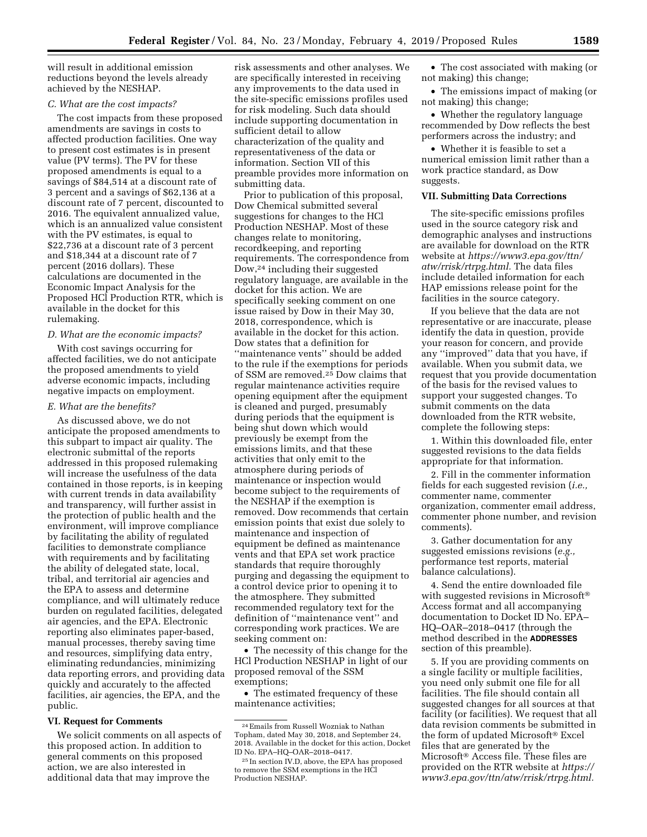will result in additional emission reductions beyond the levels already achieved by the NESHAP.

#### *C. What are the cost impacts?*

The cost impacts from these proposed amendments are savings in costs to affected production facilities. One way to present cost estimates is in present value (PV terms). The PV for these proposed amendments is equal to a savings of \$84,514 at a discount rate of 3 percent and a savings of \$62,136 at a discount rate of 7 percent, discounted to 2016. The equivalent annualized value, which is an annualized value consistent with the PV estimates, is equal to \$22,736 at a discount rate of 3 percent and \$18,344 at a discount rate of 7 percent (2016 dollars). These calculations are documented in the Economic Impact Analysis for the Proposed HCl Production RTR, which is available in the docket for this rulemaking.

#### *D. What are the economic impacts?*

With cost savings occurring for affected facilities, we do not anticipate the proposed amendments to yield adverse economic impacts, including negative impacts on employment.

#### *E. What are the benefits?*

As discussed above, we do not anticipate the proposed amendments to this subpart to impact air quality. The electronic submittal of the reports addressed in this proposed rulemaking will increase the usefulness of the data contained in those reports, is in keeping with current trends in data availability and transparency, will further assist in the protection of public health and the environment, will improve compliance by facilitating the ability of regulated facilities to demonstrate compliance with requirements and by facilitating the ability of delegated state, local, tribal, and territorial air agencies and the EPA to assess and determine compliance, and will ultimately reduce burden on regulated facilities, delegated air agencies, and the EPA. Electronic reporting also eliminates paper-based, manual processes, thereby saving time and resources, simplifying data entry, eliminating redundancies, minimizing data reporting errors, and providing data quickly and accurately to the affected facilities, air agencies, the EPA, and the public.

#### **VI. Request for Comments**

We solicit comments on all aspects of this proposed action. In addition to general comments on this proposed action, we are also interested in additional data that may improve the

risk assessments and other analyses. We are specifically interested in receiving any improvements to the data used in the site-specific emissions profiles used for risk modeling. Such data should include supporting documentation in sufficient detail to allow characterization of the quality and representativeness of the data or information. Section VII of this preamble provides more information on submitting data.

Prior to publication of this proposal, Dow Chemical submitted several suggestions for changes to the HCl Production NESHAP. Most of these changes relate to monitoring, recordkeeping, and reporting requirements. The correspondence from Dow,24 including their suggested regulatory language, are available in the docket for this action. We are specifically seeking comment on one issue raised by Dow in their May 30, 2018, correspondence, which is available in the docket for this action. Dow states that a definition for ''maintenance vents'' should be added to the rule if the exemptions for periods of SSM are removed.25 Dow claims that regular maintenance activities require opening equipment after the equipment is cleaned and purged, presumably during periods that the equipment is being shut down which would previously be exempt from the emissions limits, and that these activities that only emit to the atmosphere during periods of maintenance or inspection would become subject to the requirements of the NESHAP if the exemption is removed. Dow recommends that certain emission points that exist due solely to maintenance and inspection of equipment be defined as maintenance vents and that EPA set work practice standards that require thoroughly purging and degassing the equipment to a control device prior to opening it to the atmosphere. They submitted recommended regulatory text for the definition of ''maintenance vent'' and corresponding work practices. We are seeking comment on:

• The necessity of this change for the HCl Production NESHAP in light of our proposed removal of the SSM exemptions;

• The estimated frequency of these maintenance activities;

• The cost associated with making (or not making) this change;

• The emissions impact of making (or not making) this change;

• Whether the regulatory language recommended by Dow reflects the best performers across the industry; and

• Whether it is feasible to set a numerical emission limit rather than a work practice standard, as Dow suggests.

### **VII. Submitting Data Corrections**

The site-specific emissions profiles used in the source category risk and demographic analyses and instructions are available for download on the RTR website at *[https://www3.epa.gov/ttn/](https://www3.epa.gov/ttn/atw/rrisk/rtrpg.html)  [atw/rrisk/rtrpg.html.](https://www3.epa.gov/ttn/atw/rrisk/rtrpg.html)* The data files include detailed information for each HAP emissions release point for the facilities in the source category.

If you believe that the data are not representative or are inaccurate, please identify the data in question, provide your reason for concern, and provide any ''improved'' data that you have, if available. When you submit data, we request that you provide documentation of the basis for the revised values to support your suggested changes. To submit comments on the data downloaded from the RTR website, complete the following steps:

1. Within this downloaded file, enter suggested revisions to the data fields appropriate for that information.

2. Fill in the commenter information fields for each suggested revision (*i.e.,*  commenter name, commenter organization, commenter email address, commenter phone number, and revision comments).

3. Gather documentation for any suggested emissions revisions (*e.g.,*  performance test reports, material balance calculations).

4. Send the entire downloaded file with suggested revisions in Microsoft® Access format and all accompanying documentation to Docket ID No. EPA– HQ–OAR–2018–0417 (through the method described in the **ADDRESSES** section of this preamble).

5. If you are providing comments on a single facility or multiple facilities, you need only submit one file for all facilities. The file should contain all suggested changes for all sources at that facility (or facilities). We request that all data revision comments be submitted in the form of updated Microsoft® Excel files that are generated by the Microsoft® Access file. These files are provided on the RTR website at *[https://](https://www3.epa.gov/ttn/atw/rrisk/rtrpg.html) [www3.epa.gov/ttn/atw/rrisk/rtrpg.html.](https://www3.epa.gov/ttn/atw/rrisk/rtrpg.html)* 

<sup>24</sup>Emails from Russell Wozniak to Nathan Topham, dated May 30, 2018, and September 24, 2018. Available in the docket for this action, Docket ID No. EPA–HQ–OAR–2018–0417.

<sup>25</sup> In section IV.D, above, the EPA has proposed to remove the SSM exemptions in the HCl Production NESHAP.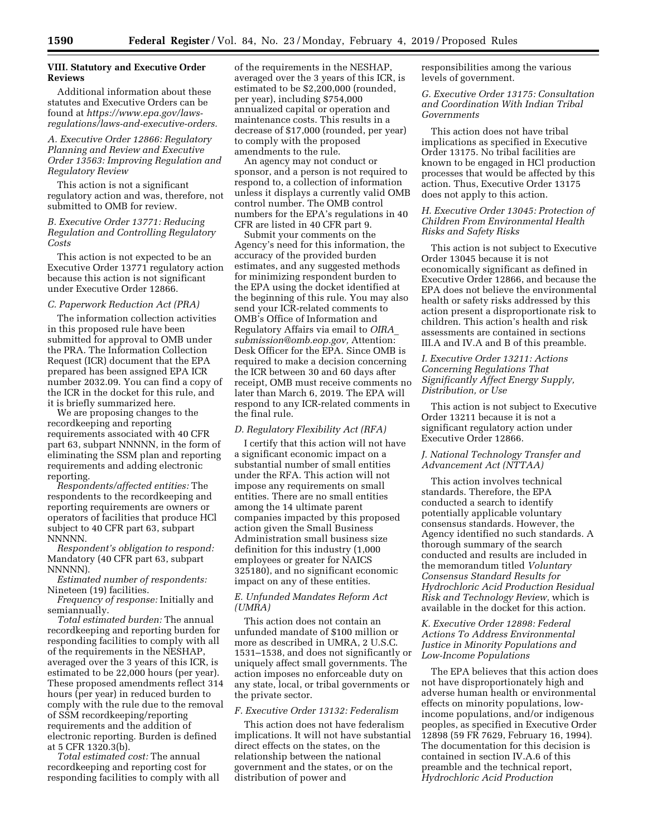### **VIII. Statutory and Executive Order Reviews**

Additional information about these statutes and Executive Orders can be found at *[https://www.epa.gov/laws](https://www.epa.gov/laws-regulations/laws-and-executive-orders)[regulations/laws-and-executive-orders.](https://www.epa.gov/laws-regulations/laws-and-executive-orders)* 

### *A. Executive Order 12866: Regulatory Planning and Review and Executive Order 13563: Improving Regulation and Regulatory Review*

This action is not a significant regulatory action and was, therefore, not submitted to OMB for review.

# *B. Executive Order 13771: Reducing Regulation and Controlling Regulatory Costs*

This action is not expected to be an Executive Order 13771 regulatory action because this action is not significant under Executive Order 12866.

### *C. Paperwork Reduction Act (PRA)*

The information collection activities in this proposed rule have been submitted for approval to OMB under the PRA. The Information Collection Request (ICR) document that the EPA prepared has been assigned EPA ICR number 2032.09. You can find a copy of the ICR in the docket for this rule, and it is briefly summarized here.

We are proposing changes to the recordkeeping and reporting requirements associated with 40 CFR part 63, subpart NNNNN, in the form of eliminating the SSM plan and reporting requirements and adding electronic reporting.

*Respondents/affected entities:* The respondents to the recordkeeping and reporting requirements are owners or operators of facilities that produce HCl subject to 40 CFR part 63, subpart NNNNN.

*Respondent's obligation to respond:*  Mandatory (40 CFR part 63, subpart NNNNN).

*Estimated number of respondents:*  Nineteen (19) facilities.

*Frequency of response:* Initially and semiannually.

*Total estimated burden:* The annual recordkeeping and reporting burden for responding facilities to comply with all of the requirements in the NESHAP, averaged over the 3 years of this ICR, is estimated to be 22,000 hours (per year). These proposed amendments reflect 314 hours (per year) in reduced burden to comply with the rule due to the removal of SSM recordkeeping/reporting requirements and the addition of electronic reporting. Burden is defined at 5 CFR 1320.3(b).

*Total estimated cost:* The annual recordkeeping and reporting cost for responding facilities to comply with all of the requirements in the NESHAP, averaged over the 3 years of this ICR, is estimated to be \$2,200,000 (rounded, per year), including \$754,000 annualized capital or operation and maintenance costs. This results in a decrease of \$17,000 (rounded, per year) to comply with the proposed amendments to the rule.

An agency may not conduct or sponsor, and a person is not required to respond to, a collection of information unless it displays a currently valid OMB control number. The OMB control numbers for the EPA's regulations in 40 CFR are listed in 40 CFR part 9.

Submit your comments on the Agency's need for this information, the accuracy of the provided burden estimates, and any suggested methods for minimizing respondent burden to the EPA using the docket identified at the beginning of this rule. You may also send your ICR-related comments to OMB's Office of Information and Regulatory Affairs via email to *[OIRA](mailto:OIRA_submission@omb.eop.gov)*\_ *[submission@omb.eop.gov,](mailto:OIRA_submission@omb.eop.gov)* Attention: Desk Officer for the EPA. Since OMB is required to make a decision concerning the ICR between 30 and 60 days after receipt, OMB must receive comments no later than March 6, 2019. The EPA will respond to any ICR-related comments in the final rule.

# *D. Regulatory Flexibility Act (RFA)*

I certify that this action will not have a significant economic impact on a substantial number of small entities under the RFA. This action will not impose any requirements on small entities. There are no small entities among the 14 ultimate parent companies impacted by this proposed action given the Small Business Administration small business size definition for this industry (1,000 employees or greater for NAICS 325180), and no significant economic impact on any of these entities.

### *E. Unfunded Mandates Reform Act (UMRA)*

This action does not contain an unfunded mandate of \$100 million or more as described in UMRA, 2 U.S.C. 1531–1538, and does not significantly or uniquely affect small governments. The action imposes no enforceable duty on any state, local, or tribal governments or the private sector.

# *F. Executive Order 13132: Federalism*

This action does not have federalism implications. It will not have substantial direct effects on the states, on the relationship between the national government and the states, or on the distribution of power and

responsibilities among the various levels of government.

*G. Executive Order 13175: Consultation and Coordination With Indian Tribal Governments* 

This action does not have tribal implications as specified in Executive Order 13175. No tribal facilities are known to be engaged in HCl production processes that would be affected by this action. Thus, Executive Order 13175 does not apply to this action.

# *H. Executive Order 13045: Protection of Children From Environmental Health Risks and Safety Risks*

This action is not subject to Executive Order 13045 because it is not economically significant as defined in Executive Order 12866, and because the EPA does not believe the environmental health or safety risks addressed by this action present a disproportionate risk to children. This action's health and risk assessments are contained in sections III.A and IV.A and B of this preamble.

### *I. Executive Order 13211: Actions Concerning Regulations That Significantly Affect Energy Supply, Distribution, or Use*

This action is not subject to Executive Order 13211 because it is not a significant regulatory action under Executive Order 12866.

# *J. National Technology Transfer and Advancement Act (NTTAA)*

This action involves technical standards. Therefore, the EPA conducted a search to identify potentially applicable voluntary consensus standards. However, the Agency identified no such standards. A thorough summary of the search conducted and results are included in the memorandum titled *Voluntary Consensus Standard Results for Hydrochloric Acid Production Residual Risk and Technology Review,* which is available in the docket for this action.

### *K. Executive Order 12898: Federal Actions To Address Environmental Justice in Minority Populations and Low-Income Populations*

The EPA believes that this action does not have disproportionately high and adverse human health or environmental effects on minority populations, lowincome populations, and/or indigenous peoples, as specified in Executive Order 12898 (59 FR 7629, February 16, 1994). The documentation for this decision is contained in section IV.A.6 of this preamble and the technical report, *Hydrochloric Acid Production*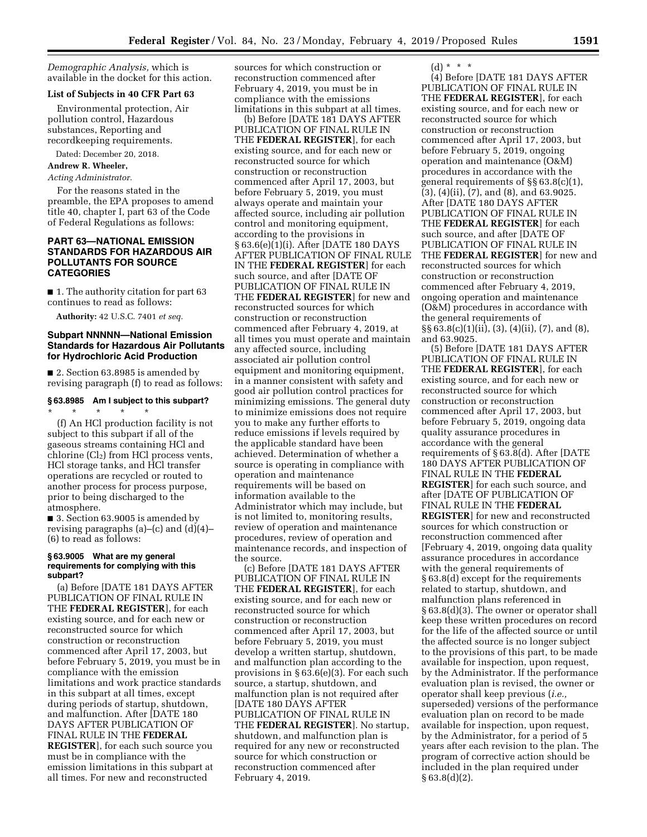*Demographic Analysis,* which is available in the docket for this action.

#### **List of Subjects in 40 CFR Part 63**

Environmental protection, Air pollution control, Hazardous substances, Reporting and recordkeeping requirements.

Dated: December 20, 2018.

#### **Andrew R. Wheeler,**

*Acting Administrator.* 

For the reasons stated in the preamble, the EPA proposes to amend title 40, chapter I, part 63 of the Code of Federal Regulations as follows:

### **PART 63—NATIONAL EMISSION STANDARDS FOR HAZARDOUS AIR POLLUTANTS FOR SOURCE CATEGORIES**

■ 1. The authority citation for part 63 continues to read as follows:

**Authority:** 42 U.S.C. 7401 *et seq.* 

### **Subpart NNNNN—National Emission Standards for Hazardous Air Pollutants for Hydrochloric Acid Production**

■ 2. Section 63.8985 is amended by revising paragraph (f) to read as follows:

# **§ 63.8985 Am I subject to this subpart?**  \* \* \* \* \*

(f) An HCl production facility is not subject to this subpart if all of the gaseous streams containing HCl and chlorine  $(Cl<sub>2</sub>)$  from HCl process vents, HCl storage tanks, and HCl transfer operations are recycled or routed to another process for process purpose, prior to being discharged to the atmosphere.

■ 3. Section 63.9005 is amended by revising paragraphs (a)–(c) and (d)(4)– (6) to read as follows:

#### **§ 63.9005 What are my general requirements for complying with this subpart?**

(a) Before [DATE 181 DAYS AFTER PUBLICATION OF FINAL RULE IN THE **FEDERAL REGISTER**], for each existing source, and for each new or reconstructed source for which construction or reconstruction commenced after April 17, 2003, but before February 5, 2019, you must be in compliance with the emission limitations and work practice standards in this subpart at all times, except during periods of startup, shutdown, and malfunction. After [DATE 180 DAYS AFTER PUBLICATION OF FINAL RULE IN THE **FEDERAL REGISTER**], for each such source you must be in compliance with the emission limitations in this subpart at all times. For new and reconstructed

sources for which construction or reconstruction commenced after February 4, 2019, you must be in compliance with the emissions limitations in this subpart at all times.

(b) Before [DATE 181 DAYS AFTER PUBLICATION OF FINAL RULE IN THE **FEDERAL REGISTER**], for each existing source, and for each new or reconstructed source for which construction or reconstruction commenced after April 17, 2003, but before February 5, 2019, you must always operate and maintain your affected source, including air pollution control and monitoring equipment, according to the provisions in § 63.6(e)(1)(i). After [DATE 180 DAYS AFTER PUBLICATION OF FINAL RULE IN THE **FEDERAL REGISTER**] for each such source, and after [DATE OF PUBLICATION OF FINAL RULE IN THE **FEDERAL REGISTER**] for new and reconstructed sources for which construction or reconstruction commenced after February 4, 2019, at all times you must operate and maintain any affected source, including associated air pollution control equipment and monitoring equipment, in a manner consistent with safety and good air pollution control practices for minimizing emissions. The general duty to minimize emissions does not require you to make any further efforts to reduce emissions if levels required by the applicable standard have been achieved. Determination of whether a source is operating in compliance with operation and maintenance requirements will be based on information available to the Administrator which may include, but is not limited to, monitoring results, review of operation and maintenance procedures, review of operation and maintenance records, and inspection of the source.

(c) Before [DATE 181 DAYS AFTER PUBLICATION OF FINAL RULE IN THE **FEDERAL REGISTER**], for each existing source, and for each new or reconstructed source for which construction or reconstruction commenced after April 17, 2003, but before February 5, 2019, you must develop a written startup, shutdown, and malfunction plan according to the provisions in § 63.6(e)(3). For each such source, a startup, shutdown, and malfunction plan is not required after [DATE 180 DAYS AFTER PUBLICATION OF FINAL RULE IN THE **FEDERAL REGISTER**]. No startup,

shutdown, and malfunction plan is required for any new or reconstructed source for which construction or reconstruction commenced after February 4, 2019.

(d) \* \* \*

(4) Before [DATE 181 DAYS AFTER PUBLICATION OF FINAL RULE IN THE **FEDERAL REGISTER**], for each existing source, and for each new or reconstructed source for which construction or reconstruction commenced after April 17, 2003, but before February 5, 2019, ongoing operation and maintenance (O&M) procedures in accordance with the general requirements of §§ 63.8(c)(1), (3), (4)(ii), (7), and (8), and 63.9025. After [DATE 180 DAYS AFTER PUBLICATION OF FINAL RULE IN THE **FEDERAL REGISTER**] for each such source, and after [DATE OF PUBLICATION OF FINAL RULE IN THE **FEDERAL REGISTER**] for new and reconstructed sources for which construction or reconstruction commenced after February 4, 2019, ongoing operation and maintenance (O&M) procedures in accordance with the general requirements of §§ 63.8(c)(1)(ii), (3), (4)(ii), (7), and (8), and 63.9025.

(5) Before [DATE 181 DAYS AFTER PUBLICATION OF FINAL RULE IN THE **FEDERAL REGISTER**], for each existing source, and for each new or reconstructed source for which construction or reconstruction commenced after April 17, 2003, but before February 5, 2019, ongoing data quality assurance procedures in accordance with the general requirements of § 63.8(d). After [DATE 180 DAYS AFTER PUBLICATION OF FINAL RULE IN THE **FEDERAL REGISTER**] for each such source, and after [DATE OF PUBLICATION OF FINAL RULE IN THE **FEDERAL REGISTER**] for new and reconstructed sources for which construction or reconstruction commenced after [February 4, 2019, ongoing data quality assurance procedures in accordance with the general requirements of § 63.8(d) except for the requirements related to startup, shutdown, and malfunction plans referenced in § 63.8(d)(3). The owner or operator shall keep these written procedures on record for the life of the affected source or until the affected source is no longer subject to the provisions of this part, to be made available for inspection, upon request, by the Administrator. If the performance evaluation plan is revised, the owner or operator shall keep previous (*i.e.,*  superseded) versions of the performance evaluation plan on record to be made available for inspection, upon request, by the Administrator, for a period of 5 years after each revision to the plan. The program of corrective action should be included in the plan required under  $§ 63.8(d)(2).$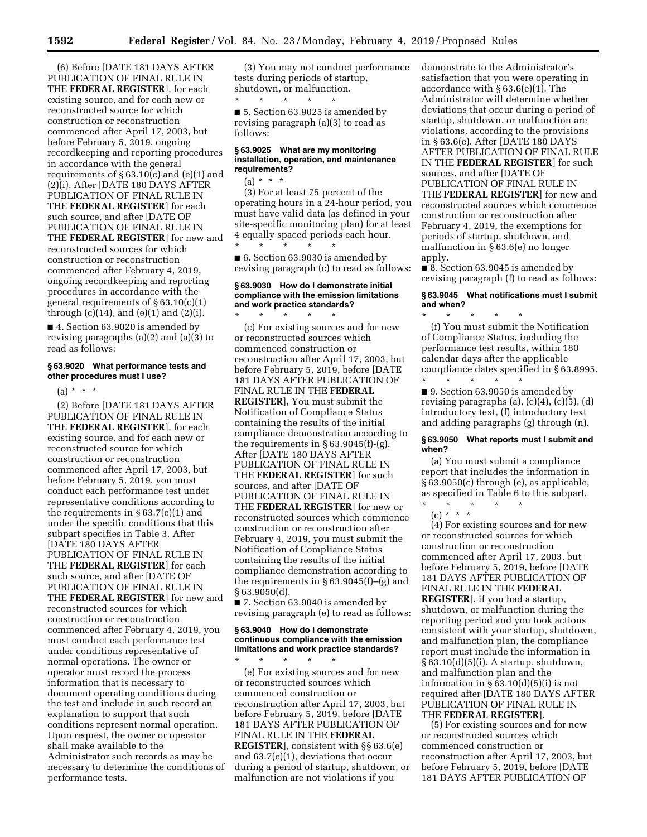(6) Before [DATE 181 DAYS AFTER PUBLICATION OF FINAL RULE IN THE **FEDERAL REGISTER**], for each existing source, and for each new or reconstructed source for which construction or reconstruction commenced after April 17, 2003, but before February 5, 2019, ongoing recordkeeping and reporting procedures in accordance with the general requirements of § 63.10(c) and (e)(1) and (2)(i). After [DATE 180 DAYS AFTER PUBLICATION OF FINAL RULE IN THE **FEDERAL REGISTER**] for each such source, and after [DATE OF PUBLICATION OF FINAL RULE IN THE **FEDERAL REGISTER**] for new and reconstructed sources for which construction or reconstruction commenced after February 4, 2019, ongoing recordkeeping and reporting procedures in accordance with the general requirements of § 63.10(c)(1) through  $(c)(14)$ , and  $(e)(1)$  and  $(2)(i)$ .

■ 4. Section 63.9020 is amended by revising paragraphs (a)(2) and (a)(3) to read as follows:

### **§ 63.9020 What performance tests and other procedures must I use?**

 $(a) * * * *$ 

(2) Before [DATE 181 DAYS AFTER PUBLICATION OF FINAL RULE IN THE **FEDERAL REGISTER**], for each existing source, and for each new or reconstructed source for which construction or reconstruction commenced after April 17, 2003, but before February 5, 2019, you must conduct each performance test under representative conditions according to the requirements in  $\S 63.7(e)(1)$  and under the specific conditions that this subpart specifies in Table 3. After [DATE 180 DAYS AFTER PUBLICATION OF FINAL RULE IN THE **FEDERAL REGISTER**] for each such source, and after [DATE OF PUBLICATION OF FINAL RULE IN THE **FEDERAL REGISTER**] for new and reconstructed sources for which construction or reconstruction commenced after February 4, 2019, you must conduct each performance test under conditions representative of normal operations. The owner or operator must record the process information that is necessary to document operating conditions during the test and include in such record an explanation to support that such conditions represent normal operation. Upon request, the owner or operator shall make available to the Administrator such records as may be necessary to determine the conditions of

performance tests.

(3) You may not conduct performance tests during periods of startup, shutdown, or malfunction.

\* \* \* \* \* ■ 5. Section 63.9025 is amended by revising paragraph (a)(3) to read as follows:

#### **§ 63.9025 What are my monitoring installation, operation, and maintenance requirements?**

 $(a) * * * *$ 

(3) For at least 75 percent of the operating hours in a 24-hour period, you must have valid data (as defined in your site-specific monitoring plan) for at least 4 equally spaced periods each hour. \* \* \* \* \*

■ 6. Section 63.9030 is amended by revising paragraph (c) to read as follows:

#### **§ 63.9030 How do I demonstrate initial compliance with the emission limitations and work practice standards?**  \* \* \* \* \*

(c) For existing sources and for new or reconstructed sources which commenced construction or reconstruction after April 17, 2003, but before February 5, 2019, before [DATE 181 DAYS AFTER PUBLICATION OF FINAL RULE IN THE **FEDERAL REGISTER**], You must submit the Notification of Compliance Status containing the results of the initial compliance demonstration according to the requirements in  $\S 63.9045(f)-(g)$ . After [DATE 180 DAYS AFTER PUBLICATION OF FINAL RULE IN THE **FEDERAL REGISTER**] for such sources, and after [DATE OF PUBLICATION OF FINAL RULE IN THE **FEDERAL REGISTER**] for new or reconstructed sources which commence construction or reconstruction after February 4, 2019, you must submit the Notification of Compliance Status containing the results of the initial compliance demonstration according to the requirements in § 63.9045(f)–(g) and § 63.9050(d).

■ 7. Section 63.9040 is amended by revising paragraph (e) to read as follows:

#### **§ 63.9040 How do I demonstrate continuous compliance with the emission limitations and work practice standards?**

\* \* \* \* \* (e) For existing sources and for new or reconstructed sources which commenced construction or reconstruction after April 17, 2003, but before February 5, 2019, before [DATE 181 DAYS AFTER PUBLICATION OF FINAL RULE IN THE **FEDERAL REGISTER**], consistent with §§ 63.6(e) and 63.7(e)(1), deviations that occur during a period of startup, shutdown, or malfunction are not violations if you

demonstrate to the Administrator's satisfaction that you were operating in accordance with § 63.6(e)(1). The Administrator will determine whether deviations that occur during a period of startup, shutdown, or malfunction are violations, according to the provisions in § 63.6(e). After [DATE 180 DAYS AFTER PUBLICATION OF FINAL RULE IN THE **FEDERAL REGISTER**] for such sources, and after [DATE OF PUBLICATION OF FINAL RULE IN THE **FEDERAL REGISTER**] for new and reconstructed sources which commence construction or reconstruction after February 4, 2019, the exemptions for periods of startup, shutdown, and malfunction in § 63.6(e) no longer apply.

■ 8. Section 63.9045 is amended by revising paragraph (f) to read as follows:

# **§ 63.9045 What notifications must I submit and when?**

\* \* \* \* \* (f) You must submit the Notification of Compliance Status, including the performance test results, within 180 calendar days after the applicable compliance dates specified in § 63.8995. \* \* \* \* \*

■ 9. Section 63.9050 is amended by revising paragraphs (a),  $(c)(4)$ ,  $(c)(5)$ ,  $(d)$ introductory text, (f) introductory text and adding paragraphs (g) through (n).

#### **§ 63.9050 What reports must I submit and when?**

(a) You must submit a compliance report that includes the information in § 63.9050(c) through (e), as applicable, as specified in Table 6 to this subpart.

\* \* \* \* \* (c) \* \* \*

(4) For existing sources and for new or reconstructed sources for which construction or reconstruction commenced after April 17, 2003, but before February 5, 2019, before [DATE 181 DAYS AFTER PUBLICATION OF FINAL RULE IN THE **FEDERAL REGISTER**], if you had a startup, shutdown, or malfunction during the reporting period and you took actions consistent with your startup, shutdown, and malfunction plan, the compliance report must include the information in § 63.10(d)(5)(i). A startup, shutdown, and malfunction plan and the information in § 63.10(d)(5)(i) is not required after [DATE 180 DAYS AFTER PUBLICATION OF FINAL RULE IN THE **FEDERAL REGISTER**].

(5) For existing sources and for new or reconstructed sources which commenced construction or reconstruction after April 17, 2003, but before February 5, 2019, before [DATE 181 DAYS AFTER PUBLICATION OF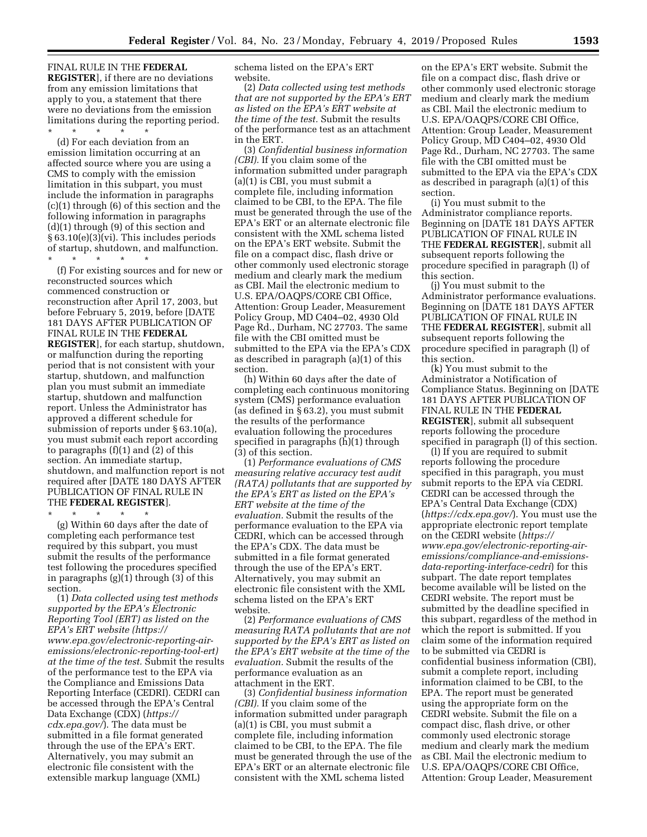FINAL RULE IN THE **FEDERAL REGISTER**], if there are no deviations from any emission limitations that apply to you, a statement that there were no deviations from the emission limitations during the reporting period. \* \* \* \* \*

(d) For each deviation from an emission limitation occurring at an affected source where you are using a CMS to comply with the emission limitation in this subpart, you must include the information in paragraphs (c)(1) through (6) of this section and the following information in paragraphs (d)(1) through (9) of this section and § 63.10(e)(3)(vi). This includes periods of startup, shutdown, and malfunction.

\* \* \* \* \* (f) For existing sources and for new or reconstructed sources which commenced construction or reconstruction after April 17, 2003, but before February 5, 2019, before [DATE 181 DAYS AFTER PUBLICATION OF FINAL RULE IN THE **FEDERAL REGISTER**], for each startup, shutdown, or malfunction during the reporting period that is not consistent with your startup, shutdown, and malfunction plan you must submit an immediate startup, shutdown and malfunction report. Unless the Administrator has approved a different schedule for submission of reports under § 63.10(a), you must submit each report according to paragraphs (f)(1) and (2) of this section. An immediate startup, shutdown, and malfunction report is not required after [DATE 180 DAYS AFTER PUBLICATION OF FINAL RULE IN THE **FEDERAL REGISTER**].

\* \* \* \* \* (g) Within 60 days after the date of completing each performance test required by this subpart, you must submit the results of the performance test following the procedures specified in paragraphs (g)(1) through (3) of this section.

(1) *Data collected using test methods supported by the EPA's Electronic Reporting Tool (ERT) as listed on the EPA's ERT website ([https://](https://www.epa.gov/electronic-reporting-air-emissions/electronic-reporting-tool-ert) [www.epa.gov/electronic-reporting-air](https://www.epa.gov/electronic-reporting-air-emissions/electronic-reporting-tool-ert)[emissions/electronic-reporting-tool-ert\)](https://www.epa.gov/electronic-reporting-air-emissions/electronic-reporting-tool-ert) at the time of the test.* Submit the results of the performance test to the EPA via the Compliance and Emissions Data Reporting Interface (CEDRI). CEDRI can be accessed through the EPA's Central Data Exchange (CDX) (*[https://](https://cdx.epa.gov/) [cdx.epa.gov/](https://cdx.epa.gov/)*). The data must be submitted in a file format generated through the use of the EPA's ERT. Alternatively, you may submit an electronic file consistent with the extensible markup language (XML)

schema listed on the EPA's ERT website.

(2) *Data collected using test methods that are not supported by the EPA's ERT as listed on the EPA's ERT website at the time of the test.* Submit the results of the performance test as an attachment in the ERT.

(3) *Confidential business information (CBI).* If you claim some of the information submitted under paragraph (a)(1) is CBI, you must submit a complete file, including information claimed to be CBI, to the EPA. The file must be generated through the use of the EPA's ERT or an alternate electronic file consistent with the XML schema listed on the EPA's ERT website. Submit the file on a compact disc, flash drive or other commonly used electronic storage medium and clearly mark the medium as CBI. Mail the electronic medium to U.S. EPA/OAQPS/CORE CBI Office, Attention: Group Leader, Measurement Policy Group, MD C404–02, 4930 Old Page Rd., Durham, NC 27703. The same file with the CBI omitted must be submitted to the EPA via the EPA's CDX as described in paragraph (a)(1) of this section.

(h) Within 60 days after the date of completing each continuous monitoring system (CMS) performance evaluation (as defined in  $\S$  63.2), you must submit the results of the performance evaluation following the procedures specified in paragraphs (h)(1) through (3) of this section.

(1) *Performance evaluations of CMS measuring relative accuracy test audit (RATA) pollutants that are supported by the EPA's ERT as listed on the EPA's ERT website at the time of the evaluation.* Submit the results of the performance evaluation to the EPA via CEDRI, which can be accessed through the EPA's CDX. The data must be submitted in a file format generated through the use of the EPA's ERT. Alternatively, you may submit an electronic file consistent with the XML schema listed on the EPA's ERT website.

(2) *Performance evaluations of CMS measuring RATA pollutants that are not supported by the EPA's ERT as listed on the EPA's ERT website at the time of the evaluation.* Submit the results of the performance evaluation as an attachment in the ERT.

(3) *Confidential business information (CBI).* If you claim some of the information submitted under paragraph (a)(1) is CBI, you must submit a complete file, including information claimed to be CBI, to the EPA. The file must be generated through the use of the EPA's ERT or an alternate electronic file consistent with the XML schema listed

on the EPA's ERT website. Submit the file on a compact disc, flash drive or other commonly used electronic storage medium and clearly mark the medium as CBI. Mail the electronic medium to U.S. EPA/OAQPS/CORE CBI Office, Attention: Group Leader, Measurement Policy Group, MD C404–02, 4930 Old Page Rd., Durham, NC 27703. The same file with the CBI omitted must be submitted to the EPA via the EPA's CDX as described in paragraph (a)(1) of this section.

(i) You must submit to the Administrator compliance reports. Beginning on [DATE 181 DAYS AFTER PUBLICATION OF FINAL RULE IN THE **FEDERAL REGISTER**], submit all subsequent reports following the procedure specified in paragraph (l) of this section.

(j) You must submit to the Administrator performance evaluations. Beginning on [DATE 181 DAYS AFTER PUBLICATION OF FINAL RULE IN THE **FEDERAL REGISTER**], submit all subsequent reports following the procedure specified in paragraph (l) of this section.

(k) You must submit to the Administrator a Notification of Compliance Status. Beginning on [DATE 181 DAYS AFTER PUBLICATION OF FINAL RULE IN THE **FEDERAL REGISTER**], submit all subsequent reports following the procedure specified in paragraph (l) of this section.

(l) If you are required to submit reports following the procedure specified in this paragraph, you must submit reports to the EPA via CEDRI. CEDRI can be accessed through the EPA's Central Data Exchange (CDX) (*<https://cdx.epa.gov/>*). You must use the appropriate electronic report template on the CEDRI website (*[https://](https://www.epa.gov/electronic-reporting-air-emissions/compliance-and-emissions-data-reporting-interface-cedri) [www.epa.gov/electronic-reporting-air](https://www.epa.gov/electronic-reporting-air-emissions/compliance-and-emissions-data-reporting-interface-cedri)[emissions/compliance-and-emissions](https://www.epa.gov/electronic-reporting-air-emissions/compliance-and-emissions-data-reporting-interface-cedri)[data-reporting-interface-cedri](https://www.epa.gov/electronic-reporting-air-emissions/compliance-and-emissions-data-reporting-interface-cedri)*) for this subpart. The date report templates become available will be listed on the CEDRI website. The report must be submitted by the deadline specified in this subpart, regardless of the method in which the report is submitted. If you claim some of the information required to be submitted via CEDRI is confidential business information (CBI), submit a complete report, including information claimed to be CBI, to the EPA. The report must be generated using the appropriate form on the CEDRI website. Submit the file on a compact disc, flash drive, or other commonly used electronic storage medium and clearly mark the medium as CBI. Mail the electronic medium to U.S. EPA/OAQPS/CORE CBI Office, Attention: Group Leader, Measurement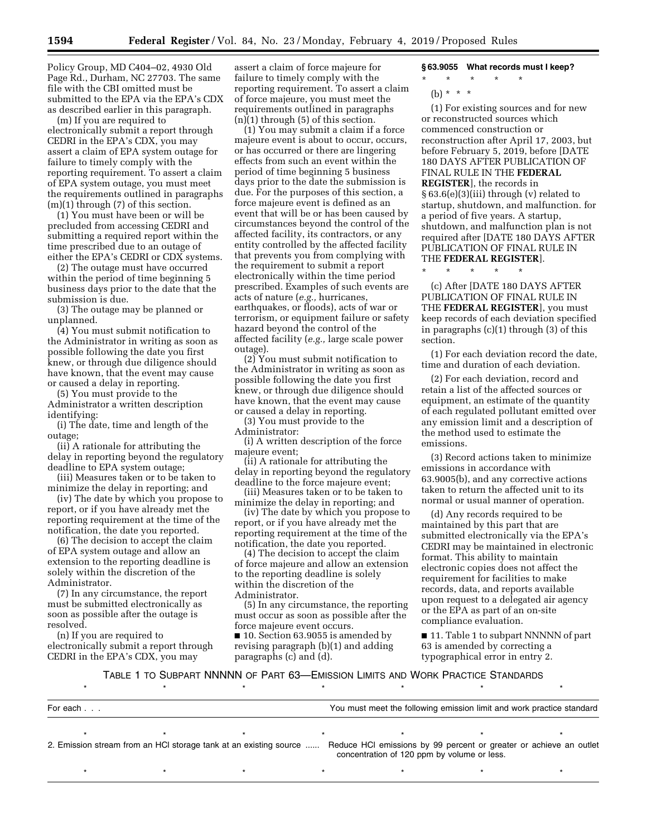Policy Group, MD C404–02, 4930 Old Page Rd., Durham, NC 27703. The same file with the CBI omitted must be submitted to the EPA via the EPA's CDX as described earlier in this paragraph.

(m) If you are required to electronically submit a report through CEDRI in the EPA's CDX, you may assert a claim of EPA system outage for failure to timely comply with the reporting requirement. To assert a claim of EPA system outage, you must meet the requirements outlined in paragraphs (m)(1) through (7) of this section.

(1) You must have been or will be precluded from accessing CEDRI and submitting a required report within the time prescribed due to an outage of either the EPA's CEDRI or CDX systems.

(2) The outage must have occurred within the period of time beginning 5 business days prior to the date that the submission is due.

(3) The outage may be planned or unplanned.

(4) You must submit notification to the Administrator in writing as soon as possible following the date you first knew, or through due diligence should have known, that the event may cause or caused a delay in reporting.

(5) You must provide to the Administrator a written description identifying:

(i) The date, time and length of the outage;

(ii) A rationale for attributing the delay in reporting beyond the regulatory deadline to EPA system outage;

(iii) Measures taken or to be taken to minimize the delay in reporting; and

(iv) The date by which you propose to report, or if you have already met the reporting requirement at the time of the notification, the date you reported.

(6) The decision to accept the claim of EPA system outage and allow an extension to the reporting deadline is solely within the discretion of the Administrator.

(7) In any circumstance, the report must be submitted electronically as soon as possible after the outage is resolved.

(n) If you are required to electronically submit a report through CEDRI in the EPA's CDX, you may

assert a claim of force majeure for failure to timely comply with the reporting requirement. To assert a claim of force majeure, you must meet the requirements outlined in paragraphs  $(n)(1)$  through  $(5)$  of this section.

(1) You may submit a claim if a force majeure event is about to occur, occurs, or has occurred or there are lingering effects from such an event within the period of time beginning 5 business days prior to the date the submission is due. For the purposes of this section, a force majeure event is defined as an event that will be or has been caused by circumstances beyond the control of the affected facility, its contractors, or any entity controlled by the affected facility that prevents you from complying with the requirement to submit a report electronically within the time period prescribed. Examples of such events are acts of nature (*e.g.,* hurricanes, earthquakes, or floods), acts of war or terrorism, or equipment failure or safety hazard beyond the control of the affected facility (*e.g.,* large scale power outage).

(2) You must submit notification to the Administrator in writing as soon as possible following the date you first knew, or through due diligence should have known, that the event may cause or caused a delay in reporting.

(3) You must provide to the Administrator:

(i) A written description of the force majeure event;

(ii) A rationale for attributing the delay in reporting beyond the regulatory deadline to the force majeure event; (iii) Measures taken or to be taken to

minimize the delay in reporting; and

(iv) The date by which you propose to report, or if you have already met the reporting requirement at the time of the notification, the date you reported.

(4) The decision to accept the claim of force majeure and allow an extension to the reporting deadline is solely within the discretion of the Administrator.

(5) In any circumstance, the reporting must occur as soon as possible after the force majeure event occurs.

■ 10. Section 63.9055 is amended by revising paragraph (b)(1) and adding paragraphs (c) and (d).

**§ 63.9055 What records must I keep?** 

\* \* \* \* \* (b) \* \* \*

(1) For existing sources and for new or reconstructed sources which commenced construction or reconstruction after April 17, 2003, but before February 5, 2019, before [DATE 180 DAYS AFTER PUBLICATION OF FINAL RULE IN THE **FEDERAL REGISTER**], the records in § 63.6(e)(3)(iii) through (v) related to startup, shutdown, and malfunction. for a period of five years. A startup, shutdown, and malfunction plan is not required after [DATE 180 DAYS AFTER PUBLICATION OF FINAL RULE IN THE **FEDERAL REGISTER**].

\* \* \* \* \*

(c) After [DATE 180 DAYS AFTER PUBLICATION OF FINAL RULE IN THE **FEDERAL REGISTER**], you must keep records of each deviation specified in paragraphs (c)(1) through (3) of this section.

(1) For each deviation record the date, time and duration of each deviation.

(2) For each deviation, record and retain a list of the affected sources or equipment, an estimate of the quantity of each regulated pollutant emitted over any emission limit and a description of the method used to estimate the emissions.

(3) Record actions taken to minimize emissions in accordance with 63.9005(b), and any corrective actions taken to return the affected unit to its normal or usual manner of operation.

(d) Any records required to be maintained by this part that are submitted electronically via the EPA's CEDRI may be maintained in electronic format. This ability to maintain electronic copies does not affect the requirement for facilities to make records, data, and reports available upon request to a delegated air agency or the EPA as part of an on-site compliance evaluation.

■ 11. Table 1 to subpart NNNNN of part 63 is amended by correcting a typographical error in entry 2.

TABLE 1 TO SUBPART NNNNN OF PART 63—EMISSION LIMITS AND WORK PRACTICE STANDARDS

| For each |                                                                   | You must meet the following emission limit and work practice standard                                             |  |
|----------|-------------------------------------------------------------------|-------------------------------------------------------------------------------------------------------------------|--|
|          |                                                                   |                                                                                                                   |  |
|          | 2. Emission stream from an HCI storage tank at an existing source | Reduce HCI emissions by 99 percent or greater or achieve an outlet<br>concentration of 120 ppm by volume or less. |  |
|          |                                                                   |                                                                                                                   |  |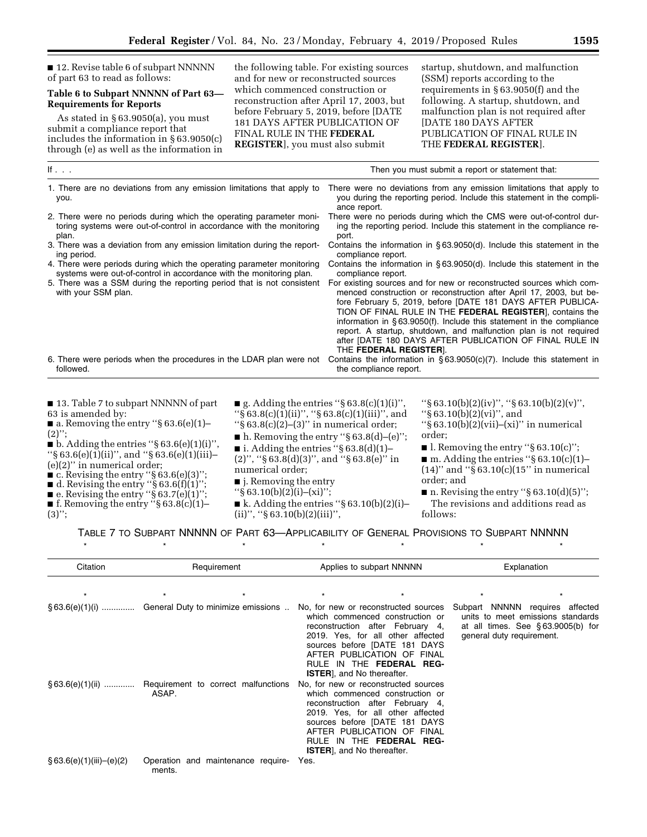■ 12. Revise table 6 of subpart NNNNN of part 63 to read as follows:

# **Table 6 to Subpart NNNNN of Part 63— Requirements for Reports**

As stated in § 63.9050(a), you must submit a compliance report that includes the information in § 63.9050(c) through (e) as well as the information in the following table. For existing sources and for new or reconstructed sources which commenced construction or reconstruction after April 17, 2003, but before February 5, 2019, before [DATE 181 DAYS AFTER PUBLICATION OF FINAL RULE IN THE **FEDERAL REGISTER**], you must also submit

startup, shutdown, and malfunction (SSM) reports according to the requirements in § 63.9050(f) and the following. A startup, shutdown, and malfunction plan is not required after [DATE 180 DAYS AFTER PUBLICATION OF FINAL RULE IN THE **FEDERAL REGISTER**].

| If $\ldots$                                                                                                                                                                                                                                                                | Then you must submit a report or statement that:                                                                                                                                                                                                                                                                                                                                                                                                                                                               |  |
|----------------------------------------------------------------------------------------------------------------------------------------------------------------------------------------------------------------------------------------------------------------------------|----------------------------------------------------------------------------------------------------------------------------------------------------------------------------------------------------------------------------------------------------------------------------------------------------------------------------------------------------------------------------------------------------------------------------------------------------------------------------------------------------------------|--|
| 1. There are no deviations from any emission limitations that apply to<br>you.                                                                                                                                                                                             | There were no deviations from any emission limitations that apply to<br>you during the reporting period. Include this statement in the compli-<br>ance report.                                                                                                                                                                                                                                                                                                                                                 |  |
| 2. There were no periods during which the operating parameter moni-                                                                                                                                                                                                        | There were no periods during which the CMS were out-of-control dur-                                                                                                                                                                                                                                                                                                                                                                                                                                            |  |
| toring systems were out-of-control in accordance with the monitoring                                                                                                                                                                                                       | ing the reporting period. Include this statement in the compliance re-                                                                                                                                                                                                                                                                                                                                                                                                                                         |  |
| plan.                                                                                                                                                                                                                                                                      | port.                                                                                                                                                                                                                                                                                                                                                                                                                                                                                                          |  |
| 3. There was a deviation from any emission limitation during the report-                                                                                                                                                                                                   | Contains the information in $\S 63.9050(d)$ . Include this statement in the                                                                                                                                                                                                                                                                                                                                                                                                                                    |  |
| ing period.                                                                                                                                                                                                                                                                | compliance report.                                                                                                                                                                                                                                                                                                                                                                                                                                                                                             |  |
| 4. There were periods during which the operating parameter monitoring                                                                                                                                                                                                      | Contains the information in $\S 63.9050(d)$ . Include this statement in the                                                                                                                                                                                                                                                                                                                                                                                                                                    |  |
| systems were out-of-control in accordance with the monitoring plan.                                                                                                                                                                                                        | compliance report.                                                                                                                                                                                                                                                                                                                                                                                                                                                                                             |  |
| 5. There was a SSM during the reporting period that is not consistent<br>with your SSM plan.                                                                                                                                                                               | For existing sources and for new or reconstructed sources which com-<br>menced construction or reconstruction after April 17, 2003, but be-<br>fore February 5, 2019, before [DATE 181 DAYS AFTER PUBLICA-<br>TION OF FINAL RULE IN THE FEDERAL REGISTER], contains the<br>information in $\S 63.9050(f)$ . Include this statement in the compliance<br>report. A startup, shutdown, and malfunction plan is not required<br>after [DATE 180 DAYS AFTER PUBLICATION OF FINAL RULE IN<br>THE FEDERAL REGISTER]. |  |
| 6. There were periods when the procedures in the LDAR plan were not                                                                                                                                                                                                        | Contains the information in $\S 63.9050(c)(7)$ . Include this statement in                                                                                                                                                                                                                                                                                                                                                                                                                                     |  |
| followed.                                                                                                                                                                                                                                                                  | the compliance report.                                                                                                                                                                                                                                                                                                                                                                                                                                                                                         |  |
| ■ 13. Table 7 to subpart NNNNN of part<br>g. Adding the entries " $\S 63.8(c)(1)(i)$ ",<br>"\\$\phi 63.8(c)(1)(ii)", "\\$\phi 63.8(c)(1)(iii)", and<br>63 is amended by:<br>$\blacksquare$ a. Removing the entry "§ 63.6(e)(1)-<br>"\\$63.8(c)(2)–(3)" in numerical order; | "\\$\times\$63.10(\b)(2)(iv)", "\\$\times\$63.10(\b)(2)(\v)",<br>"\\$\;\\$63.10(\tipside{b}\$)(\tipside{j}\$)', and<br>"\\$ $63.10(b)(2)(vii)-(xi)$ " in numerical                                                                                                                                                                                                                                                                                                                                             |  |

 $(2)$ ";  $\blacksquare$  b. Adding the entries "§ 63.6(e)(1)(i)",  $\cdot$ '\\$ 63.6(e)(1)(ii)'', and  $\cdot$ '\\$ 63.6(e)(1)(iii)-(e)(2)'' in numerical order; ■ c. Revising the entry ''§ 63.6(e)(3)'';  $\blacksquare$  d. Revising the entry ''§ 63.6(f)(1)''; ■ e. Revising the entry ''§ 63.7(e)(1)''; **f.** Removing the entry  $\cdot$  § 63.8(c)(1)–  $(3)$ ";  $\blacksquare$  h. Removing the entry "§ 63.8(d)–(e)";  $\blacksquare$  i. Adding the entries "§ 63.8(d)(1)- $(2)$ ", "§ 63.8(d)(3)", and "§ 63.8(e)" in numerical order; ■ *j.* Removing the entry  $\sqrt[16]{63.10(b)(2)}$ (i)–(xi)'';  $\blacksquare$  k. Adding the entries "§ 63.10(b)(2)(i)- $(ii)$ ", "§ 63.10(b)(2)(iii)", order; ■ l. Removing the entry "§ 63.10(c)";  $\blacksquare$  m. Adding the entries "§ 63.10(c)(1)-(14)" and " $\bar{\S}$  63.10(c)(15" in numerical order; and  $\blacksquare$  n. Revising the entry "§ 63.10(d)(5)"; The revisions and additions read as follows:

TABLE 7 TO SUBPART NNNNN OF PART 63—APPLICABILITY OF GENERAL PROVISIONS TO SUBPART NNNNN \*\*\*\*\*\*\*

| Citation                 | Requirement                                           | Applies to subpart NNNNN                                                                                                                                                                                                                                                          | Explanation                                                                                                                              |  |
|--------------------------|-------------------------------------------------------|-----------------------------------------------------------------------------------------------------------------------------------------------------------------------------------------------------------------------------------------------------------------------------------|------------------------------------------------------------------------------------------------------------------------------------------|--|
| $\star$                  |                                                       |                                                                                                                                                                                                                                                                                   |                                                                                                                                          |  |
|                          | $\S 63.6(e)(1)(i)$ General Duty to minimize emissions | No, for new or reconstructed sources<br>which commenced construction or<br>reconstruction after February 4,<br>2019. Yes, for all other affected<br>sources before [DATE 181 DAYS<br>AFTER PUBLICATION OF FINAL<br>RULE IN THE FEDERAL REG-<br><b>ISTER</b> , and No thereafter.  | Subpart NNNNN requires affected<br>units to meet emissions standards<br>at all times. See $§63.9005(b)$ for<br>general duty requirement. |  |
| $§63.6(e)(1)(ii)$        | Requirement to correct malfunctions<br>ASAP.          | No, for new or reconstructed sources<br>which commenced construction or<br>reconstruction after February 4,<br>2019. Yes, for all other affected<br>sources before [DATE 181 DAYS<br>AFTER PUBLICATION OF FINAL<br>RULE IN THE FEDERAL REG-<br><b>ISTER</b> ], and No thereafter. |                                                                                                                                          |  |
| § 63.6(e)(1)(iii)–(e)(2) | Operation and maintenance require-<br>ments.          | Yes.                                                                                                                                                                                                                                                                              |                                                                                                                                          |  |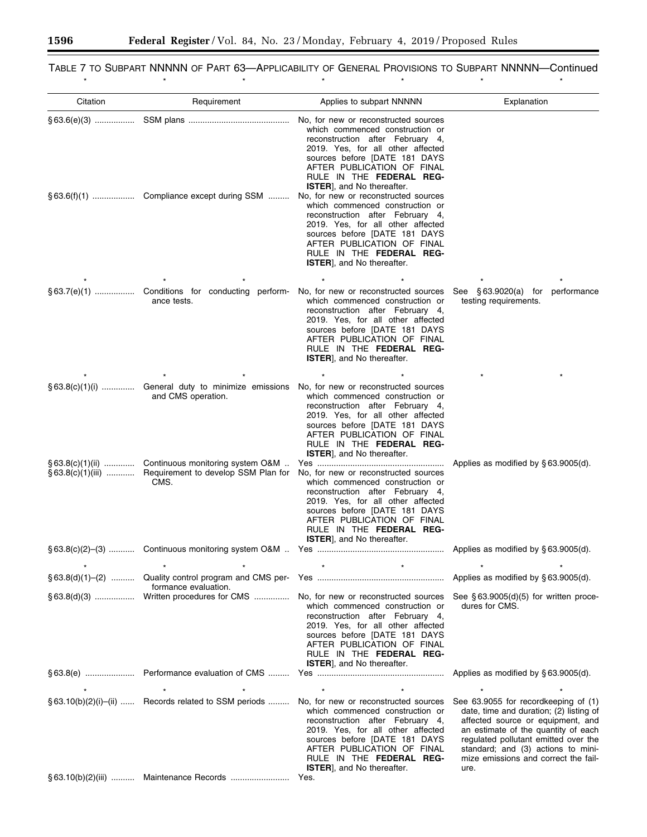٠

|                 |                                                                                                                        |                                                                                                                                                                                                                                                                                                                                                                                                                                                                                                                                  | $\star$                                                                                                                                                                                                                                                                                   |
|-----------------|------------------------------------------------------------------------------------------------------------------------|----------------------------------------------------------------------------------------------------------------------------------------------------------------------------------------------------------------------------------------------------------------------------------------------------------------------------------------------------------------------------------------------------------------------------------------------------------------------------------------------------------------------------------|-------------------------------------------------------------------------------------------------------------------------------------------------------------------------------------------------------------------------------------------------------------------------------------------|
| Citation        | Requirement                                                                                                            | Applies to subpart NNNNN                                                                                                                                                                                                                                                                                                                                                                                                                                                                                                         | Explanation                                                                                                                                                                                                                                                                               |
|                 |                                                                                                                        | No, for new or reconstructed sources<br>which commenced construction or<br>reconstruction after February 4,<br>2019. Yes, for all other affected<br>sources before [DATE 181 DAYS<br>AFTER PUBLICATION OF FINAL<br>RULE IN THE FEDERAL REG-<br><b>ISTER</b> ], and No thereafter.<br>No, for new or reconstructed sources<br>which commenced construction or<br>reconstruction after February 4,<br>2019. Yes, for all other affected<br>sources before [DATE 181 DAYS<br>AFTER PUBLICATION OF FINAL<br>RULE IN THE FEDERAL REG- |                                                                                                                                                                                                                                                                                           |
|                 |                                                                                                                        | <b>ISTER</b> ], and No thereafter.                                                                                                                                                                                                                                                                                                                                                                                                                                                                                               |                                                                                                                                                                                                                                                                                           |
| $\S$ 63.7(e)(1) | Conditions for conducting perform-<br>ance tests.                                                                      | No, for new or reconstructed sources<br>which commenced construction or<br>reconstruction after February 4,<br>2019. Yes, for all other affected<br>sources before [DATE 181 DAYS<br>AFTER PUBLICATION OF FINAL<br>RULE IN THE FEDERAL REG-<br><b>ISTER</b> ], and No thereafter.                                                                                                                                                                                                                                                | See §63.9020(a) for<br>performance<br>testing requirements.                                                                                                                                                                                                                               |
|                 |                                                                                                                        |                                                                                                                                                                                                                                                                                                                                                                                                                                                                                                                                  |                                                                                                                                                                                                                                                                                           |
|                 | § 63.8(c)(1)(i)  General duty to minimize emissions No, for new or reconstructed sources<br>and CMS operation.         | which commenced construction or<br>reconstruction after February 4,<br>2019. Yes, for all other affected<br>sources before [DATE 181 DAYS<br>AFTER PUBLICATION OF FINAL<br>RULE IN THE FEDERAL REG-<br><b>ISTER</b> ], and No thereafter.                                                                                                                                                                                                                                                                                        |                                                                                                                                                                                                                                                                                           |
|                 | $\S 63.8(c)(1)(ii)$ Continuous monitoring system O&M<br>§ 63.8(c)(1)(iii)  Requirement to develop SSM Plan for<br>CMS. | No, for new or reconstructed sources<br>which commenced construction or<br>reconstruction after February 4,<br>2019. Yes, for all other affected<br>sources before [DATE 181 DAYS<br>AFTER PUBLICATION OF FINAL<br>RULE IN THE FEDERAL REG-<br><b>ISTER</b> , and No thereafter.                                                                                                                                                                                                                                                 | Applies as modified by $\S$ 63.9005(d).                                                                                                                                                                                                                                                   |
| §63.8(c)(2)–(3) | Continuous monitoring system O&M                                                                                       | Yes                                                                                                                                                                                                                                                                                                                                                                                                                                                                                                                              | Applies as modified by $\S 63.9005(d)$                                                                                                                                                                                                                                                    |
|                 |                                                                                                                        |                                                                                                                                                                                                                                                                                                                                                                                                                                                                                                                                  |                                                                                                                                                                                                                                                                                           |
|                 | formance evaluation.                                                                                                   |                                                                                                                                                                                                                                                                                                                                                                                                                                                                                                                                  |                                                                                                                                                                                                                                                                                           |
|                 |                                                                                                                        | No, for new or reconstructed sources<br>which commenced construction or<br>reconstruction after February 4,<br>2019. Yes, for all other affected<br>sources before [DATE 181 DAYS<br>AFTER PUBLICATION OF FINAL<br>RULE IN THE FEDERAL REG-                                                                                                                                                                                                                                                                                      | See $$63.9005(d)(5)$ for written proce-<br>dures for CMS.                                                                                                                                                                                                                                 |
|                 |                                                                                                                        | <b>ISTER</b> ], and No thereafter.                                                                                                                                                                                                                                                                                                                                                                                                                                                                                               | Applies as modified by $\S$ 63.9005(d).                                                                                                                                                                                                                                                   |
|                 |                                                                                                                        |                                                                                                                                                                                                                                                                                                                                                                                                                                                                                                                                  |                                                                                                                                                                                                                                                                                           |
|                 | §63.10(b)(2)(i)-(ii)  Records related to SSM periods  No, for new or reconstructed sources                             | which commenced construction or<br>reconstruction after February 4,<br>2019. Yes, for all other affected<br>sources before [DATE 181 DAYS<br>AFTER PUBLICATION OF FINAL<br>RULE IN THE FEDERAL REG-<br><b>ISTER</b> ], and No thereafter.                                                                                                                                                                                                                                                                                        | See 63.9055 for recordkeeping of (1)<br>date, time and duration; (2) listing of<br>affected source or equipment, and<br>an estimate of the quantity of each<br>regulated pollutant emitted over the<br>standard; and (3) actions to mini-<br>mize emissions and correct the fail-<br>ure. |
|                 | § 63.10(b)(2)(iii)  Maintenance Records                                                                                | Yes.                                                                                                                                                                                                                                                                                                                                                                                                                                                                                                                             |                                                                                                                                                                                                                                                                                           |

TABLE 7 TO SUBPART NNNNN OF PART 63—APPLICABILITY OF GENERAL PROVISIONS TO SUBPART NNNNN—Continued

 $\equiv$